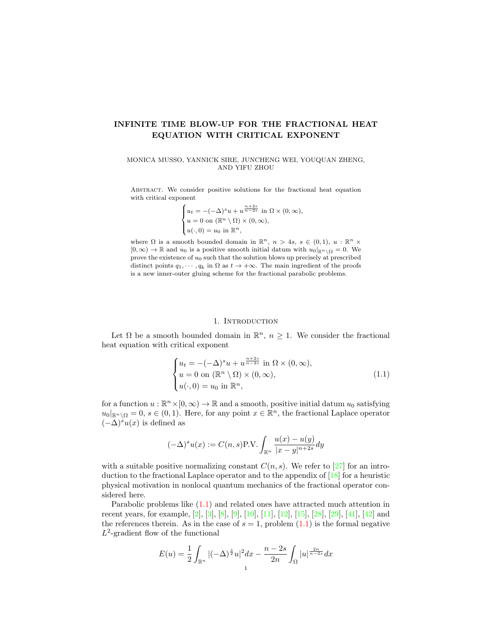# INFINITE TIME BLOW-UP FOR THE FRACTIONAL HEAT EQUATION WITH CRITICAL EXPONENT

MONICA MUSSO, YANNICK SIRE, JUNCHENG WEI, YOUQUAN ZHENG, AND YIFU ZHOU

Abstract. We consider positive solutions for the fractional heat equation with critical exponent

$$
\begin{cases} u_t = -(-\Delta)^s u + u^{\frac{n+2s}{n-2s}} \text{ in } \Omega \times (0, \infty), \\ u = 0 \text{ on } (\mathbb{R}^n \setminus \Omega) \times (0, \infty), \\ u(\cdot, 0) = u_0 \text{ in } \mathbb{R}^n, \end{cases}
$$

where  $\Omega$  is a smooth bounded domain in  $\mathbb{R}^n$ ,  $n > 4s$ ,  $s \in (0,1)$ ,  $u : \mathbb{R}^n \times$  $[0, \infty) \to \mathbb{R}$  and  $u_0$  is a positive smooth initial datum with  $u_0|_{\mathbb{R}^n \setminus \Omega} = 0$ . We prove the existence of  $u_0$  such that the solution blows up precisely at prescribed distinct points  $q_1, \dots, q_k$  in  $\Omega$  as  $t \to +\infty$ . The main ingredient of the proofs is a new inner-outer gluing scheme for the fractional parabolic problems.

### 1. INTRODUCTION

Let  $\Omega$  be a smooth bounded domain in  $\mathbb{R}^n$ ,  $n \geq 1$ . We consider the fractional heat equation with critical exponent

<span id="page-0-0"></span>
$$
\begin{cases}\n u_t = -(-\Delta)^s u + u^{\frac{n+2s}{n-2s}} \text{ in } \Omega \times (0, \infty), \\
 u = 0 \text{ on } (\mathbb{R}^n \setminus \Omega) \times (0, \infty), \\
 u(\cdot, 0) = u_0 \text{ in } \mathbb{R}^n,\n\end{cases}
$$
\n(1.1)

for a function  $u : \mathbb{R}^n \times [0, \infty) \to \mathbb{R}$  and a smooth, positive initial datum  $u_0$  satisfying  $u_0|_{\mathbb{R}^n\setminus\Omega}=0, s\in(0,1)$ . Here, for any point  $x\in\mathbb{R}^n$ , the fractional Laplace operator  $(-\Delta)^s u(x)$  is defined as

$$
(-\Delta)^s u(x) := C(n,s) \text{P.V.} \int_{\mathbb{R}^n} \frac{u(x) - u(y)}{|x - y|^{n+2s}} dy
$$

with a suitable positive normalizing constant  $C(n, s)$ . We refer to [\[27\]](#page-49-0) for an introduction to the fractional Laplace operator and to the appendix of [\[18\]](#page-48-0) for a heuristic physical motivation in nonlocal quantum mechanics of the fractional operator considered here.

Parabolic problems like [\(1.1\)](#page-0-0) and related ones have attracted much attention in recent years, for example, [\[2\]](#page-48-1), [\[3\]](#page-48-2), [\[8\]](#page-48-3), [\[9\]](#page-48-4), [\[10\]](#page-48-5), [\[11\]](#page-48-6), [\[12\]](#page-48-7), [\[15\]](#page-48-8), [\[28\]](#page-49-1), [\[29\]](#page-49-2), [\[41\]](#page-49-3), [\[42\]](#page-49-4) and the references therein. As in the case of  $s = 1$ , problem  $(1.1)$  is the formal negative  $L^2$ -gradient flow of the functional

$$
E(u) = \frac{1}{2} \int_{\mathbb{R}^n} |(-\Delta)^{\frac{s}{2}} u|^2 dx - \frac{n-2s}{2n} \int_{\Omega} |u|^{\frac{2n}{n-2s}} dx
$$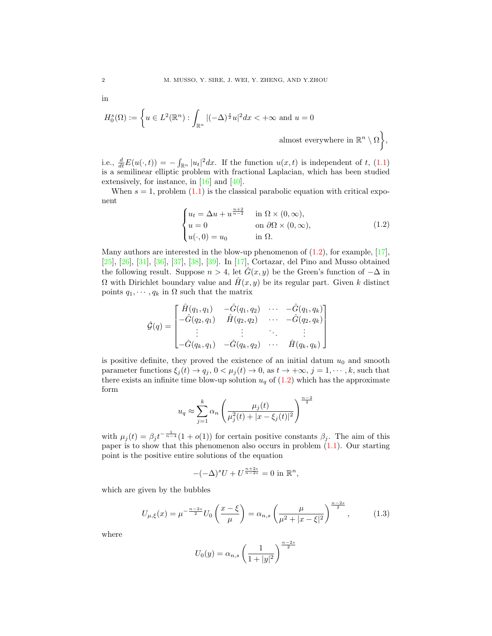$$
\operatorname{in}
$$

$$
H_0^s(\Omega) := \left\{ u \in L^2(\mathbb{R}^n) : \int_{\mathbb{R}^n} |(-\Delta)^{\frac{s}{2}} u|^2 dx < +\infty \text{ and } u = 0 \right\}
$$
almost everywhere in  $\mathbb{R}$ 

i.e.,  $\frac{d}{dt}E(u(\cdot,t)) = -\int_{\mathbb{R}^n} |u_t|^2 dx$ . If the function  $u(x,t)$  is independent of t, [\(1.1\)](#page-0-0) is a semilinear elliptic problem with fractional Laplacian, which has been studied extensively, for instance, in [\[16\]](#page-48-9) and [\[40\]](#page-49-5).

When  $s = 1$ , problem  $(1.1)$  is the classical parabolic equation with critical exponent

<span id="page-1-0"></span>
$$
\begin{cases}\n u_t = \Delta u + u^{\frac{n+2}{n-2}} & \text{in } \Omega \times (0, \infty), \\
 u = 0 & \text{on } \partial \Omega \times (0, \infty), \\
 u(\cdot, 0) = u_0 & \text{in } \Omega.\n\end{cases}
$$
\n(1.2)

 $\binom{n}{\Omega},$ 

Many authors are interested in the blow-up phenomenon of  $(1.2)$ , for example,  $[17]$ , [\[25\]](#page-49-6), [\[26\]](#page-49-7), [\[31\]](#page-49-8), [\[36\]](#page-49-9), [\[37\]](#page-49-10), [\[38\]](#page-49-11), [\[39\]](#page-49-12). In [\[17\]](#page-48-10), Cortazar, del Pino and Musso obtained the following result. Suppose  $n > 4$ , let  $G(x, y)$  be the Green's function of  $-\Delta$  in  $\Omega$  with Dirichlet boundary value and  $\hat{H}(x, y)$  be its regular part. Given k distinct points  $q_1, \dots, q_k$  in  $\Omega$  such that the matrix

$$
\hat{\mathcal{G}}(q) = \begin{bmatrix} \hat{H}(q_1, q_1) & -\hat{G}(q_1, q_2) & \cdots & -\hat{G}(q_1, q_k) \\ -\hat{G}(q_2, q_1) & \hat{H}(q_2, q_2) & \cdots & -\hat{G}(q_2, q_k) \\ \vdots & \vdots & \ddots & \vdots \\ -\hat{G}(q_k, q_1) & -\hat{G}(q_k, q_2) & \cdots & \hat{H}(q_k, q_k) \end{bmatrix}
$$

is positive definite, they proved the existence of an initial datum  $u_0$  and smooth parameter functions  $\xi_j(t) \to q_j$ ,  $0 < \mu_j(t) \to 0$ , as  $t \to +\infty$ ,  $j = 1, \dots, k$ , such that there exists an infinite time blow-up solution  $u_q$  of [\(1.2\)](#page-1-0) which has the approximate form

$$
u_q \approx \sum_{j=1}^k \alpha_n \left( \frac{\mu_j(t)}{\mu_j^2(t) + |x - \xi_j(t)|^2} \right)^{\frac{n-2}{2}}
$$

with  $\mu_j(t) = \beta_j t^{-\frac{1}{n-4}} (1 + o(1))$  for certain positive constants  $\beta_j$ . The aim of this paper is to show that this phenomenon also occurs in problem  $(1.1)$ . Our starting point is the positive entire solutions of the equation

$$
-(-\Delta)^s U + U^{\frac{n+2s}{n-2s}} = 0
$$
 in  $\mathbb{R}^n$ ,

which are given by the bubbles

<span id="page-1-1"></span>
$$
U_{\mu,\xi}(x) = \mu^{-\frac{n-2s}{2}} U_0\left(\frac{x-\xi}{\mu}\right) = \alpha_{n,s} \left(\frac{\mu}{\mu^2 + |x-\xi|^2}\right)^{\frac{n-2s}{2}},\tag{1.3}
$$

where

$$
U_0(y) = \alpha_{n,s} \left(\frac{1}{1+|y|^2}\right)^{\frac{n-2s}{2}}
$$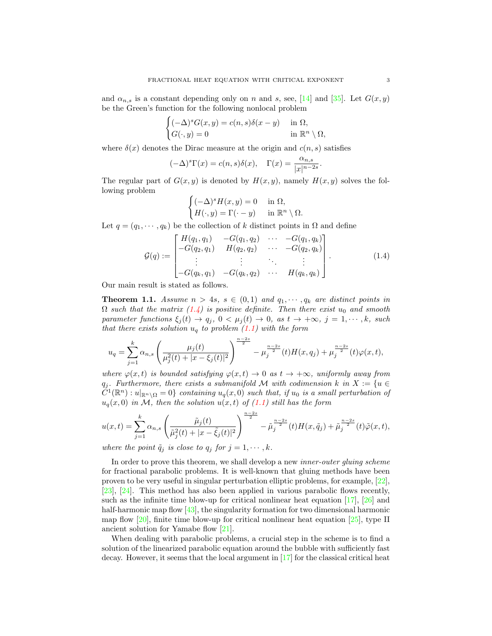and  $\alpha_{n,s}$  is a constant depending only on n and s, see, [\[14\]](#page-48-11) and [\[35\]](#page-49-13). Let  $G(x, y)$ be the Green's function for the following nonlocal problem

$$
\begin{cases}\n(-\Delta)^s G(x, y) = c(n, s)\delta(x - y) & \text{in } \Omega, \\
G(\cdot, y) = 0 & \text{in } \mathbb{R}^n \setminus \Omega,\n\end{cases}
$$

where  $\delta(x)$  denotes the Dirac measure at the origin and  $c(n, s)$  satisfies

$$
(-\Delta)^s \Gamma(x) = c(n, s)\delta(x), \quad \Gamma(x) = \frac{\alpha_{n, s}}{|x|^{n-2s}}.
$$

The regular part of  $G(x, y)$  is denoted by  $H(x, y)$ , namely  $H(x, y)$  solves the following problem

$$
\begin{cases} (-\Delta)^s H(x, y) = 0 & \text{in } \Omega, \\ H(\cdot, y) = \Gamma(\cdot - y) & \text{in } \mathbb{R}^n \setminus \Omega. \end{cases}
$$

Let  $q = (q_1, \dots, q_k)$  be the collection of k distinct points in  $\Omega$  and define

<span id="page-2-0"></span>
$$
\mathcal{G}(q) := \begin{bmatrix} H(q_1, q_1) & -G(q_1, q_2) & \cdots & -G(q_1, q_k) \\ -G(q_2, q_1) & H(q_2, q_2) & \cdots & -G(q_2, q_k) \\ \vdots & \vdots & \ddots & \vdots \\ -G(q_k, q_1) & -G(q_k, q_2) & \cdots & H(q_k, q_k) \end{bmatrix} .
$$
 (1.4)

Our main result is stated as follows.

<span id="page-2-1"></span>**Theorem 1.1.** Assume  $n > 4s$ ,  $s \in (0,1)$  and  $q_1, \dots, q_k$  are distinct points in  $\Omega$  such that the matrix  $(1.4)$  is positive definite. Then there exist  $u_0$  and smooth parameter functions  $\xi_j(t) \to q_j$ ,  $0 < \mu_j(t) \to 0$ , as  $t \to +\infty$ ,  $j = 1, \dots, k$ , such that there exists solution  $u_q$  to problem [\(1.1\)](#page-0-0) with the form

$$
u_q = \sum_{j=1}^k \alpha_{n,s} \left( \frac{\mu_j(t)}{\mu_j^2(t) + |x - \xi_j(t)|^2} \right)^{\frac{n-2s}{2}} - \mu_j^{\frac{n-2s}{2}}(t)H(x,q_j) + \mu_j^{\frac{n-2s}{2}}(t)\varphi(x,t),
$$

where  $\varphi(x,t)$  is bounded satisfying  $\varphi(x,t) \to 0$  as  $t \to +\infty$ , uniformly away from  $q_i$ . Furthermore, there exists a submanifold M with codimension k in  $X := \{u \in$  $\tilde{C}^1(\mathbb{R}^n) : u|_{\mathbb{R}^n \setminus \Omega} = 0$  containing  $u_q(x, 0)$  such that, if  $u_0$  is a small perturbation of  $u_q(x, 0)$  in M, then the solution  $u(x, t)$  of  $(1.1)$  still has the form

$$
u(x,t) = \sum_{j=1}^{k} \alpha_{n,s} \left( \frac{\tilde{\mu}_j(t)}{\tilde{\mu}_j^2(t) + |x - \tilde{\xi}_j(t)|^2} \right)^{\frac{n-2s}{2}} - \tilde{\mu}_j^{\frac{n-2s}{2}}(t)H(x,\tilde{q}_j) + \tilde{\mu}_j^{\frac{n-2s}{2}}(t)\tilde{\varphi}(x,t),
$$

where the point  $\tilde{q}_j$  is close to  $q_j$  for  $j = 1, \dots, k$ .

In order to prove this theorem, we shall develop a new *inner-outer gluing scheme* for fractional parabolic problems. It is well-known that gluing methods have been proven to be very useful in singular perturbation elliptic problems, for example, [\[22\]](#page-49-14), [\[23\]](#page-49-15), [\[24\]](#page-49-16). This method has also been applied in various parabolic flows recently, such as the infinite time blow-up for critical nonlinear heat equation [\[17\]](#page-48-10), [\[26\]](#page-49-7) and half-harmonic map flow [\[43\]](#page-49-17), the singularity formation for two dimensional harmonic map flow  $[20]$ , finite time blow-up for critical nonlinear heat equation  $[25]$ , type II ancient solution for Yamabe flow [\[21\]](#page-49-18).

When dealing with parabolic problems, a crucial step in the scheme is to find a solution of the linearized parabolic equation around the bubble with sufficiently fast decay. However, it seems that the local argument in [\[17\]](#page-48-10) for the classical critical heat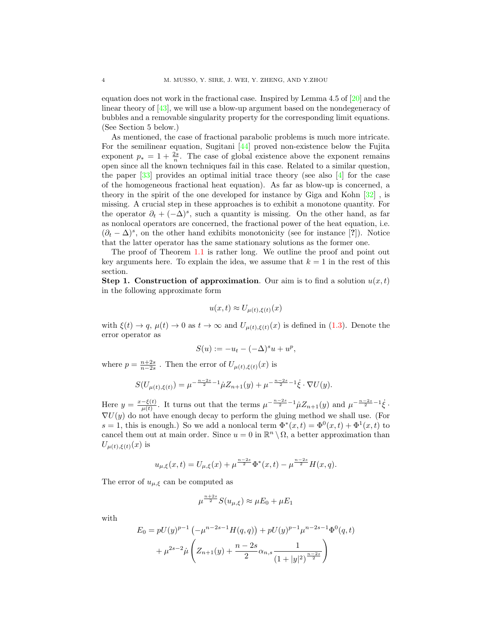equation does not work in the fractional case. Inspired by Lemma 4.5 of [\[20\]](#page-48-12) and the linear theory of [\[43\]](#page-49-17), we will use a blow-up argument based on the nondegeneracy of bubbles and a removable singularity property for the corresponding limit equations. (See Section 5 below.)

As mentioned, the case of fractional parabolic problems is much more intricate. For the semilinear equation, Sugitani [\[44\]](#page-49-19) proved non-existence below the Fujita exponent  $p_* = 1 + \frac{2s}{n}$ . The case of global existence above the exponent remains open since all the known techniques fail in this case. Related to a similar question, the paper  $\lceil 33 \rceil$  provides an optimal initial trace theory (see also  $\lceil 4 \rceil$  for the case of the homogeneous fractional heat equation). As far as blow-up is concerned, a theory in the spirit of the one developed for instance by Giga and Kohn  $[32]$ , is missing. A crucial step in these approaches is to exhibit a monotone quantity. For the operator  $\partial_t + (-\Delta)^s$ , such a quantity is missing. On the other hand, as far as nonlocal operators are concerned, the fractional power of the heat equation, i.e.  $(\partial_t - \Delta)^s$ , on the other hand exhibits monotonicity (see for instance [?]). Notice that the latter operator has the same stationary solutions as the former one.

The proof of Theorem [1.1](#page-2-1) is rather long. We outline the proof and point out key arguments here. To explain the idea, we assume that  $k = 1$  in the rest of this section.

**Step 1. Construction of approximation**. Our aim is to find a solution  $u(x, t)$ in the following approximate form

$$
u(x,t) \approx U_{\mu(t),\xi(t)}(x)
$$

with  $\xi(t) \to q$ ,  $\mu(t) \to 0$  as  $t \to \infty$  and  $U_{\mu(t),\xi(t)}(x)$  is defined in [\(1.3\)](#page-1-1). Denote the error operator as

$$
S(u) := -u_t - (-\Delta)^s u + u^p,
$$

where  $p = \frac{n+2s}{n-2s}$ . Then the error of  $U_{\mu(t),\xi(t)}(x)$  is

$$
S(U_{\mu(t),\xi(t)}) = \mu^{-\frac{n-2s}{2}-1} \dot{\mu} Z_{n+1}(y) + \mu^{-\frac{n-2s}{2}-1} \dot{\xi} \cdot \nabla U(y).
$$

Here  $y = \frac{x - \xi(t)}{u(t)}$  $\frac{-\xi(t)}{\mu(t)}$ . It turns out that the terms  $\mu^{-\frac{n-2s}{2}-1}\mu Z_{n+1}(y)$  and  $\mu^{-\frac{n-2s}{2}-1}\dot{\xi}$ .  $\nabla U(y)$  do not have enough decay to perform the gluing method we shall use. (For s = 1, this is enough.) So we add a nonlocal term  $\Phi^*(x,t) = \Phi^0(x,t) + \Phi^1(x,t)$  to cancel them out at main order. Since  $u = 0$  in  $\mathbb{R}^n \setminus \Omega$ , a better approximation than  $U_{\mu(t),\xi(t)}(x)$  is

$$
u_{\mu,\xi}(x,t) = U_{\mu,\xi}(x) + \mu^{\frac{n-2s}{2}} \Phi^*(x,t) - \mu^{\frac{n-2s}{2}} H(x,q).
$$

The error of  $u_{\mu,\xi}$  can be computed as

$$
\mu^{\frac{n+2s}{2}}S(u_{\mu,\xi}) \approx \mu E_0 + \mu E_1
$$

with

$$
E_0 = pU(y)^{p-1} \left(-\mu^{n-2s-1} H(q, q)\right) + pU(y)^{p-1} \mu^{n-2s-1} \Phi^0(q, t)
$$

$$
+ \mu^{2s-2} \mu \left(Z_{n+1}(y) + \frac{n-2s}{2} \alpha_{n,s} \frac{1}{(1+|y|^2)^{\frac{n-2s}{2}}}\right)
$$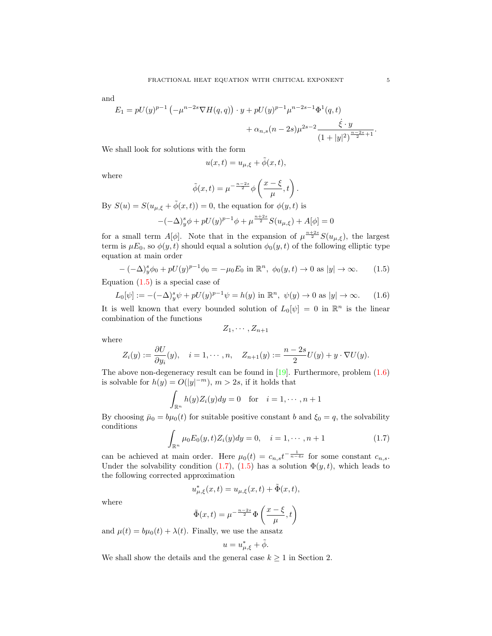and

$$
E_1 = pU(y)^{p-1} \left(-\mu^{n-2s} \nabla H(q,q)\right) \cdot y + pU(y)^{p-1} \mu^{n-2s-1} \Phi^1(q,t) + \alpha_{n,s}(n-2s) \mu^{2s-2} \frac{\dot{\xi} \cdot y}{(1+|y|^2)^{\frac{n-2s}{2}+1}}.
$$

We shall look for solutions with the form

$$
u(x,t) = u_{\mu,\xi} + \tilde{\phi}(x,t),
$$

where

$$
\tilde{\phi}(x,t) = \mu^{-\frac{n-2s}{2}} \phi\left(\frac{x-\xi}{\mu},t\right).
$$

By  $S(u) = S(u_{\mu,\xi} + \tilde{\phi}(x,t)) = 0$ , the equation for  $\phi(y,t)$  is

$$
-(-\Delta)^s_y \phi + pU(y)^{p-1} \phi + \mu^{\frac{n+2s}{2}} S(u_{\mu,\xi}) + A[\phi] = 0
$$

for a small term  $A[\phi]$ . Note that in the expansion of  $\mu^{\frac{n+2s}{2}}S(u_{\mu,\xi})$ , the largest term is  $\mu E_0$ , so  $\phi(y, t)$  should equal a solution  $\phi_0(y, t)$  of the following elliptic type equation at main order

<span id="page-4-0"></span>
$$
-(-\Delta)^s_y \phi_0 + pU(y)^{p-1} \phi_0 = -\mu_0 E_0 \text{ in } \mathbb{R}^n, \ \phi_0(y, t) \to 0 \text{ as } |y| \to \infty. \tag{1.5}
$$

Equation  $(1.5)$  is a special case of

<span id="page-4-1"></span>
$$
L_0[\psi] := -(-\Delta)^s y \psi + pU(y)^{p-1} \psi = h(y) \text{ in } \mathbb{R}^n, \ \psi(y) \to 0 \text{ as } |y| \to \infty. \tag{1.6}
$$

It is well known that every bounded solution of  $L_0[\psi] = 0$  in  $\mathbb{R}^n$  is the linear combination of the functions

$$
Z_1,\cdots,Z_{n+1}
$$

where

$$
Z_i(y) := \frac{\partial U}{\partial y_i}(y), \quad i = 1, \cdots, n, \quad Z_{n+1}(y) := \frac{n-2s}{2}U(y) + y \cdot \nabla U(y).
$$

The above non-degeneracy result can be found in  $[19]$ . Furthermore, problem  $(1.6)$ is solvable for  $h(y) = O(|y|^{-m})$ ,  $m > 2s$ , if it holds that

$$
\int_{\mathbb{R}^n} h(y) Z_i(y) dy = 0 \quad \text{for} \quad i = 1, \cdots, n+1
$$

By choosing  $\bar{\mu}_0 = b\mu_0(t)$  for suitable positive constant b and  $\xi_0 = q$ , the solvability conditions

<span id="page-4-2"></span>
$$
\int_{\mathbb{R}^n} \mu_0 E_0(y, t) Z_i(y) dy = 0, \quad i = 1, \cdots, n+1
$$
\n(1.7)

can be achieved at main order. Here  $\mu_0(t) = c_{n,s} t^{-\frac{1}{n-4s}}$  for some constant  $c_{n,s}$ . Under the solvability condition [\(1.7\)](#page-4-2), [\(1.5\)](#page-4-0) has a solution  $\Phi(y, t)$ , which leads to the following corrected approximation

$$
u_{\mu,\xi}^*(x,t) = u_{\mu,\xi}(x,t) + \tilde{\Phi}(x,t),
$$

where

$$
\tilde{\Phi}(x,t) = \mu^{-\frac{n-2s}{2}} \Phi\left(\frac{x-\xi}{\mu},t\right)
$$

and  $\mu(t) = b\mu_0(t) + \lambda(t)$ . Finally, we use the ansatz

$$
u = u_{\mu,\xi}^* + \tilde{\phi}.
$$

We shall show the details and the general case  $k \geq 1$  in Section 2.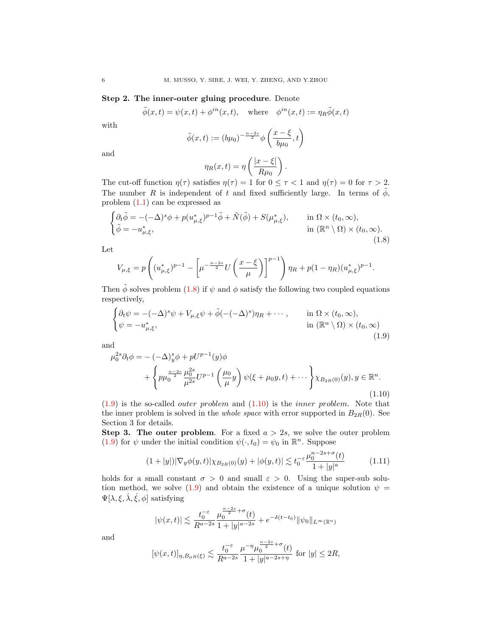# Step 2. The inner-outer gluing procedure. Denote

$$
\tilde{\phi}(x,t)=\psi(x,t)+\phi^{in}(x,t),\quad\text{where}\quad \phi^{in}(x,t):=\eta_R\tilde{\phi}(x,t)
$$

with

$$
\tilde{\phi}(x,t) := (b\mu_0)^{-\frac{n-2s}{2}} \phi\left(\frac{x-\xi}{b\mu_0},t\right)
$$

and

$$
\eta_R(x,t) = \eta\left(\frac{|x-\xi|}{R\mu_0}\right).
$$

The cut-off function  $\eta(\tau)$  satisfies  $\eta(\tau) = 1$  for  $0 \leq \tau < 1$  and  $\eta(\tau) = 0$  for  $\tau > 2$ . The number R is independent of t and fixed sufficiently large. In terms of  $\phi$ , problem  $(1.1)$  can be expressed as

<span id="page-5-0"></span>
$$
\begin{cases} \partial_t \tilde{\phi} = -(-\Delta)^s \phi + p(u_{\mu,\xi}^*)^{p-1} \tilde{\phi} + \tilde{N}(\tilde{\phi}) + S(\mu_{\mu,\xi}^*), & \text{in } \Omega \times (t_0, \infty), \\ \tilde{\phi} = -u_{\mu,\xi}^*, & \text{in } (\mathbb{R}^n \setminus \Omega) \times (t_0, \infty). \end{cases}
$$
\n(1.8)

Let

$$
V_{\mu,\xi} = p \left( (u_{\mu,\xi}^*)^{p-1} - \left[ \mu^{-\frac{n-2s}{2}} U \left( \frac{x-\xi}{\mu} \right) \right]^{p-1} \right) \eta_R + p(1-\eta_R) (u_{\mu,\xi}^*)^{p-1}.
$$

Then  $\phi$  solves problem [\(1.8\)](#page-5-0) if  $\psi$  and  $\phi$  satisfy the following two coupled equations respectively,

<span id="page-5-1"></span>
$$
\begin{cases} \partial_t \psi = -(-\Delta)^s \psi + V_{\mu,\xi} \psi + \tilde{\phi}(-(-\Delta)^s) \eta_R + \cdots, & \text{in } \Omega \times (t_0, \infty), \\ \psi = -u_{\mu,\xi}^*, & \text{in } (\mathbb{R}^n \setminus \Omega) \times (t_0, \infty) \end{cases}
$$
\n(1.9)

and

<span id="page-5-2"></span>
$$
\mu_0^{2s} \partial_t \phi = -(-\Delta)_y^s \phi + pU^{p-1}(y)\phi + \left\{ p\mu_0^{\frac{n-2s}{2}} \frac{\mu_0^{2s}}{\mu^{2s}} U^{p-1} \left( \frac{\mu_0}{\mu} y \right) \psi(\xi + \mu_0 y, t) + \cdots \right\} \chi_{B_{2R}(0)}(y), y \in \mathbb{R}^n.
$$
\n(1.10)

 $(1.9)$  is the so-called *outer problem* and  $(1.10)$  is the *inner problem*. Note that the inner problem is solved in the *whole space* with error supported in  $B_{2R}(0)$ . See Section 3 for details.

**Step 3. The outer problem.** For a fixed  $a > 2s$ , we solve the outer problem [\(1.9\)](#page-5-1) for  $\psi$  under the initial condition  $\psi(\cdot, t_0) = \psi_0$  in  $\mathbb{R}^n$ . Suppose

<span id="page-5-3"></span>
$$
(1+|y|)|\nabla_y \phi(y,t)|\chi_{B_{2R}(0)}(y)+|\phi(y,t)| \lesssim t_0^{-\varepsilon} \frac{\mu_0^{n-2s+\sigma}(t)}{1+|y|^a}
$$
 (1.11)

holds for a small constant  $\sigma > 0$  and small  $\varepsilon > 0$ . Using the super-sub solu-tion method, we solve [\(1.9\)](#page-5-1) and obtain the existence of a unique solution  $\psi =$  $\Psi[\lambda, \xi, \dot{\lambda}, \dot{\xi}, \phi]$  satisfying

$$
|\psi(x,t)| \lesssim \frac{t_0^{-\varepsilon}}{R^{a-2s}} \frac{\mu_0^{\frac{n-2s}{2}+\sigma}(t)}{1+|y|^{a-2s}} + e^{-\delta(t-t_0)} \|\psi_0\|_{L^\infty(\mathbb{R}^n)}
$$

and

$$
[\psi(x,t)]_{\eta,B_{\mu R}(\xi)} \lesssim \frac{t_0^{-\varepsilon}}{R^{a-2s}} \frac{\mu^{-\eta} \mu_0^{\frac{n-2s}{2}+\sigma}(t)}{1+|y|^{a-2s+\eta}} \text{ for } |y| \leq 2R,
$$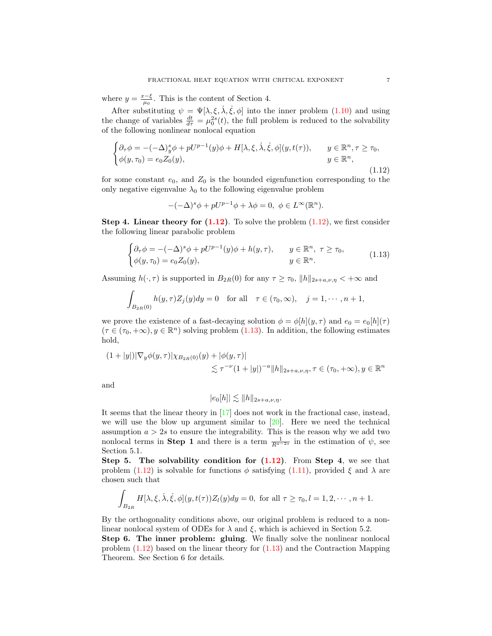where  $y = \frac{x-\xi}{\mu_0}$ . This is the content of Section 4.

After substituting  $\psi = \Psi[\lambda, \xi, \dot{\lambda}, \dot{\xi}, \phi]$  into the inner problem [\(1.10\)](#page-5-2) and using the change of variables  $\frac{dt}{d\tau} = \mu_0^{2s}(t)$ , the full problem is reduced to the solvability of the following nonlinear nonlocal equation

<span id="page-6-0"></span>
$$
\begin{cases}\n\partial_{\tau}\phi = -(-\Delta)^{s}_{y}\phi + pU^{p-1}(y)\phi + H[\lambda, \xi, \dot{\lambda}, \dot{\xi}, \phi](y, t(\tau)), & y \in \mathbb{R}^{n}, \tau \geq \tau_{0}, \\
\phi(y, \tau_{0}) = e_{0}Z_{0}(y), & y \in \mathbb{R}^{n},\n\end{cases}
$$
\n(1.12)

for some constant  $e_0$ , and  $Z_0$  is the bounded eigenfunction corresponding to the only negative eigenvalue  $\lambda_0$  to the following eigenvalue problem

$$
-(-\Delta)^s \phi + pU^{p-1}\phi + \lambda \phi = 0, \ \phi \in L^{\infty}(\mathbb{R}^n).
$$

Step 4. Linear theory for  $(1.12)$ . To solve the problem  $(1.12)$ , we first consider the following linear parabolic problem

<span id="page-6-1"></span>
$$
\begin{cases} \partial_{\tau}\phi = -(-\Delta)^{s}\phi + pU^{p-1}(y)\phi + h(y,\tau), & y \in \mathbb{R}^{n}, \ \tau \geq \tau_{0}, \\ \phi(y,\tau_{0}) = e_{0}Z_{0}(y), & y \in \mathbb{R}^{n}. \end{cases}
$$
\n(1.13)

Assuming  $h(\cdot, \tau)$  is supported in  $B_{2R}(0)$  for any  $\tau \geq \tau_0$ ,  $||h||_{2s+a,\nu,\eta} < +\infty$  and

$$
\int_{B_{2R}(0)} h(y,\tau)Z_j(y)dy = 0 \text{ for all } \tau \in (\tau_0,\infty), \quad j = 1,\cdots, n+1,
$$

we prove the existence of a fast-decaying solution  $\phi = \phi[h](y, \tau)$  and  $e_0 = e_0[h](\tau)$  $(\tau \in (\tau_0, +\infty), y \in \mathbb{R}^n)$  solving problem [\(1.13\)](#page-6-1). In addition, the following estimates hold,

$$
(1+|y|)|\nabla_y \phi(y,\tau)|\chi_{B_{2R}(0)}(y)+|\phi(y,\tau)|
$$
  

$$
\lesssim \tau^{-\nu}(1+|y|)^{-a}||h||_{2s+a,\nu,\eta}, \tau \in (\tau_0,+\infty), y \in \mathbb{R}^n
$$

and

$$
|e_0[h]| \lesssim \|h\|_{2s+a,\nu,\eta}.
$$

It seems that the linear theory in [\[17\]](#page-48-10) does not work in the fractional case, instead, we will use the blow up argument similar to [\[20\]](#page-48-12). Here we need the technical assumption  $a > 2s$  to ensure the integrability. This is the reason why we add two nonlocal terms in **Step 1** and there is a term  $\frac{1}{R^{a-2s}}$  in the estimation of  $\psi$ , see Section 5.1.

Step 5. The solvability condition for  $(1.12)$ . From Step 4, we see that problem [\(1.12\)](#page-6-0) is solvable for functions  $\phi$  satisfying [\(1.11\)](#page-5-3), provided  $\xi$  and  $\lambda$  are chosen such that

$$
\int_{B_{2R}} H[\lambda,\xi,\dot{\lambda},\dot{\xi},\phi](y,t(\tau))Z_l(y)dy=0, \text{ for all } \tau \geq \tau_0, l=1,2,\cdots,n+1.
$$

By the orthogonality conditions above, our original problem is reduced to a nonlinear nonlocal system of ODEs for  $\lambda$  and  $\xi$ , which is achieved in Section 5.2.

Step 6. The inner problem: gluing. We finally solve the nonlinear nonlocal problem [\(1.12\)](#page-6-0) based on the linear theory for [\(1.13\)](#page-6-1) and the Contraction Mapping Theorem. See Section 6 for details.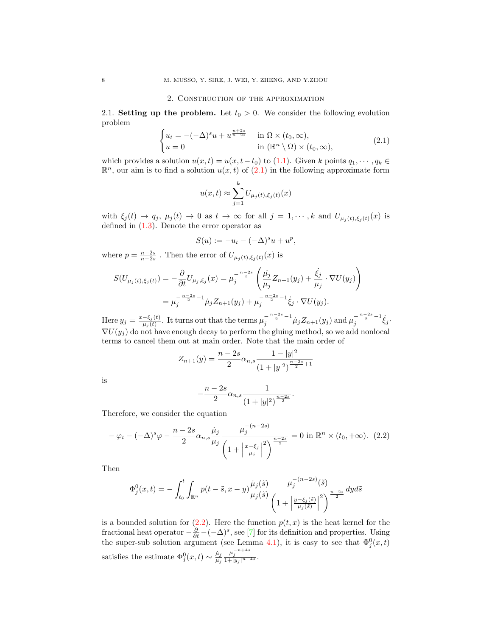### 2. Construction of the approximation

2.1. Setting up the problem. Let  $t_0 > 0$ . We consider the following evolution problem

<span id="page-7-0"></span>
$$
\begin{cases} u_t = -(-\Delta)^s u + u^{\frac{n+2s}{n-2s}} & \text{in } \Omega \times (t_0, \infty), \\ u = 0 & \text{in } (\mathbb{R}^n \setminus \Omega) \times (t_0, \infty), \end{cases} (2.1)
$$

which provides a solution  $u(x, t) = u(x, t-t_0)$  to [\(1.1\)](#page-0-0). Given k points  $q_1, \dots, q_k \in$  $\mathbb{R}^n$ , our aim is to find a solution  $u(x,t)$  of  $(2.1)$  in the following approximate form

$$
u(x,t) \approx \sum_{j=1}^{k} U_{\mu_j(t),\xi_j(t)}(x)
$$

with  $\xi_j(t) \to q_j$ ,  $\mu_j(t) \to 0$  as  $t \to \infty$  for all  $j = 1, \dots, k$  and  $U_{\mu_i(t), \xi_i(t)}(x)$  is defined in  $(1.3)$ . Denote the error operator as

$$
S(u) := -u_t - (-\Delta)^s u + u^p,
$$

where  $p = \frac{n+2s}{n-2s}$ . Then the error of  $U_{\mu_j(t),\xi_j(t)}(x)$  is

$$
S(U_{\mu_j(t),\xi_j(t)}) = -\frac{\partial}{\partial t} U_{\mu_j,\xi_j}(x) = \mu_j^{-\frac{n-2s}{2}} \left( \frac{\mu_j}{\mu_j} Z_{n+1}(y_j) + \frac{\dot{\xi}_j}{\mu_j} \cdot \nabla U(y_j) \right)
$$
  
= 
$$
\mu_j^{-\frac{n-2s}{2}-1} \dot{\mu}_j Z_{n+1}(y_j) + \mu_j^{-\frac{n-2s}{2}-1} \dot{\xi}_j \cdot \nabla U(y_j).
$$

Here  $y_j = \frac{x-\xi_j(t)}{u_j(t)}$  $\frac{-\xi_j(t)}{\mu_j(t)}$ . It turns out that the terms  $\mu_j^{-\frac{n-2s}{2}-1}\dot{\mu}_j Z_{n+1}(y_j)$  and  $\mu_j^{-\frac{n-2s}{2}-1}\dot{\xi}_j$ .  $\nabla U(y_i)$  do not have enough decay to perform the gluing method, so we add nonlocal terms to cancel them out at main order. Note that the main order of

$$
Z_{n+1}(y) = \frac{n-2s}{2} \alpha_{n,s} \frac{1-|y|^2}{(1+|y|^2)^{\frac{n-2s}{2}+1}}
$$

is

$$
-\frac{n-2s}{2}\alpha_{n,s}\frac{1}{(1+|y|^2)^{\frac{n-2s}{2}}}.
$$

Therefore, we consider the equation

<span id="page-7-1"></span>
$$
-\varphi_t - (-\Delta)^s \varphi - \frac{n-2s}{2} \alpha_{n,s} \frac{\dot{\mu}_j}{\mu_j} \frac{\mu_j^{-(n-2s)}}{\left(1 + \left|\frac{x-\xi_j}{\mu_j}\right|^2\right)^{\frac{n-2s}{2}}} = 0 \text{ in } \mathbb{R}^n \times (t_0, +\infty). \tag{2.2}
$$

Then

$$
\Phi_j^0(x,t) = -\int_{t_0}^t \int_{\mathbb{R}^n} p(t-\tilde{s},x-y) \frac{\dot{\mu}_j(\tilde{s})}{\mu_j(\tilde{s})} \frac{\mu_j^{-(n-2s)}(\tilde{s})}{\left(1+\left|\frac{y-\xi_j(\tilde{s})}{\mu_j(\tilde{s})}\right|^2\right)^{\frac{n-2s}{2}}} dyd\tilde{s}
$$

is a bounded solution for  $(2.2)$ . Here the function  $p(t, x)$  is the heat kernel for the fractional heat operator  $-\frac{\partial}{\partial t} - (-\Delta)^s$ , see [\[7\]](#page-48-15) for its definition and properties. Using the super-sub solution argument (see Lemma [4.1\)](#page-23-0), it is easy to see that  $\Phi_j^0(x,t)$ satisfies the estimate  $\Phi_j^0(x,t) \sim \frac{\dot{\mu}_j}{\mu_i}$  $\mu_j$  $\frac{\mu_j^{-n+4s}}{1+|y_j|^{n-4s}}.$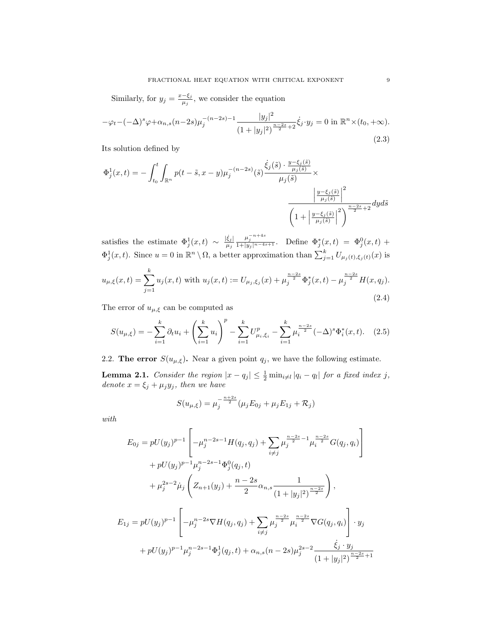Similarly, for  $y_j = \frac{x-\xi_j}{\mu_j}$  $\frac{-\xi_j}{\mu_j}$ , we consider the equation

$$
-\varphi_t - (-\Delta)^s \varphi + \alpha_{n,s}(n-2s)\mu_j^{-(n-2s)-1} \frac{|y_j|^2}{(1+|y_j|^2)^{\frac{n-2s}{2}+2}} \dot{\xi}_j \cdot y_j = 0 \text{ in } \mathbb{R}^n \times (t_0, +\infty).
$$
\n(2.3)

Its solution defined by

$$
\Phi_j^1(x,t) = -\int_{t_0}^t \int_{\mathbb{R}^n} p(t-\tilde{s}, x-y) \mu_j^{-(n-2s)}(\tilde{s}) \frac{\dot{\xi}_j(\tilde{s}) \cdot \frac{y-\xi_j(\tilde{s})}{\mu_j(\tilde{s})}}{\mu_j(\tilde{s})} \times \frac{\left|\frac{y-\xi_j(\tilde{s})}{\mu_j(\tilde{s})}\right|^2}{\left(1+\left|\frac{y-\xi_j(\tilde{s})}{\mu_j(\tilde{s})}\right|^2\right)^{\frac{n-2s}{2}+2}} dyd\tilde{s}
$$

satisfies the estimate  $\Phi_j^1(x,t) \sim \frac{|\dot{\xi}_j|}{\mu_i}$  $\mu_j$  $\frac{\mu_j^{-n+4s}}{1+|y_j|^{n-4s+1}}$ . Define  $\Phi_j^*(x,t) = \Phi_j^0(x,t) +$  $\Phi_j^1(x,t)$ . Since  $u=0$  in  $\mathbb{R}^n \setminus \Omega$ , a better approximation than  $\sum_{j=1}^k U_{\mu_j(t),\xi_j(t)}(x)$  is

<span id="page-8-1"></span>
$$
u_{\mu,\xi}(x,t) = \sum_{j=1}^{k} u_j(x,t) \text{ with } u_j(x,t) := U_{\mu_j,\xi_j}(x) + \mu_j^{\frac{n-2s}{2}} \Phi_j^*(x,t) - \mu_j^{\frac{n-2s}{2}} H(x,q_j). \tag{2.4}
$$

The error of  $u_{\mu,\xi}$  can be computed as

<span id="page-8-2"></span>
$$
S(u_{\mu,\xi}) = -\sum_{i=1}^{k} \partial_t u_i + \left(\sum_{i=1}^{k} u_i\right)^p - \sum_{i=1}^{k} U_{\mu_i,\xi_i}^p - \sum_{i=1}^{k} \mu_i^{\frac{n-2s}{2}} (-\Delta)^s \Phi_i^*(x,t). \quad (2.5)
$$

2.2. The error  $S(u_{\mu,\xi})$ . Near a given point  $q_j$ , we have the following estimate.

<span id="page-8-0"></span>**Lemma 2.1.** Consider the region  $|x - q_j| \leq \frac{1}{2} \min_{i \neq l} |q_i - q_l|$  for a fixed index j, denote  $x = \xi_j + \mu_j y_j$ , then we have

$$
S(u_{\mu,\xi}) = \mu_j^{-\frac{n+2s}{2}} (\mu_j E_{0j} + \mu_j E_{1j} + \mathcal{R}_j)
$$

with

$$
E_{0j} = pU(y_j)^{p-1} \left[ -\mu_j^{n-2s-1} H(q_j, q_j) + \sum_{i \neq j} \mu_j^{\frac{n-2s}{2} - 1} \mu_i^{\frac{n-2s}{2}} G(q_j, q_i) \right]
$$
  
+  $pU(y_j)^{p-1} \mu_j^{n-2s-1} \Phi_j^0(q_j, t)$   
+  $\mu_j^{2s-2} \mu_j \left( Z_{n+1}(y_j) + \frac{n-2s}{2} \alpha_{n,s} \frac{1}{(1+|y_j|^2)^{\frac{n-2s}{2}}} \right),$   

$$
E_{1j} = pU(y_j)^{p-1} \left[ -\mu_j^{n-2s} \nabla H(q_j, q_j) + \sum_{i \neq j} \mu_j^{\frac{n-2s}{2}} \mu_i^{\frac{n-2s}{2}} \nabla G(q_j, q_i) \right] \cdot y_j
$$
  
+  $pU(y_j)^{p-1} \mu_j^{n-2s-1} \Phi_j^1(q_j, t) + \alpha_{n,s} (n-2s) \mu_j^{2s-2} \frac{\dot{\xi}_j \cdot y_j}{(1+|y_j|^2)^{\frac{n-2s}{2}+1}}$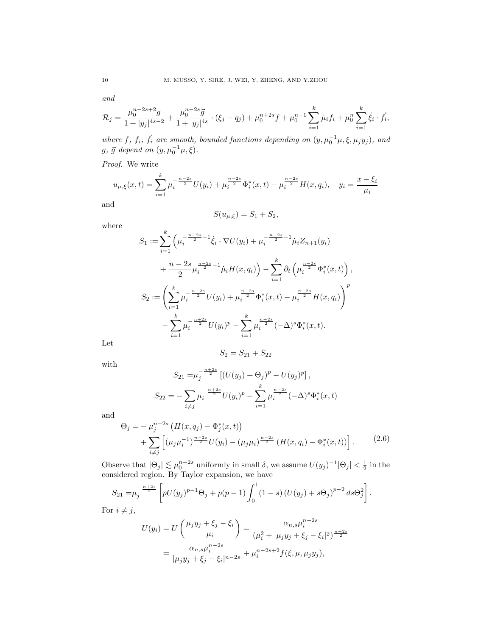and

$$
\mathcal{R}_j = \frac{\mu_0^{n-2s+2}g}{1+|y_j|^{4s-2}} + \frac{\mu_0^{n-2s}\vec{g}}{1+|y_j|^{4s}} \cdot (\xi_j - q_j) + \mu_0^{n+2s}f + \mu_0^{n-1} \sum_{i=1}^k \dot{\mu}_i f_i + \mu_0^n \sum_{i=1}^k \dot{\xi}_i \cdot \vec{f}_i,
$$

where f,  $f_i$ ,  $\vec{f}_i$  are smooth, bounded functions depending on  $(y, \mu_0^{-1}\mu, \xi, \mu_j y_j)$ , and  $g, \, \vec{g}$  depend on  $(y, \mu_0^{-1}\mu, \xi)$ .

Proof. We write

$$
u_{\mu,\xi}(x,t) = \sum_{i=1}^k \mu_i^{-\frac{n-2s}{2}} U(y_i) + \mu_i^{\frac{n-2s}{2}} \Phi_i^*(x,t) - \mu_i^{\frac{n-2s}{2}} H(x,q_i), \quad y_i = \frac{x-\xi_i}{\mu_i}
$$

and

$$
S(u_{\mu,\xi}) = S_1 + S_2,
$$

where

$$
S_1 := \sum_{i=1}^k \left( \mu_i^{-\frac{n-2s}{2} - 1} \dot{\xi}_i \cdot \nabla U(y_i) + \mu_i^{-\frac{n-2s}{2} - 1} \dot{\mu}_i Z_{n+1}(y_i) \right. \n+ \frac{n-2s}{2} \mu_i^{\frac{n-2s}{2} - 1} \dot{\mu}_i H(x, q_i) \right) - \sum_{i=1}^k \partial_t \left( \mu_i^{\frac{n-2s}{2}} \Phi_i^*(x, t) \right),
$$
  
\n
$$
S_2 := \left( \sum_{i=1}^k \mu_i^{-\frac{n-2s}{2}} U(y_i) + \mu_i^{\frac{n-2s}{2}} \Phi_i^*(x, t) - \mu_i^{\frac{n-2s}{2}} H(x, q_i) \right)^p - \sum_{i=1}^k \mu_i^{-\frac{n+2s}{2}} U(y_i)^p - \sum_{i=1}^k \mu_i^{\frac{n-2s}{2}} (-\Delta)^s \Phi_i^*(x, t).
$$

Let

$$
S_2 = S_{21} + S_{22}
$$

with

$$
S_{21} = \mu_j^{-\frac{n+2s}{2}} \left[ (U(y_j) + \Theta_j)^p - U(y_j)^p \right],
$$
  
\n
$$
S_{22} = -\sum_{i \neq j} \mu_i^{-\frac{n+2s}{2}} U(y_i)^p - \sum_{i=1}^k \mu_i^{-\frac{n-2s}{2}} (-\Delta)^s \Phi_i^*(x, t)
$$

and

<span id="page-9-0"></span>
$$
\Theta_j = -\mu_j^{n-2s} \left( H(x, q_j) - \Phi_j^*(x, t) \right) + \sum_{i \neq j} \left[ (\mu_j \mu_i^{-1})^{\frac{n-2s}{2}} U(y_i) - (\mu_j \mu_i)^{\frac{n-2s}{2}} \left( H(x, q_i) - \Phi_i^*(x, t) \right) \right].
$$
 (2.6)

Observe that  $|\Theta_j| \lesssim \mu_0^{n-2s}$  uniformly in small  $\delta$ , we assume  $U(y_j)^{-1} |\Theta_j| < \frac{1}{2}$  in the considered region. By Taylor expansion, we have

$$
S_{21} = \mu_j^{-\frac{n+2s}{2}} \left[ pU(y_j)^{p-1} \Theta_j + p(p-1) \int_0^1 (1-s) (U(y_j) + s \Theta_j)^{p-2} ds \Theta_j^2 \right].
$$

For  $i \neq j$ ,

$$
U(y_i) = U\left(\frac{\mu_j y_j + \xi_j - \xi_i}{\mu_i}\right) = \frac{\alpha_{n,s} \mu_i^{n-2s}}{(\mu_i^2 + |\mu_j y_j + \xi_j - \xi_i|^2)^{\frac{n-2s}{2}}} \\
= \frac{\alpha_{n,s} \mu_i^{n-2s}}{|\mu_j y_j + \xi_j - \xi_i|^{n-2s}} + \mu_i^{n-2s+2} f(\xi, \mu, \mu_j y_j),
$$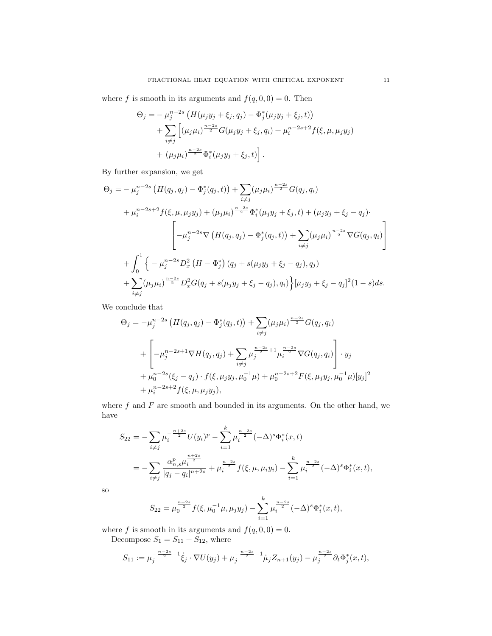where f is smooth in its arguments and  $f(q, 0, 0) = 0$ . Then

$$
\Theta_j = -\mu_j^{n-2s} \left( H(\mu_j y_j + \xi_j, q_j) - \Phi_j^*(\mu_j y_j + \xi_j, t) \right) + \sum_{i \neq j} \left[ (\mu_j \mu_i)^{\frac{n-2s}{2}} G(\mu_j y_j + \xi_j, q_i) + \mu_i^{n-2s+2} f(\xi, \mu, \mu_j y_j) + (\mu_j \mu_i)^{\frac{n-2s}{2}} \Phi_i^*(\mu_j y_j + \xi_j, t) \right].
$$

By further expansion, we get

$$
\Theta_{j} = -\mu_{j}^{n-2s} \left( H(q_{j}, q_{j}) - \Phi_{j}^{*}(q_{j}, t) \right) + \sum_{i \neq j} (\mu_{j} \mu_{i})^{\frac{n-2s}{2}} G(q_{j}, q_{i}) \n+ \mu_{i}^{n-2s+2} f(\xi, \mu, \mu_{j} y_{j}) + (\mu_{j} \mu_{i})^{\frac{n-2s}{2}} \Phi_{i}^{*}(\mu_{j} y_{j} + \xi_{j}, t) + (\mu_{j} y_{j} + \xi_{j} - q_{j}) \cdot \n- \mu_{j}^{n-2s} \nabla \left( H(q_{j}, q_{j}) - \Phi_{j}^{*}(q_{j}, t) \right) + \sum_{i \neq j} (\mu_{j} \mu_{i})^{\frac{n-2s}{2}} \nabla G(q_{j}, q_{i}) \n+ \int_{0}^{1} \left\{ -\mu_{j}^{n-2s} D_{x}^{2} \left( H - \Phi_{j}^{*} \right) (q_{j} + s(\mu_{j} y_{j} + \xi_{j} - q_{j}), q_{j}) \right. \n+ \sum_{i \neq j} (\mu_{j} \mu_{i})^{\frac{n-2s}{2}} D_{x}^{2} G(q_{j} + s(\mu_{j} y_{j} + \xi_{j} - q_{j}), q_{i}) \right\} [\mu_{j} y_{j} + \xi_{j} - q_{j}]^{2} (1 - s) ds.
$$

We conclude that

$$
\Theta_j = -\mu_j^{n-2s} \left( H(q_j, q_j) - \Phi_j^*(q_j, t) \right) + \sum_{i \neq j} (\mu_j \mu_i)^{\frac{n-2s}{2}} G(q_j, q_i)
$$
  
+ 
$$
\left[ -\mu_j^{n-2s+1} \nabla H(q_j, q_j) + \sum_{i \neq j} \mu_j^{\frac{n-2s}{2}+1} \mu_i^{\frac{n-2s}{2}} \nabla G(q_j, q_i) \right] \cdot y_j
$$
  
+ 
$$
\mu_0^{n-2s} (\xi_j - q_j) \cdot f(\xi, \mu_j y_j, \mu_0^{-1} \mu) + \mu_0^{n-2s+2} F(\xi, \mu_j y_j, \mu_0^{-1} \mu) [y_j]^2
$$
  
+ 
$$
\mu_i^{n-2s+2} f(\xi, \mu, \mu_j y_j),
$$

where  $f$  and  $F$  are smooth and bounded in its arguments. On the other hand, we have

$$
S_{22} = -\sum_{i \neq j} \mu_i^{-\frac{n+2s}{2}} U(y_i)^p - \sum_{i=1}^k \mu_i^{\frac{n-2s}{2}} (-\Delta)^s \Phi_i^*(x, t)
$$
  
= 
$$
-\sum_{i \neq j} \frac{\alpha_{n,s}^p \mu_i^{\frac{n+2s}{2}}}{|q_j - q_i|^{n+2s}} + \mu_i^{\frac{n+2s}{2}} f(\xi, \mu, \mu_i y_i) - \sum_{i=1}^k \mu_i^{\frac{n-2s}{2}} (-\Delta)^s \Phi_i^*(x, t),
$$

so

$$
S_{22} = \mu_0^{\frac{n+2s}{2}} f(\xi, \mu_0^{-1} \mu, \mu_j y_j) - \sum_{i=1}^k \mu_i^{\frac{n-2s}{2}} (-\Delta)^s \Phi_i^*(x, t),
$$

where f is smooth in its arguments and  $f(q, 0, 0) = 0$ .

Decompose  $S_1 = S_{11} + S_{12}$ , where

$$
S_{11} := \mu_j^{-\frac{n-2s}{2}-1} \dot{\xi}_j \cdot \nabla U(y_j) + \mu_j^{-\frac{n-2s}{2}-1} \dot{\mu}_j Z_{n+1}(y_j) - \mu_j^{\frac{n-2s}{2}} \partial_t \Phi_j^*(x,t),
$$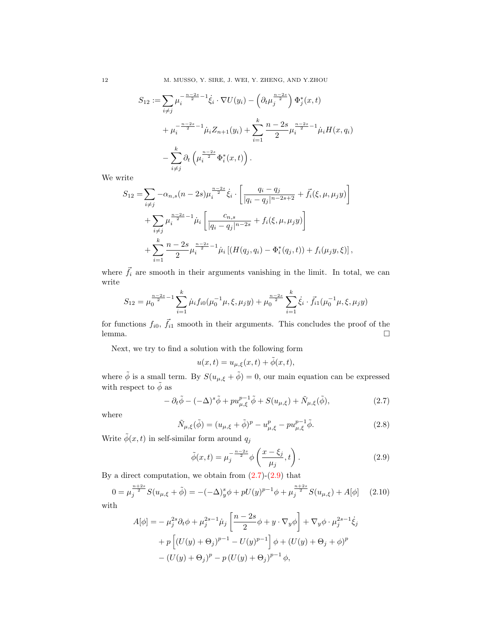12 M. MUSSO, Y. SIRE, J. WEI, Y. ZHENG, AND Y.ZHOU

$$
S_{12} := \sum_{i \neq j} \mu_i^{-\frac{n-2s}{2} - 1} \dot{\xi}_i \cdot \nabla U(y_i) - \left(\partial_t \mu_j^{\frac{n-2s}{2}}\right) \Phi_j^*(x, t)
$$
  
+ 
$$
\mu_i^{-\frac{n-2s}{2} - 1} \dot{\mu}_i Z_{n+1}(y_i) + \sum_{i=1}^k \frac{n-2s}{2} \mu_i^{\frac{n-2s}{2} - 1} \dot{\mu}_i H(x, q_i)
$$
  
- 
$$
\sum_{i \neq j}^k \partial_t \left(\mu_i^{\frac{n-2s}{2}} \Phi_i^*(x, t)\right).
$$

We write

$$
S_{12} = \sum_{i \neq j} -\alpha_{n,s}(n-2s)\mu_i^{\frac{n-2s}{2}} \dot{\xi}_i \cdot \left[ \frac{q_i - q_j}{|q_i - q_j|^{n-2s+2}} + \vec{f}_i(\xi, \mu, \mu_j y) \right] + \sum_{i \neq j} \mu_i^{\frac{n-2s}{2} - 1} \dot{\mu}_i \left[ \frac{c_{n,s}}{|q_i - q_j|^{n-2s}} + f_i(\xi, \mu, \mu_j y) \right] + \sum_{i=1}^k \frac{n-2s}{2} \mu_i^{\frac{n-2s}{2} - 1} \dot{\mu}_i \left[ (H(q_j, q_i) - \Phi_i^*(q_j, t)) + f_i(\mu_j y, \xi) \right],
$$

where  $\vec{f}_i$  are smooth in their arguments vanishing in the limit. In total, we can write

$$
S_{12} = \mu_0^{\frac{n-2s}{2}-1} \sum_{i=1}^k \dot{\mu}_i f_{i0}(\mu_0^{-1}\mu, \xi, \mu_j y) + \mu_0^{\frac{n-2s}{2}} \sum_{i=1}^k \dot{\xi}_i \cdot \vec{f}_{i1}(\mu_0^{-1}\mu, \xi, \mu_j y)
$$

for functions  $f_{i0}$ ,  $\vec{f}_{i1}$  smooth in their arguments. This concludes the proof of the lemma.

Next, we try to find a solution with the following form

$$
u(x,t) = u_{\mu,\xi}(x,t) + \tilde{\phi}(x,t),
$$

where  $\tilde{\phi}$  is a small term. By  $S(u_{\mu,\xi} + \tilde{\phi}) = 0$ , our main equation can be expressed with respect to  $\tilde{\phi}$  as

<span id="page-11-0"></span>
$$
- \partial_t \tilde{\phi} - (-\Delta)^s \tilde{\phi} + p u_{\mu,\xi}^{p-1} \tilde{\phi} + S(u_{\mu,\xi}) + \tilde{N}_{\mu,\xi}(\tilde{\phi}), \qquad (2.7)
$$

where

$$
\tilde{N}_{\mu,\xi}(\tilde{\phi}) = (u_{\mu,\xi} + \tilde{\phi})^p - u_{\mu,\xi}^p - p u_{\mu,\xi}^{p-1} \tilde{\phi}.
$$
\n(2.8)

Write  $\tilde{\phi}(x,t)$  in self-similar form around  $q_j$ 

<span id="page-11-1"></span>
$$
\tilde{\phi}(x,t) = \mu_j^{-\frac{n-2s}{2}} \phi\left(\frac{x-\xi_j}{\mu_j},t\right). \tag{2.9}
$$

By a direct computation, we obtain from  $(2.7)-(2.9)$  $(2.7)-(2.9)$  that

<span id="page-11-2"></span>
$$
0 = \mu_j^{\frac{n+2s}{2}} S(u_{\mu,\xi} + \tilde{\phi}) = -(-\Delta)_y^s \phi + pU(y)^{p-1} \phi + \mu_j^{\frac{n+2s}{2}} S(u_{\mu,\xi}) + A[\phi]
$$
(2.10)

with

$$
A[\phi] = -\mu_j^{2s} \partial_t \phi + \mu_j^{2s-1} \mu_j \left[ \frac{n-2s}{2} \phi + y \cdot \nabla_y \phi \right] + \nabla_y \phi \cdot \mu_j^{2s-1} \dot{\xi}_j
$$
  
+  $p \left[ (U(y) + \Theta_j)^{p-1} - U(y)^{p-1} \right] \phi + (U(y) + \Theta_j + \phi)^p$   
-  $(U(y) + \Theta_j)^p - p (U(y) + \Theta_j)^{p-1} \phi$ ,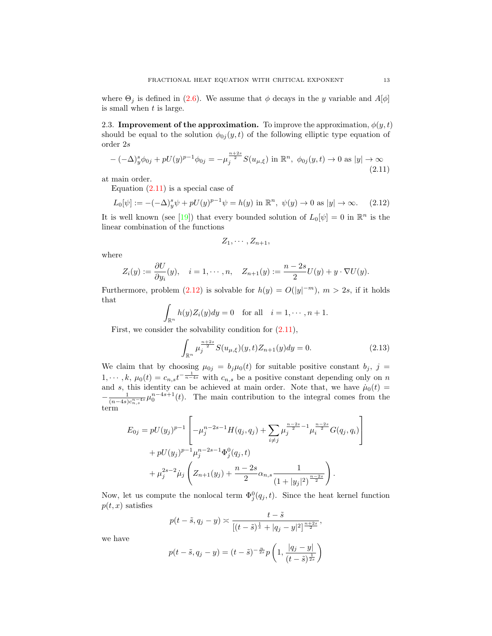where  $\Theta_i$  is defined in [\(2.6\)](#page-9-0). We assume that  $\phi$  decays in the y variable and  $A[\phi]$ is small when  $t$  is large.

2.3. Improvement of the approximation. To improve the approximation,  $\phi(y, t)$ should be equal to the solution  $\phi_{0j}(y, t)$  of the following elliptic type equation of order 2s

<span id="page-12-0"></span>
$$
-(-\Delta)^s_y \phi_{0j} + pU(y)^{p-1} \phi_{0j} = -\mu_j^{\frac{n+2s}{2}} S(u_{\mu,\xi}) \text{ in } \mathbb{R}^n, \ \phi_{0j}(y,t) \to 0 \text{ as } |y| \to \infty \tag{2.11}
$$

at main order.

Equation  $(2.11)$  is a special case of

<span id="page-12-1"></span>
$$
L_0[\psi] := -(-\Delta)_y^s \psi + pU(y)^{p-1} \psi = h(y) \text{ in } \mathbb{R}^n, \ \psi(y) \to 0 \text{ as } |y| \to \infty. \tag{2.12}
$$

It is well known (see [\[19\]](#page-48-14)) that every bounded solution of  $L_0[\psi] = 0$  in  $\mathbb{R}^n$  is the linear combination of the functions

$$
Z_1,\cdots,Z_{n+1},
$$

where

$$
Z_i(y) := \frac{\partial U}{\partial y_i}(y), \quad i = 1, \cdots, n, \quad Z_{n+1}(y) := \frac{n-2s}{2}U(y) + y \cdot \nabla U(y).
$$

Furthermore, problem [\(2.12\)](#page-12-1) is solvable for  $h(y) = O(|y|^{-m})$ ,  $m > 2s$ , if it holds that

$$
\int_{\mathbb{R}^n} h(y) Z_i(y) dy = 0 \quad \text{for all} \quad i = 1, \cdots, n+1.
$$

First, we consider the solvability condition for  $(2.11)$ ,

<span id="page-12-2"></span>
$$
\int_{\mathbb{R}^n} \mu_j^{\frac{n+2s}{2}} S(u_{\mu,\xi})(y,t) Z_{n+1}(y) dy = 0.
$$
 (2.13)

We claim that by choosing  $\mu_{0j} = b_j \mu_0(t)$  for suitable positive constant  $b_j$ ,  $j =$  $1, \dots, k, \mu_0(t) = c_{n,s} t^{-\frac{1}{n-4s}}$  with  $c_{n,s}$  be a positive constant depending only on n and s, this identity can be achieved at main order. Note that, we have  $\dot{\mu}_0(t) =$  $-\frac{1}{(1-4)}$  $\frac{1}{(n-4s)c_{n,s}^{n-4s}}\mu_0^{n-4s+1}(t)$ . The main contribution to the integral comes from the term

$$
E_{0j} = pU(y_j)^{p-1} \left[ -\mu_j^{n-2s-1} H(q_j, q_j) + \sum_{i \neq j} \mu_j^{\frac{n-2s}{2}-1} \mu_i^{\frac{n-2s}{2}} G(q_j, q_i) \right] + pU(y_j)^{p-1} \mu_j^{n-2s-1} \Phi_j^0(q_j, t) + \mu_j^{2s-2} \mu_j \left( Z_{n+1}(y_j) + \frac{n-2s}{2} \alpha_{n,s} \frac{1}{(1+|y_j|^2)^{\frac{n-2s}{2}} } \right).
$$

Now, let us compute the nonlocal term  $\Phi_j^0(q_j, t)$ . Since the heat kernel function  $p(t, x)$  satisfies

$$
p(t-\tilde{s}, q_j - y) \asymp \frac{t-\tilde{s}}{[(t-\tilde{s})^{\frac{1}{s}} + |q_j - y|^2]^{\frac{n+2s}{2}}},
$$

we have

$$
p(t - \tilde{s}, q_j - y) = (t - \tilde{s})^{-\frac{n}{2s}} p\left(1, \frac{|q_j - y|}{(t - \tilde{s})^{\frac{1}{2s}}}\right)
$$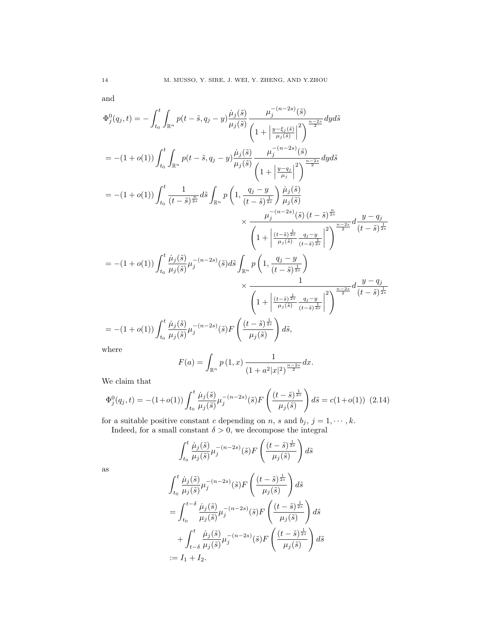and

$$
\Phi_{j}^{0}(q_{j},t) = -\int_{t_{0}}^{t} \int_{\mathbb{R}^{n}} p(t-\tilde{s},q_{j}-y) \frac{\dot{\mu}_{j}(\tilde{s})}{\mu_{j}(\tilde{s})} \frac{\mu_{j}^{-(n-2s)}(\tilde{s})}{\left(1+\left|\frac{y-\xi_{j}(\tilde{s})}{\mu_{j}(\tilde{s})}\right|^{2}\right)^{\frac{n-2s}{2}}} dyd\tilde{s}
$$
\n
$$
= -(1+o(1)) \int_{t_{0}}^{t} \int_{\mathbb{R}^{n}} p(t-\tilde{s},q_{j}-y) \frac{\dot{\mu}_{j}(\tilde{s})}{\mu_{j}(\tilde{s})} \frac{\mu_{j}^{-(n-2s)}(\tilde{s})}{\left(1+\left|\frac{y-q_{j}}{\mu_{j}}\right|^{2}\right)^{\frac{n-2s}{2}}} dyd\tilde{s}
$$
\n
$$
= -(1+o(1)) \int_{t_{0}}^{t} \frac{1}{(t-\tilde{s})^{\frac{n}{2s}}} d\tilde{s} \int_{\mathbb{R}^{n}} p\left(1, \frac{q_{j}-y}{(t-\tilde{s})^{\frac{1}{2s}}}\right) \frac{\dot{\mu}_{j}(\tilde{s})}{\mu_{j}(\tilde{s})} \times \frac{\mu_{j}^{-(n-2s)}(\tilde{s}) (t-\tilde{s})^{\frac{n}{2s}}}{\left(1+\left|\frac{(t-\tilde{s})^{\frac{1}{2s}}}{\mu_{j}(\tilde{s})}\frac{q_{j}-y}{(t-\tilde{s})^{\frac{1}{2s}}}\right|\right)^{2}} \frac{1}{2}
$$
\n
$$
= -(1+o(1)) \int_{t_{0}}^{t} \frac{\dot{\mu}_{j}(\tilde{s})}{\mu_{j}(\tilde{s})} \mu_{j}^{-(n-2s)}(\tilde{s})d\tilde{s} \int_{\mathbb{R}^{n}} p\left(1, \frac{q_{j}-y}{(t-\tilde{s})^{\frac{1}{2s}}}\right) \times \frac{1}{\left(1+\left|\frac{(t-\tilde{s})^{\frac{1}{2s}}}{\mu_{j}(\tilde{s})}\frac{q_{j}-y}{(t-\tilde{s})^{\frac{1}{2s}}}\right|^{2}\right)^{\frac{n-2s}{2}}}d\frac{y-q_{j}}{(t-\tilde{s})^{\frac{1}{2s
$$

where

$$
F(a) = \int_{\mathbb{R}^n} p(1, x) \frac{1}{(1 + a^2 |x|^2)^{\frac{n - 2s}{2}}} dx.
$$

We claim that

<span id="page-13-0"></span>
$$
\Phi_j^0(q_j, t) = -(1+o(1)) \int_{t_0}^t \frac{\dot{\mu}_j(\tilde{s})}{\mu_j(\tilde{s})} \mu_j^{-(n-2s)}(\tilde{s}) F\left(\frac{(t-\tilde{s})^{\frac{1}{2s}}}{\mu_j(\tilde{s})}\right) d\tilde{s} = c(1+o(1)) \tag{2.14}
$$

for a suitable positive constant c depending on n, s and  $b_j$ ,  $j = 1, \dots, k$ .

Indeed, for a small constant  $\delta > 0$ , we decompose the integral

$$
\int_{t_0}^t \frac{\dot{\mu}_j(\tilde{s})}{\mu_j(\tilde{s})} \mu_j^{-(n-2s)}(\tilde{s}) F\left(\frac{(t-\tilde{s})^{\frac{1}{2s}}}{\mu_j(\tilde{s})}\right) d\tilde{s}
$$

as

$$
\int_{t_0}^t \frac{\dot{\mu}_j(\tilde{s})}{\mu_j(\tilde{s})} \mu_j^{-(n-2s)}(\tilde{s}) F\left(\frac{(t-\tilde{s})^{\frac{1}{2s}}}{\mu_j(\tilde{s})}\right) d\tilde{s}
$$
  
= 
$$
\int_{t_0}^{t-\delta} \frac{\dot{\mu}_j(\tilde{s})}{\mu_j(\tilde{s})} \mu_j^{-(n-2s)}(\tilde{s}) F\left(\frac{(t-\tilde{s})^{\frac{1}{2s}}}{\mu_j(\tilde{s})}\right) d\tilde{s}
$$
  
+ 
$$
\int_{t-\delta}^t \frac{\dot{\mu}_j(\tilde{s})}{\mu_j(\tilde{s})} \mu_j^{-(n-2s)}(\tilde{s}) F\left(\frac{(t-\tilde{s})^{\frac{1}{2s}}}{\mu_j(\tilde{s})}\right) d\tilde{s}
$$
  
:=  $I_1 + I_2$ .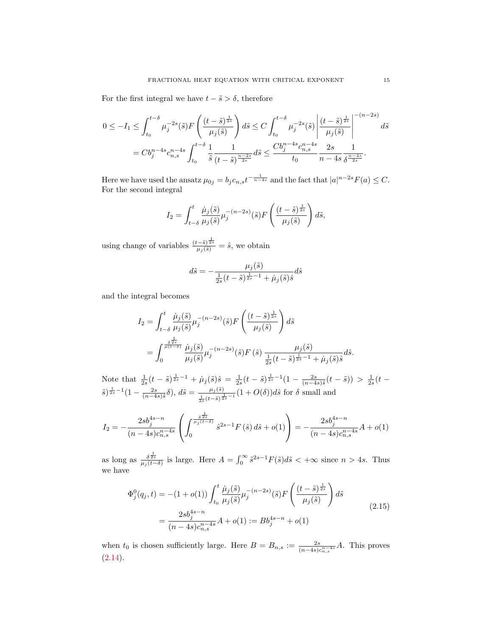For the first integral we have  $t - \tilde{s} > \delta$ , therefore

$$
0 \le -I_1 \le \int_{t_0}^{t-\delta} \mu_j^{-2s}(\tilde{s}) F\left(\frac{(t-\tilde{s})^{\frac{1}{2s}}}{\mu_j(\tilde{s})}\right) d\tilde{s} \le C \int_{t_0}^{t-\delta} \mu_j^{-2s}(\tilde{s}) \left|\frac{(t-\tilde{s})^{\frac{1}{2s}}}{\mu_j(\tilde{s})}\right|^{-(n-2s)} d\tilde{s}
$$
  
=  $Cb_j^{n-4s} c_{n,s}^{n-4s} \int_{t_0}^{t-\delta} \frac{1}{\tilde{s}} \frac{1}{(t-\tilde{s})^{\frac{n-2s}{2s}}} d\tilde{s} \le \frac{Cb_j^{n-4s} c_{n,s}^{n-4s}}{t_0} \frac{2s}{n-4s} \frac{1}{\delta^{\frac{n-4s}{2s}}}.$ 

Here we have used the ansatz  $\mu_{0j} = b_j c_{n,s} t^{-\frac{1}{n-4s}}$  and the fact that  $|a|^{n-2s} F(a) \leq C$ . For the second integral

$$
I_2 = \int_{t-\delta}^t \frac{\dot{\mu}_j(\tilde{s})}{\mu_j(\tilde{s})} \mu_j^{-(n-2s)}(\tilde{s}) F\left(\frac{(t-\tilde{s})^{\frac{1}{2s}}}{\mu_j(\tilde{s})}\right) d\tilde{s},
$$

using change of variables  $\frac{(t-\tilde{s})^{\frac{1}{2s}}}{\mu_j(\tilde{s})} = \hat{s}$ , we obtain

$$
d\tilde{s} = -\frac{\mu_j(\tilde{s})}{\frac{1}{2s}(t-\tilde{s})^{\frac{1}{2s}-1} + \mu_j(\tilde{s})\hat{s}} d\hat{s}
$$

and the integral becomes

$$
I_2 = \int_{t-\delta}^t \frac{\dot{\mu}_j(\tilde{s})}{\mu_j(\tilde{s})} \mu_j^{-(n-2s)}(\tilde{s}) F\left(\frac{(t-\tilde{s})^{\frac{1}{2s}}}{\mu_j(\tilde{s})}\right) d\tilde{s}
$$
  
= 
$$
\int_0^{\frac{\delta^{\frac{1}{2s}}}{\mu(t-\delta)}} \frac{\dot{\mu}_j(\tilde{s})}{\mu_j(\tilde{s})} \mu_j^{-(n-2s)}(\tilde{s}) F(\hat{s}) \frac{\mu_j(\tilde{s})}{\frac{1}{2s}(t-\tilde{s})^{\frac{1}{2s}-1} + \dot{\mu}_j(\tilde{s}) \tilde{s}} d\hat{s}.
$$

Note that  $\frac{1}{2s}(t-\tilde{s})^{\frac{1}{2s}-1} + \mu_j(\tilde{s})\hat{s} = \frac{1}{2s}(t-\tilde{s})^{\frac{1}{2s}-1}(1-\frac{2s}{(n-4s)\tilde{s}}(t-\tilde{s})) > \frac{1}{2s}(t-\tilde{s})$  $(\tilde{s})^{\frac{1}{2s}-1}(1-\frac{2s}{(n-4s)\tilde{s}}\delta), d\tilde{s}=\frac{\mu_j(\tilde{s})}{1-(t-\tilde{s})^{\frac{1}{2s}}}$  $\frac{\mu_j(s)}{2s^{(t-\tilde{s})\frac{1}{2s}-1}}(1+O(\delta))d\hat{s}$  for  $\delta$  small and

$$
I_2 = -\frac{2s b_j^{4s-n}}{(n-4s)c_{n,s}^{n-4s}} \left( \int_0^{\frac{s^{\frac{1}{2s}}}{\mu_j(t-\delta)}} \hat{s}^{2s-1} F(\hat{s}) d\hat{s} + o(1) \right) = -\frac{2s b_j^{4s-n}}{(n-4s)c_{n,s}^{n-4s}} A + o(1)
$$

as long as  $\frac{\delta^{\frac{1}{2s}}}{\mu_j(t-\delta)}$  is large. Here  $A = \int_0^\infty \tilde{s}^{2s-1} F(\tilde{s}) d\tilde{s} < +\infty$  since  $n > 4s$ . Thus we have

<span id="page-14-0"></span>
$$
\Phi_j^0(q_j, t) = -(1 + o(1)) \int_{t_0}^t \frac{\dot{\mu}_j(\tilde{s})}{\mu_j(\tilde{s})} \mu_j^{-(n-2s)}(\tilde{s}) F\left(\frac{(t-\tilde{s})^{\frac{1}{2s}}}{\mu_j(\tilde{s})}\right) d\tilde{s}
$$
\n
$$
= \frac{2s b_j^{4s-n}}{(n-4s)c_{n,s}^{n-4s}} A + o(1) := B b_j^{4s-n} + o(1)
$$
\n(2.15)

when  $t_0$  is chosen sufficiently large. Here  $B = B_{n,s} := \frac{2s}{(n-4s)c_{n,s}^{n-4s}}A$ . This proves  $(2.14).$  $(2.14).$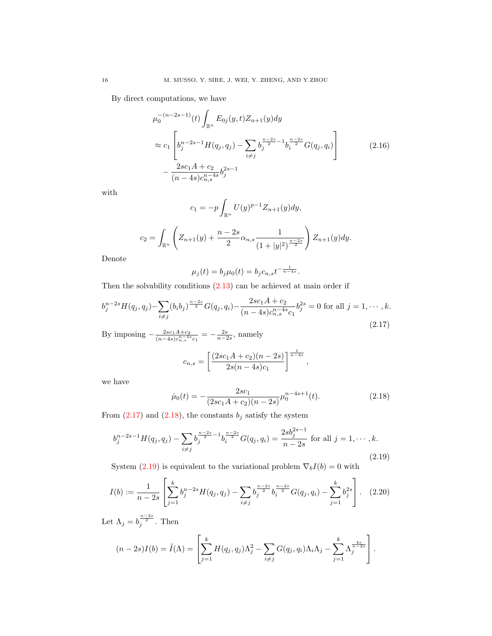By direct computations, we have

$$
\mu_0^{-(n-2s-1)}(t) \int_{\mathbb{R}^n} E_{0j}(y, t) Z_{n+1}(y) dy
$$
\n
$$
\approx c_1 \left[ b_j^{n-2s-1} H(q_j, q_j) - \sum_{i \neq j} b_j^{\frac{n-2s}{2} - 1} b_i^{\frac{n-2s}{2}} G(q_j, q_i) \right]
$$
\n
$$
- \frac{2sc_1 A + c_2}{(n-4s)c_{n,s}^{n-4s}} b_j^{2s-1}
$$
\n(2.16)

with

$$
c_1 = -p \int_{\mathbb{R}^n} U(y)^{p-1} Z_{n+1}(y) dy,
$$
  

$$
c_2 = \int_{\mathbb{R}^n} \left( Z_{n+1}(y) + \frac{n-2s}{2} \alpha_{n,s} \frac{1}{(1+|y|^2)^{\frac{n-2s}{2}}} \right) Z_{n+1}(y) dy.
$$

Denote

$$
\mu_j(t) = b_j \mu_0(t) = b_j c_{n,s} t^{-\frac{1}{n-4s}}.
$$

Then the solvability conditions  $(2.13)$  can be achieved at main order if

<span id="page-15-0"></span>
$$
b_j^{n-2s}H(q_j, q_j) - \sum_{i \neq j} (b_i b_j)^{\frac{n-2s}{2}} G(q_j, q_i) - \frac{2sc_1 A + c_2}{(n-4s)c_{n,s}^{n-4s}c_1} b_j^{2s} = 0 \text{ for all } j = 1, \cdots, k. \tag{2.17}
$$

By imposing  $-\frac{2sc_1A+c_2}{(c_1-A_1)\cdot n-4s}$  $\frac{2sc_1A + c_2}{(n-4s)c_{n,s}^{n-4s}c_1} = -\frac{2s}{n-2s}$ , namely

$$
c_{n,s} = \left[\frac{(2sc_1A + c_2)(n-2s)}{2s(n-4s)c_1}\right]^{\frac{1}{n-4s}},
$$

we have

<span id="page-15-1"></span>
$$
\dot{\mu}_0(t) = -\frac{2sc_1}{(2sc_1A + c_2)(n - 2s)} \mu_0^{n - 4s + 1}(t). \tag{2.18}
$$

From  $(2.17)$  and  $(2.18)$ , the constants  $b_j$  satisfy the system

<span id="page-15-2"></span>
$$
b_j^{n-2s-1}H(q_j, q_j) - \sum_{i \neq j} b_j^{\frac{n-2s}{2}-1} b_i^{\frac{n-2s}{2}} G(q_j, q_i) = \frac{2s b_j^{2s-1}}{n-2s} \text{ for all } j = 1, \cdots, k.
$$
\n(2.19)

System [\(2.19\)](#page-15-2) is equivalent to the variational problem  $\nabla_b I(b) = 0$  with

$$
I(b) := \frac{1}{n-2s} \left[ \sum_{j=1}^{k} b_j^{n-2s} H(q_j, q_j) - \sum_{i \neq j} b_j^{\frac{n-2s}{2}} b_i^{\frac{n-2s}{2}} G(q_j, q_i) - \sum_{j=1}^{k} b_j^{2s} \right].
$$
 (2.20)

Let  $\Lambda_j = b_j^{\frac{n-2s}{2}}$ . Then

$$
(n-2s)I(b) = \tilde{I}(\Lambda) = \left[\sum_{j=1}^k H(q_j, q_j)\Lambda_j^2 - \sum_{i \neq j} G(q_j, q_i)\Lambda_i\Lambda_j - \sum_{j=1}^k \Lambda_j^{\frac{4s}{n-2s}}\right].
$$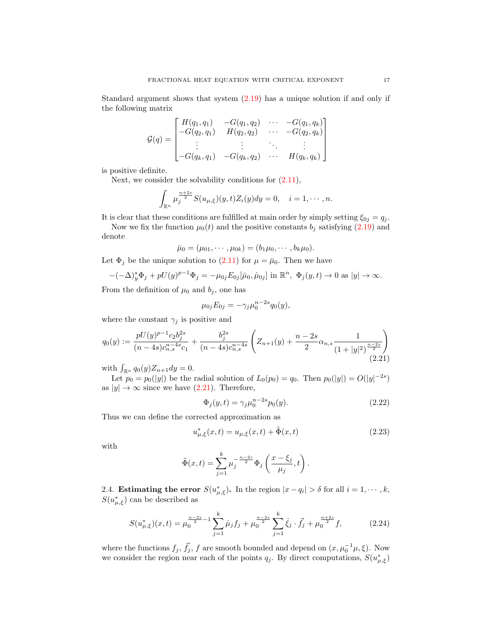Standard argument shows that system [\(2.19\)](#page-15-2) has a unique solution if and only if the following matrix

$$
G(q) = \begin{bmatrix} H(q_1, q_1) & -G(q_1, q_2) & \cdots & -G(q_1, q_k) \\ -G(q_2, q_1) & H(q_2, q_2) & \cdots & -G(q_2, q_k) \\ \vdots & \vdots & \ddots & \vdots \\ -G(q_k, q_1) & -G(q_k, q_2) & \cdots & H(q_k, q_k) \end{bmatrix}
$$

is positive definite.

Next, we consider the solvability conditions for  $(2.11)$ ,

$$
\int_{\mathbb{R}^n} \mu_j^{\frac{n+2s}{2}} S(u_{\mu,\xi})(y,t) Z_i(y) dy = 0, \quad i = 1, \cdots, n.
$$

It is clear that these conditions are fulfilled at main order by simply setting  $\xi_{0j} = q_j$ .

Now we fix the function  $\mu_0(t)$  and the positive constants  $b_j$  satisfying [\(2.19\)](#page-15-2) and denote

$$
\bar{\mu}_0 = (\mu_{01}, \cdots, \mu_{0k}) = (b_1\mu_0, \cdots, b_k\mu_0).
$$

Let  $\Phi_j$  be the unique solution to  $(2.11)$  for  $\mu = \bar{\mu}_0$ . Then we have

$$
-(-\Delta)^s_y \Phi_j + pU(y)^{p-1} \Phi_j = -\mu_{0j} E_{0j} [\bar{\mu}_0, \dot{\mu}_{0j}] \text{ in } \mathbb{R}^n, \ \Phi_j(y, t) \to 0 \text{ as } |y| \to \infty.
$$

From the definition of  $\mu_0$  and  $b_j$ , one has

$$
\mu_{0j}E_{0j}=-\gamma_j\mu_0^{n-2s}q_0(y),
$$

where the constant  $\gamma_j$  is positive and

<span id="page-16-0"></span>
$$
q_0(y) := \frac{pU(y)^{p-1}c_2b_j^{2s}}{(n-4s)c_{n,s}^{n-4s}c_1} + \frac{b_j^{2s}}{(n-4s)c_{n,s}^{n-4s}} \left(Z_{n+1}(y) + \frac{n-2s}{2}\alpha_{n,s}\frac{1}{(1+|y|^2)^{\frac{n-2s}{2}}}\right)
$$
\n(2.21)

with  $\int_{\mathbb{R}^n} q_0(y) Z_{n+1} dy = 0.$ 

Let  $p_0 = p_0(|y|)$  be the radial solution of  $L_0(p_0) = q_0$ . Then  $p_0(|y|) = O(|y|^{-2s})$ as  $|y| \to \infty$  since we have [\(2.21\)](#page-16-0). Therefore,

<span id="page-16-2"></span>
$$
\Phi_j(y, t) = \gamma_j \mu_0^{n-2s} p_0(y). \tag{2.22}
$$

Thus we can define the corrected approximation as

<span id="page-16-1"></span>
$$
u_{\mu,\xi}^*(x,t) = u_{\mu,\xi}(x,t) + \tilde{\Phi}(x,t)
$$
\n(2.23)

with

$$
\tilde{\Phi}(x,t) = \sum_{j=1}^k \mu_j^{-\frac{n-2s}{2}} \Phi_j \left( \frac{x - \xi_j}{\mu_j}, t \right).
$$

2.4. **Estimating the error**  $S(u_{\mu,\xi}^*)$ . In the region  $|x-q_i| > \delta$  for all  $i = 1, \dots, k$ ,  $S(u_{\mu,\xi}^*)$  can be described as

<span id="page-16-3"></span>
$$
S(u_{\mu,\xi}^*)(x,t) = \mu_0^{\frac{n-2s}{2}-1} \sum_{j=1}^k \mu_j f_j + \mu_0^{\frac{n-2s}{2}} \sum_{j=1}^k \dot{\xi}_j \cdot \vec{f}_j + \mu_0^{\frac{n+2s}{2}} f,\tag{2.24}
$$

where the functions  $f_j$ ,  $\vec{f}_j$ , f are smooth bounded and depend on  $(x, \mu_0^{-1}\mu, \xi)$ . Now we consider the region near each of the points  $q_j$ . By direct computations,  $S(u^*_{\mu,\xi})$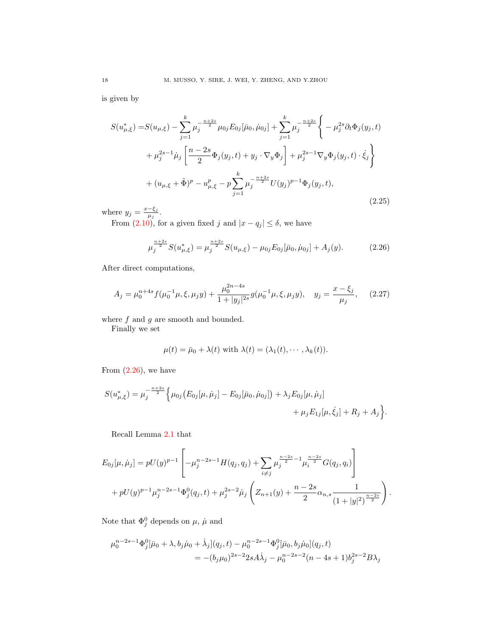is given by

<span id="page-17-1"></span>
$$
S(u_{\mu,\xi}^{*}) = S(u_{\mu,\xi}) - \sum_{j=1}^{k} \mu_{j}^{-\frac{n+2s}{2}} \mu_{0j} E_{0j} [\bar{\mu}_{0}, \dot{\mu}_{0j}] + \sum_{j=1}^{k} \mu_{j}^{-\frac{n+2s}{2}} \left\{ -\mu_{j}^{2s} \partial_{t} \Phi_{j}(y_{j}, t) + \mu_{j}^{2s-1} \mu_{j} \left[ \frac{n-2s}{2} \Phi_{j}(y_{j}, t) + y_{j} \cdot \nabla_{y} \Phi_{j} \right] + \mu_{j}^{2s-1} \nabla_{y} \Phi_{j}(y_{j}, t) \cdot \dot{\xi}_{j} \right\}
$$
  
+ 
$$
(u_{\mu,\xi} + \tilde{\Phi})^{p} - u_{\mu,\xi}^{p} - p \sum_{j=1}^{k} \mu_{j}^{-\frac{n+2s}{2}} U(y_{j})^{p-1} \Phi_{j}(y_{j}, t),
$$
\n(2.25)

where  $y_j = \frac{x-\xi_j}{\mu_j}$  $\frac{-\varsigma_j}{\mu_j}$ .

From [\(2.10\)](#page-11-2), for a given fixed j and  $|x - q_j| \le \delta$ , we have

<span id="page-17-0"></span>
$$
\mu_j^{\frac{n+2s}{2}} S(u_{\mu,\xi}^*) = \mu_j^{\frac{n+2s}{2}} S(u_{\mu,\xi}) - \mu_{0j} E_{0j}[\bar{\mu}_0, \dot{\mu}_{0j}] + A_j(y). \tag{2.26}
$$

After direct computations,

$$
A_j = \mu_0^{n+4s} f(\mu_0^{-1}\mu, \xi, \mu_j y) + \frac{\mu_0^{2n-4s}}{1 + |y_j|^{2s}} g(\mu_0^{-1}\mu, \xi, \mu_j y), \quad y_j = \frac{x - \xi_j}{\mu_j}, \quad (2.27)
$$

where  $f$  and  $g$  are smooth and bounded.

Finally we set

$$
\mu(t) = \bar{\mu}_0 + \lambda(t) \text{ with } \lambda(t) = (\lambda_1(t), \cdots, \lambda_k(t)).
$$

From  $(2.26)$ , we have

$$
S(u_{\mu,\xi}^*) = \mu_j^{-\frac{n+2s}{2}} \Big\{ \mu_{0j} (E_{0j}[\mu, \dot{\mu}_j] - E_{0j}[\bar{\mu}_0, \dot{\mu}_{0j}]) + \lambda_j E_{0j}[\mu, \dot{\mu}_j] + \mu_j E_{1j}[\mu, \dot{\xi}_j] + R_j + A_j \Big\}.
$$

Recall Lemma [2.1](#page-8-0) that

$$
E_{0j}[\mu,\dot{\mu}_j] = pU(y)^{p-1} \left[ -\mu_j^{n-2s-1} H(q_j, q_j) + \sum_{i \neq j} \mu_j^{\frac{n-2s}{2}-1} \mu_i^{\frac{n-2s}{2}} G(q_j, q_i) \right] + pU(y)^{p-1} \mu_j^{n-2s-1} \Phi_j^0(q_j, t) + \mu_j^{2s-2} \dot{\mu}_j \left( Z_{n+1}(y) + \frac{n-2s}{2} \alpha_{n,s} \frac{1}{(1+|y|^2)^{\frac{n-2s}{2}}} \right).
$$

Note that  $\Phi_j^0$  depends on  $\mu$ ,  $\dot{\mu}$  and

$$
\mu_0^{n-2s-1} \Phi_j^0[\bar{\mu}_0 + \lambda, b_j \dot{\mu}_0 + \dot{\lambda}_j](q_j, t) - \mu_0^{n-2s-1} \Phi_j^0[\bar{\mu}_0, b_j \dot{\mu}_0](q_j, t) \n= -(b_j \mu_0)^{2s-2} 2s A \dot{\lambda}_j - \mu_0^{n-2s-2} (n-4s+1) b_j^{2s-2} B \lambda_j
$$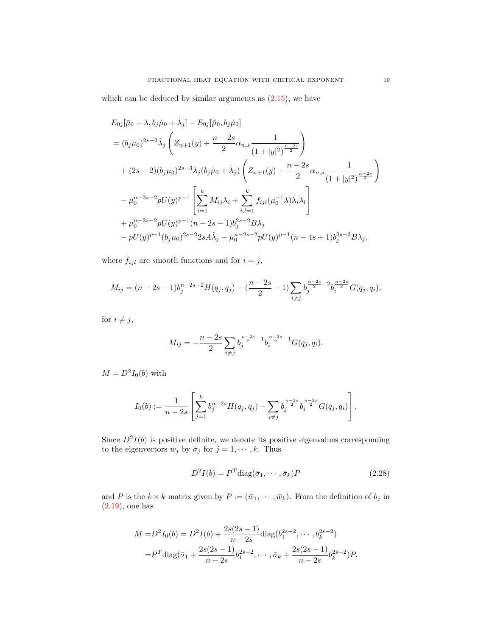which can be deduced by similar arguments as  $(2.15)$ , we have

$$
E_{0j}[\bar{\mu}_{0} + \lambda, b_{j}\dot{\mu}_{0} + \dot{\lambda}_{j}] - E_{0j}[\bar{\mu}_{0}, b_{j}\dot{\mu}_{0}]
$$
  
\n
$$
= (b_{j}\mu_{0})^{2s-2}\dot{\lambda}_{j} \left(Z_{n+1}(y) + \frac{n-2s}{2}\alpha_{n,s}\frac{1}{(1+|y|^{2})^{\frac{n-2s}{2}}}\right)
$$
  
\n
$$
+ (2s-2)(b_{j}\mu_{0})^{2s-3}\lambda_{j}(b_{j}\dot{\mu}_{0} + \dot{\lambda}_{j}) \left(Z_{n+1}(y) + \frac{n-2s}{2}\alpha_{n,s}\frac{1}{(1+|y|^{2})^{\frac{n-2s}{2}}}\right)
$$
  
\n
$$
- \mu_{0}^{n-2s-2}pU(y)^{p-1} \left[\sum_{i=1}^{k} M_{ij}\lambda_{i} + \sum_{i,l=1}^{k} f_{ijl}(\mu_{0}^{-1}\lambda)\lambda_{i}\lambda_{l}\right]
$$
  
\n
$$
+ \mu_{0}^{n-2s-2}pU(y)^{p-1}(n-2s-1)b_{j}^{2s-2}B\lambda_{j}
$$
  
\n
$$
- pU(y)^{p-1}(b_{j}\mu_{0})^{2s-2}2sA\dot{\lambda}_{j} - \mu_{0}^{n-2s-2}pU(y)^{p-1}(n-4s+1)b_{j}^{2s-2}B\lambda_{j},
$$

where  $f_{ijl}$  are smooth functions and for  $i=j,$ 

$$
M_{ij} = (n-2s-1)b_j^{n-2s-2}H(q_j, q_j) - \left(\frac{n-2s}{2} - 1\right)\sum_{i \neq j} b_j^{\frac{n-2s}{2}-2}b_i^{\frac{n-2s}{2}}G(q_j, q_i),
$$

for  $i \neq j$ ,

$$
M_{ij} = -\frac{n-2s}{2} \sum_{i \neq j} b_j^{\frac{n-2s}{2}-1} b_i^{\frac{n-2s}{2}-1} G(q_j, q_i).
$$

 $M = D^2 I_0(b)$  with

$$
I_0(b) := \frac{1}{n-2s} \left[ \sum_{j=1}^k b_j^{n-2s} H(q_j, q_j) - \sum_{i \neq j} b_j^{\frac{n-2s}{2}} b_i^{\frac{n-2s}{2}} G(q_j, q_i) \right].
$$

Since  $D^2I(b)$  is positive definite, we denote its positive eigenvalues corresponding to the eigenvectors  $\bar{w}_j$  by  $\bar{\sigma}_j$  for  $j = 1, \dots, k$ . Thus

<span id="page-18-0"></span>
$$
D^2I(b) = P^T \text{diag}(\bar{\sigma}_1, \cdots, \bar{\sigma}_k)P
$$
\n(2.28)

and P is the  $k \times k$  matrix given by  $P := (\bar{w}_1, \dots, \bar{w}_k)$ . From the definition of  $b_j$  in [\(2.19\)](#page-15-2), one has

$$
M = D2I0(b) = D2I(b) + \frac{2s(2s - 1)}{n - 2s} diag(b12s - 2, ..., bk2s - 2)
$$
  
=  $PT diag(\bar{\sigma}_1 + \frac{2s(2s - 1)}{n - 2s} b_1^{2s - 2}, ..., \bar{\sigma}_k + \frac{2s(2s - 1)}{n - 2s} b_k^{2s - 2})P.$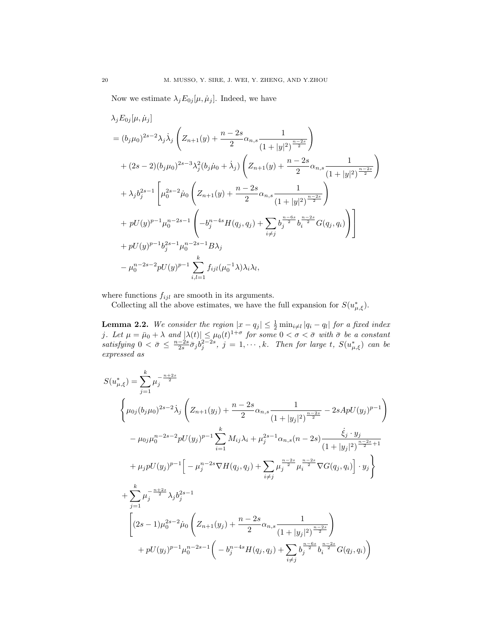Now we estimate  $\lambda_j E_{0j}[\mu, \dot{\mu}_j]$ . Indeed, we have

$$
\lambda_{j} E_{0j}[\mu, \dot{\mu}_{j}]
$$
\n
$$
= (b_{j}\mu_{0})^{2s-2}\lambda_{j}\dot{\lambda}_{j}\left(Z_{n+1}(y) + \frac{n-2s}{2}\alpha_{n,s}\frac{1}{(1+|y|^{2})^{\frac{n-2s}{2}}}\right)
$$
\n
$$
+ (2s-2)(b_{j}\mu_{0})^{2s-3}\lambda_{j}^{2}(b_{j}\dot{\mu}_{0} + \dot{\lambda}_{j})\left(Z_{n+1}(y) + \frac{n-2s}{2}\alpha_{n,s}\frac{1}{(1+|y|^{2})^{\frac{n-2s}{2}}}\right)
$$
\n
$$
+ \lambda_{j} b_{j}^{2s-1}\left[\mu_{0}^{2s-2}\dot{\mu}_{0}\left(Z_{n+1}(y) + \frac{n-2s}{2}\alpha_{n,s}\frac{1}{(1+|y|^{2})^{\frac{n-2s}{2}}}\right)\right]
$$
\n
$$
+ pU(y)^{p-1}\mu_{0}^{n-2s-1}\left(-b_{j}^{n-4s}H(q_{j}, q_{j}) + \sum_{i\neq j} b_{j}^{\frac{n-6s}{2}}b_{i}^{\frac{n-2s}{2}}G(q_{j}, q_{i})\right)\right]
$$
\n
$$
+ pU(y)^{p-1}b_{j}^{2s-1}\mu_{0}^{n-2s-1}B\lambda_{j}
$$
\n
$$
- \mu_{0}^{n-2s-2}pU(y)^{p-1}\sum_{i,l=1}^{k} f_{ijl}(\mu_{0}^{-1}\lambda)\lambda_{i}\lambda_{l},
$$

where functions  $f_{ijl}$  are smooth in its arguments.

Collecting all the above estimates, we have the full expansion for  $S(u_{\mu,\xi}^*)$ .

<span id="page-19-0"></span>**Lemma 2.2.** We consider the region  $|x - q_j| \leq \frac{1}{2} \min_{i \neq l} |q_i - q_l|$  for a fixed index j. Let  $\mu = \bar{\mu}_0 + \lambda$  and  $|\lambda(t)| \leq \mu_0(t)^{1+\sigma}$  for some  $0 < \sigma < \bar{\sigma}$  with  $\bar{\sigma}$  be a constant satisfying  $0 < \bar{\sigma} \leq \frac{n-2s}{2s} \bar{\sigma}_j b_j^{2-2s}, \ j = 1, \cdots, k$ . Then for large t,  $S(u^*_{\mu,\xi})$  can be expressed as

$$
S(u_{\mu,\xi}^{*}) = \sum_{j=1}^{k} \mu_{j}^{-\frac{n+2s}{2}}
$$
\n
$$
\begin{cases}\n\left(\mu_{0j}(b_{j}\mu_{0})^{2s-2}\dot{\lambda}_{j}\left(Z_{n+1}(y_{j}) + \frac{n-2s}{2}\alpha_{n,s}\frac{1}{(1+|y_{j}|^{2})^{\frac{n-2s}{2}}}-2sApU(y_{j})^{p-1}\right)\right.\n\left.\left.-\mu_{0j}\mu_{0}^{n-2s-2}pU(y_{j})^{p-1}\right)\right.\n\left.\left.\begin{matrix}\n\mu_{0j}(b_{j}\mu_{0})^{2s-2} & \mu_{0j}(b_{j})^{2s-1} \\
\mu_{0j}(b_{j}\mu_{0})^{2s-2} & \mu_{0j}(b_{j})^{2s-1} \\
\mu_{0j}(b_{j})^{2s-1}\n\end{matrix}\right]\n\left.\begin{matrix}\n\mu_{0j}^{n-2s-2} & \mu_{0j}(b_{j})^{2s-1} \\
\mu_{0j}^{n-2s-2} & \mu_{0j}(b_{j})^{2s-1}\n\end{matrix}\right]\n\left.\begin{matrix}\n\mu_{0j}^{n-2s-2} & \mu_{0j}(b_{j})^{2s-1} \\
\mu_{0j}^{n-2s-2} & \mu_{0}(b_{j})^{2s-1} \\
\mu_{0j}^{n-2s-2} & \mu_{0}(b_{j})^{2s-1}\n\end{matrix}\right]\n\left.\begin{matrix}\n\mu_{0j}^{n-2s-2} & \mu_{0}^{n-2s-1} \\
\mu_{0j}^{n-2s-1} & \mu_{0j}^{n-2s-1} \\
\mu_{0j}^{n-2s-1} & \mu_{0j}^{n-2s-1} \\
\mu_{0j}^{n-2s-1} & \mu_{0j}^{n-2s-1} \\
\mu_{0j}^{n-2s-1} & \mu_{0j}^{n-2s-1} \\
\mu_{0j}^{n-2s-1} & \mu_{0j}^{n-2s-1} \\
\mu_{0j}^{n-2s-1} & \mu_{0j}^{n-2s-1} & \mu_{0j}^{n-2s-1}\n\end{matrix}\right]
$$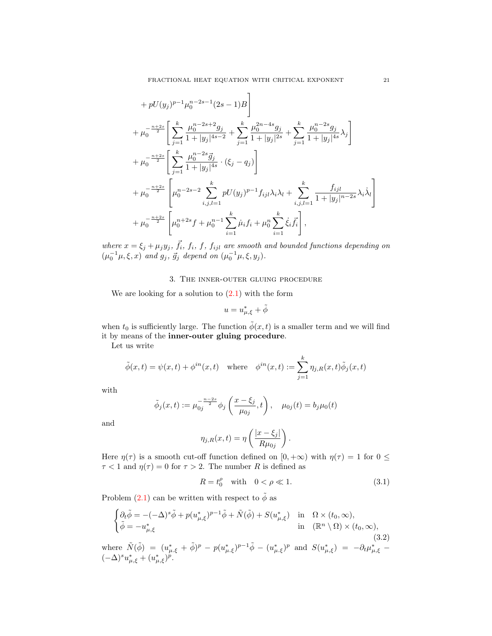$$
+ pU(y_j)^{p-1} \mu_0^{n-2s-1} (2s-1)B
$$
  
+ 
$$
\mu_0^{-\frac{n+2s}{2}} \left[ \sum_{j=1}^k \frac{\mu_0^{n-2s+2} g_j}{1+|y_j|^{4s-2}} + \sum_{j=1}^k \frac{\mu_0^{2n-4s} g_j}{1+|y_j|^{2s}} + \sum_{j=1}^k \frac{\mu_0^{n-2s} g_j}{1+|y_j|^{4s}} \lambda_j \right]
$$
  
+ 
$$
\mu_0^{-\frac{n+2s}{2}} \left[ \sum_{j=1}^k \frac{\mu_0^{n-2s} \bar{g}_j}{1+|y_j|^{4s}} \cdot (\xi_j - q_j) \right]
$$
  
+ 
$$
\mu_0^{-\frac{n+2s}{2}} \left[ \mu_0^{n-2s-2} \sum_{i,j,l=1}^k pU(y_j)^{p-1} f_{ijl} \lambda_i \lambda_l + \sum_{i,j,l=1}^k \frac{f_{ijl}}{1+|y_j|^{n-2s}} \lambda_i \lambda_l \right]
$$
  
+ 
$$
\mu_0^{-\frac{n+2s}{2}} \left[ \mu_0^{n+2s} f + \mu_0^{n-1} \sum_{i=1}^k \mu_i f_i + \mu_0^n \sum_{i=1}^k \dot{\xi}_i \bar{f}_i \right],
$$

where  $x = \xi_j + \mu_j y_j$ ,  $\vec{f}_i$ ,  $f_i$ ,  $f_j$ ,  $f_{ijl}$  are smooth and bounded functions depending on  $(\mu_0^{-1}\mu, \xi, x)$  and  $g_j$ ,  $\vec{g}_j$  depend on  $(\mu_0^{-1}\mu, \xi, y_j)$ .

3. The inner-outer gluing procedure

We are looking for a solution to  $(2.1)$  with the form

$$
u = u_{\mu,\xi}^* + \tilde{\phi}
$$

when  $t_0$  is sufficiently large. The function  $\tilde{\phi}(x, t)$  is a smaller term and we will find it by means of the inner-outer gluing procedure.

Let us write

$$
\tilde{\phi}(x,t) = \psi(x,t) + \phi^{in}(x,t) \quad \text{where} \quad \phi^{in}(x,t) := \sum_{j=1}^{k} \eta_{j,R}(x,t)\tilde{\phi}_j(x,t)
$$

with

$$
\tilde{\phi}_j(x,t) := \mu_{0j}^{-\frac{n-2s}{2}} \phi_j \left( \frac{x - \xi_j}{\mu_{0j}}, t \right), \quad \mu_{0j}(t) = b_j \mu_0(t)
$$

and

$$
\eta_{j,R}(x,t) = \eta \left( \frac{|x - \xi_j|}{R \mu_{0j}} \right).
$$

Here  $\eta(\tau)$  is a smooth cut-off function defined on  $[0, +\infty)$  with  $\eta(\tau) = 1$  for  $0 \le$  $\tau$  < 1 and  $\eta(\tau) = 0$  for  $\tau > 2$ . The number R is defined as

<span id="page-20-1"></span>
$$
R = t_0^{\rho} \quad \text{with} \quad 0 < \rho \ll 1. \tag{3.1}
$$

Problem [\(2.1\)](#page-7-0) can be written with respect to  $\tilde{\phi}$  as

<span id="page-20-0"></span>
$$
\begin{cases} \partial_t \tilde{\phi} = -(-\Delta)^s \tilde{\phi} + p(u_{\mu,\xi}^*)^{p-1} \tilde{\phi} + \tilde{N}(\tilde{\phi}) + S(u_{\mu,\xi}^*) \quad \text{in} \quad \Omega \times (t_0, \infty), \\ \tilde{\phi} = -u_{\mu,\xi}^* \quad \text{in} \quad (\mathbb{R}^n \setminus \Omega) \times (t_0, \infty), \end{cases} \tag{3.2}
$$

where  $\tilde{N}(\tilde{\phi}) = (u_{\mu,\xi}^* + \tilde{\phi})^p - p(u_{\mu,\xi}^*)^{p-1}\tilde{\phi} - (u_{\mu,\xi}^*)^p$  and  $S(u_{\mu,\xi}^*) = -\partial_t \mu_{\mu,\xi}^* (-\Delta)^s u_{\mu,\xi}^* + (u_{\mu,\xi}^*)^p.$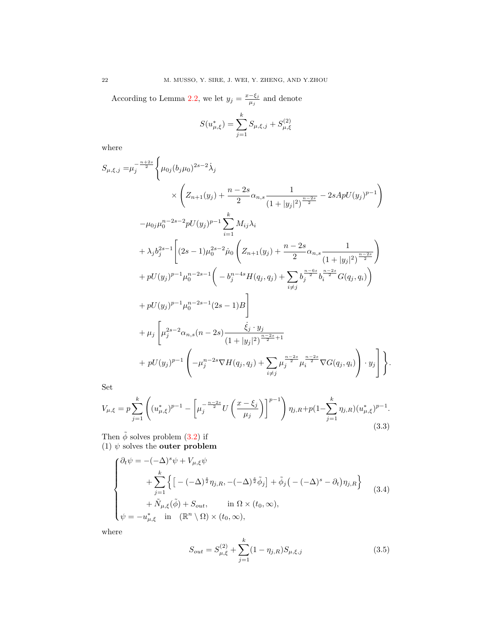According to Lemma [2.2,](#page-19-0) we let  $y_j = \frac{x-\xi_j}{\mu_j}$  $\frac{-\xi_j}{\mu_j}$  and denote

$$
S(u_{\mu,\xi}^*) = \sum_{j=1}^k S_{\mu,\xi,j} + S_{\mu,\xi}^{(2)}
$$

where

$$
S_{\mu,\xi,j} = \mu_j^{-\frac{n+2s}{2}} \left\{ \mu_{0j} (b_j \mu_0)^{2s-2} \dot{\lambda}_j \times \left( Z_{n+1}(y_j) + \frac{n-2s}{2} \alpha_{n,s} \frac{1}{(1+|y_j|^2)^{\frac{n-2s}{2}}} - 2sApU(y_j)^{p-1} \right) \right\}
$$
  

$$
- \mu_{0j} \mu_0^{n-2s-2} pU(y_j)^{p-1} \sum_{i=1}^k M_{ij} \lambda_i
$$
  

$$
+ \lambda_j b_j^{2s-1} \left[ (2s-1) \mu_0^{2s-2} \dot{\mu}_0 \left( Z_{n+1}(y_j) + \frac{n-2s}{2} \alpha_{n,s} \frac{1}{(1+|y_j|^2)^{\frac{n-2s}{2}}} \right) \right.
$$
  

$$
+ pU(y_j)^{p-1} \mu_0^{n-2s-1} \left( -b_j^{n-4s} H(q_j, q_j) + \sum_{i \neq j} b_j^{\frac{n-6s}{2}} b_i^{\frac{n-2s}{2}} G(q_j, q_i) \right)
$$
  

$$
+ pU(y_j)^{p-1} \mu_0^{n-2s-1} (2s-1)B \right]
$$
  

$$
+ \mu_j \left[ \mu_j^{2s-2} \alpha_{n,s} (n-2s) \frac{\dot{\xi}_j \cdot y_j}{(1+|y_j|^2)^{\frac{n-2s}{2}+1}} + pU(y_j)^{p-1} \left( -\mu_j^{n-2s} \nabla H(q_j, q_j) + \sum_{i \neq j} \mu_j^{\frac{n-2s}{2}} \mu_i^{\frac{n-2s}{2}} \nabla G(q_j, q_i) \right) \cdot y_j \right] \}
$$

Set

<span id="page-21-1"></span>
$$
V_{\mu,\xi} = p \sum_{j=1}^{k} \left( (u_{\mu,\xi}^*)^{p-1} - \left[ \mu_j^{-\frac{n-2s}{2}} U\left(\frac{x-\xi_j}{\mu_j}\right) \right]^{p-1} \right) \eta_{j,R} + p(1 - \sum_{j=1}^{k} \eta_{j,R}) (u_{\mu,\xi}^*)^{p-1}.
$$
\n(3.3)

Then  $\tilde{\phi}$  solves problem [\(3.2\)](#page-20-0) if (1)  $\psi$  solves the **outer problem** 

<span id="page-21-0"></span>
$$
\begin{cases}\n\partial_t \psi = -(-\Delta)^s \psi + V_{\mu,\xi} \psi \\
+ \sum_{j=1}^k \left\{ \left[ -(-\Delta)^{\frac{s}{2}} \eta_{j,R}, -(-\Delta)^{\frac{s}{2}} \tilde{\phi}_j \right] + \tilde{\phi}_j \left( -(-\Delta)^s - \partial_t \right) \eta_{j,R} \right\} \\
+ \tilde{N}_{\mu,\xi}(\tilde{\phi}) + S_{out}, \quad \text{in } \Omega \times (t_0, \infty), \\
\psi = -u_{\mu,\xi}^* \quad \text{in } (\mathbb{R}^n \setminus \Omega) \times (t_0, \infty),\n\end{cases} \tag{3.4}
$$

where

<span id="page-21-2"></span>
$$
S_{out} = S_{\mu,\xi}^{(2)} + \sum_{j=1}^{k} (1 - \eta_{j,R}) S_{\mu,\xi,j}
$$
 (3.5)

.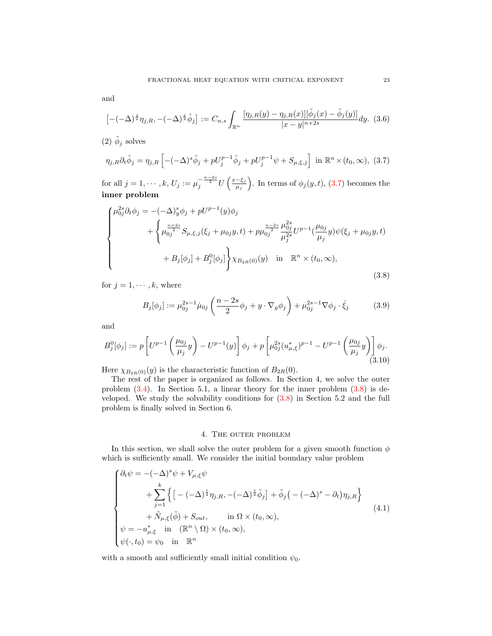$$
\left[ -(-\Delta)^{\frac{s}{2}} \eta_{j,R}, -(-\Delta)^{\frac{s}{2}} \tilde{\phi}_j \right] := C_{n,s} \int_{\mathbb{R}^n} \frac{[\eta_{j,R}(y) - \eta_{j,R}(x)][\tilde{\phi}_j(x) - \tilde{\phi}_j(y)]}{|x - y|^{n+2s}} dy. (3.6)
$$

(2)  $\tilde{\phi}_j$  solves

<span id="page-22-0"></span>
$$
\eta_{j,R}\partial_t \tilde{\phi}_j = \eta_{j,R} \left[ -(-\Delta)^s \tilde{\phi}_j + pU_j^{p-1} \tilde{\phi}_j + pU_j^{p-1}\psi + S_{\mu,\xi,j} \right] \text{ in } \mathbb{R}^n \times (t_0, \infty), \tag{3.7}
$$

for all  $j = 1, \cdots, k, U_j := \mu_j^{-\frac{n-2s}{2}} U\left(\frac{x-\xi_j}{\mu_j}\right)$  $\left(\frac{-\xi_j}{\mu_j}\right)$ . In terms of  $\phi_j(y, t)$ , [\(3.7\)](#page-22-0) becomes the inner problem

<span id="page-22-1"></span>
$$
\begin{cases}\n\mu_{0j}^{2s} \partial_t \phi_j = -(-\Delta)_y^s \phi_j + pU^{p-1}(y) \phi_j \\
+ \left\{ \mu_{0j}^{\frac{n+2s}{2}} S_{\mu,\xi,j}(\xi_j + \mu_{0j}y, t) + p \mu_{0j}^{\frac{n-2s}{2}} \frac{\mu_{0j}^{2s}}{\mu_j^{2s}} U^{p-1}(\frac{\mu_{0j}}{\mu_j}y) \psi(\xi_j + \mu_{0j}y, t) \\
+ B_j[\phi_j] + B_j^0[\phi_j] \right\} \chi_{B_{2R}(0)}(y) \quad \text{in} \quad \mathbb{R}^n \times (t_0, \infty),\n\end{cases} (3.8)
$$

for  $j = 1, \dots, k$ , where

<span id="page-22-3"></span>
$$
B_j[\phi_j] := \mu_{0j}^{2s-1} \dot{\mu}_{0j} \left( \frac{n-2s}{2} \phi_j + y \cdot \nabla_y \phi_j \right) + \mu_{0j}^{2s-1} \nabla \phi_j \cdot \dot{\xi}_j \tag{3.9}
$$

and

<span id="page-22-4"></span>
$$
B_j^0[\phi_j] := p \left[ U^{p-1} \left( \frac{\mu_{0j}}{\mu_j} y \right) - U^{p-1}(y) \right] \phi_j + p \left[ \mu_{0j}^{2s} (u_{\mu,\xi}^*)^{p-1} - U^{p-1} \left( \frac{\mu_{0j}}{\mu_j} y \right) \right] \phi_j. \tag{3.10}
$$

Here  $\chi_{B_{2R}(0)}(y)$  is the characteristic function of  $B_{2R}(0)$ .

The rest of the paper is organized as follows. In Section 4, we solve the outer problem  $(3.4)$ . In Section 5.1, a linear theory for the inner problem  $(3.8)$  is developed. We study the solvability conditions for [\(3.8\)](#page-22-1) in Section 5.2 and the full problem is finally solved in Section 6.

# 4. The outer problem

In this section, we shall solve the outer problem for a given smooth function  $\phi$ which is sufficiently small. We consider the initial boundary value problem

<span id="page-22-2"></span>
$$
\begin{cases}\n\partial_t \psi = -(-\Delta)^s \psi + V_{\mu,\xi} \psi \\
+ \sum_{j=1}^k \left\{ \left[ -(-\Delta)^{\frac{s}{2}} \eta_{j,R}, -(-\Delta)^{\frac{s}{2}} \tilde{\phi}_j \right] + \tilde{\phi}_j \left( -(-\Delta)^s - \partial_t \right) \eta_{j,R} \right\} \\
+ \tilde{N}_{\mu,\xi}(\tilde{\phi}) + S_{out}, \quad \text{in } \Omega \times (t_0, \infty), \\
\psi = -u_{\mu,\xi}^* \quad \text{in } (\mathbb{R}^n \setminus \Omega) \times (t_0, \infty), \\
\psi(\cdot, t_0) = \psi_0 \quad \text{in } \mathbb{R}^n\n\end{cases} \tag{4.1}
$$

with a smooth and sufficiently small initial condition  $\psi_0$ .

and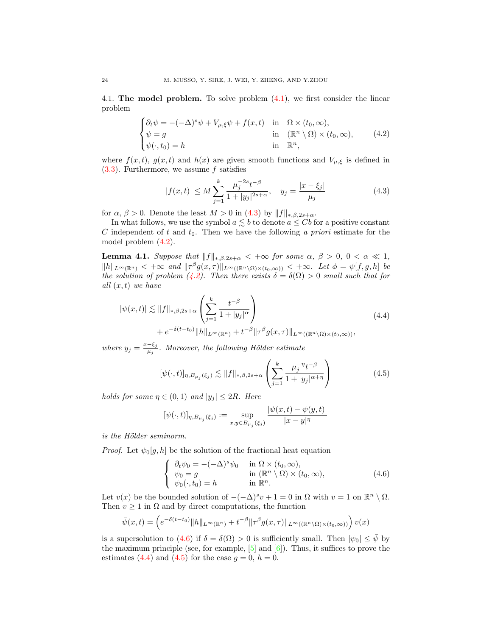4.1. The model problem. To solve problem [\(4.1\)](#page-22-2), we first consider the linear problem

<span id="page-23-2"></span>
$$
\begin{cases} \partial_t \psi = -(-\Delta)^s \psi + V_{\mu,\xi} \psi + f(x,t) & \text{in} \quad \Omega \times (t_0, \infty), \\ \psi = g & \text{in} \quad (\mathbb{R}^n \setminus \Omega) \times (t_0, \infty), \\ \psi(\cdot, t_0) = h & \text{in} \quad \mathbb{R}^n, \end{cases}
$$
(4.2)

where  $f(x, t)$ ,  $g(x, t)$  and  $h(x)$  are given smooth functions and  $V_{\mu, \xi}$  is defined in  $(3.3)$ . Furthermore, we assume f satisfies

<span id="page-23-1"></span>
$$
|f(x,t)| \le M \sum_{j=1}^{k} \frac{\mu_j^{-2s} t^{-\beta}}{1 + |y_j|^{2s+\alpha}}, \quad y_j = \frac{|x - \xi_j|}{\mu_j}
$$
(4.3)

for  $\alpha$ ,  $\beta > 0$ . Denote the least  $M > 0$  in [\(4.3\)](#page-23-1) by  $||f||_{*,\beta,2s+\alpha}$ .

In what follows, we use the symbol  $a \lesssim b$  to denote  $a \leq Cb$  for a positive constant C independent of t and  $t_0$ . Then we have the following a priori estimate for the model problem [\(4.2\)](#page-23-2).

<span id="page-23-0"></span>**Lemma 4.1.** Suppose that  $||f||_{*,\beta,2s+\alpha} < +\infty$  for some  $\alpha, \beta > 0, 0 < \alpha \ll 1$ ,  $||h||_{L^{\infty}(\mathbb{R}^n)} < +\infty$  and  $||\tau^{\beta}g(x,\tau)||_{L^{\infty}((\mathbb{R}^n\setminus\Omega)\times(t_0,\infty))} < +\infty$ . Let  $\phi = \psi[f,g,h]$  be the solution of problem [\(4.2\)](#page-23-2). Then there exists  $\delta = \delta(\Omega) > 0$  small such that for all  $(x, t)$  we have

<span id="page-23-4"></span>
$$
|\psi(x,t)| \lesssim ||f||_{*,\beta,2s+\alpha} \left(\sum_{j=1}^k \frac{t^{-\beta}}{1+|y_j|^{\alpha}}\right) + e^{-\delta(t-t_0)} ||h||_{L^{\infty}(\mathbb{R}^n)} + t^{-\beta} ||\tau^{\beta} g(x,\tau)||_{L^{\infty}((\mathbb{R}^n \setminus \Omega) \times (t_0,\infty))},
$$
\n(4.4)

where  $y_j = \frac{x-\xi_j}{\mu_i}$  $\frac{-\xi_j}{\mu_j}$ . Moreover, the following Hölder estimate

<span id="page-23-5"></span>
$$
[\psi(\cdot,t)]_{\eta,B_{\mu_j}(\xi_j)} \lesssim \|f\|_{*,\beta,2s+\alpha} \left(\sum_{j=1}^k \frac{\mu_j^{-\eta} t^{-\beta}}{1+|y_j|^{\alpha+\eta}}\right) \tag{4.5}
$$

holds for some  $\eta \in (0,1)$  and  $|y_j| \leq 2R$ . Here

$$
[\psi(\cdot,t)]_{\eta,B_{\mu_j}(\xi_j)} := \sup_{x,y \in B_{\mu_j}(\xi_j)} \frac{|\psi(x,t) - \psi(y,t)|}{|x - y|^{\eta}}
$$

is the Hölder seminorm.

*Proof.* Let  $\psi_0[g, h]$  be the solution of the fractional heat equation

<span id="page-23-3"></span>
$$
\begin{cases}\n\partial_t \psi_0 = -(-\Delta)^s \psi_0 & \text{in } \Omega \times (t_0, \infty), \\
\psi_0 = g & \text{in } (\mathbb{R}^n \setminus \Omega) \times (t_0, \infty), \\
\psi_0(\cdot, t_0) = h & \text{in } \mathbb{R}^n.\n\end{cases}
$$
\n(4.6)

Let  $v(x)$  be the bounded solution of  $-(-\Delta)^s v + 1 = 0$  in  $\Omega$  with  $v = 1$  on  $\mathbb{R}^n \setminus \Omega$ . Then  $v \geq 1$  in  $\Omega$  and by direct computations, the function

$$
\bar{\psi}(x,t) = \left(e^{-\delta(t-t_0)}\|h\|_{L^{\infty}(\mathbb{R}^n)} + t^{-\beta}\|\tau^{\beta}g(x,\tau)\|_{L^{\infty}((\mathbb{R}^n\setminus\Omega)\times(t_0,\infty))}\right)v(x)
$$

is a supersolution to [\(4.6\)](#page-23-3) if  $\delta = \delta(\Omega) > 0$  is sufficiently small. Then  $|\psi_0| \leq \bar{\psi}$  by the maximum principle (see, for example,  $[5]$  and  $[6]$ ). Thus, it suffices to prove the estimates [\(4.4\)](#page-23-4) and [\(4.5\)](#page-23-5) for the case  $g = 0$ ,  $h = 0$ .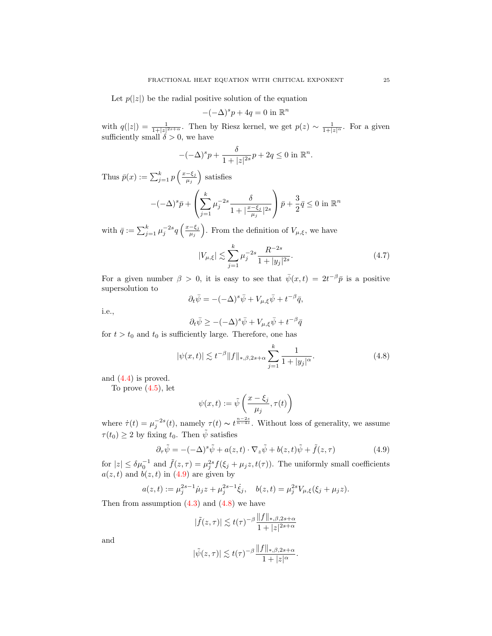Let  $p(|z|)$  be the radial positive solution of the equation

$$
-(-\Delta)^s p + 4q = 0
$$
in  $\mathbb{R}^n$ 

with  $q(|z|) = \frac{1}{1+|z|^{2s+\alpha}}$ . Then by Riesz kernel, we get  $p(z) \sim \frac{1}{1+|z|^\alpha}$ . For a given sufficiently small  $\delta > 0$ , we have

$$
-(-\Delta)^s p + \frac{\delta}{1+|z|^{2s}} p + 2q \le 0 \text{ in } \mathbb{R}^n.
$$

Thus  $\bar{p}(x) := \sum_{j=1}^{k} p\left(\frac{x-\xi_j}{\mu_j}\right)$  $\frac{-\xi_j}{\mu_j}$  satisfies

$$
-(-\Delta)^s \bar{p} + \left(\sum_{j=1}^k \mu_j^{-2s} \frac{\delta}{1 + |\frac{x - \xi_j}{\mu_j}|^{2s}}\right) \bar{p} + \frac{3}{2} \bar{q} \le 0 \text{ in } \mathbb{R}^n
$$

with  $\bar{q} := \sum_{j=1}^{k} \mu_j^{-2s} q\left(\frac{x-\xi_j}{\mu_j}\right)$  $\left(\frac{-\xi_j}{\mu_j}\right)$ . From the definition of  $V_{\mu,\xi}$ , we have

$$
|V_{\mu,\xi}| \lesssim \sum_{j=1}^{k} \mu_j^{-2s} \frac{R^{-2s}}{1+|y_j|^{2s}}.
$$
\n(4.7)

For a given number  $\beta > 0$ , it is easy to see that  $\bar{\psi}(x,t) = 2t^{-\beta} \bar{p}$  is a positive supersolution to

$$
\partial_t \bar{\psi} = -(-\Delta)^s \bar{\psi} + V_{\mu,\xi} \bar{\psi} + t^{-\beta} \bar{q},
$$

i.e.,

$$
\partial_t \bar{\psi} \ge -(-\Delta)^s \bar{\psi} + V_{\mu,\xi} \bar{\psi} + t^{-\beta} \bar{q}
$$

for  $t > t_0$  and  $t_0$  is sufficiently large. Therefore, one has

<span id="page-24-1"></span>
$$
|\psi(x,t)| \lesssim t^{-\beta} \|f\|_{*,\beta,2s+\alpha} \sum_{j=1}^{k} \frac{1}{1+|y_j|^{\alpha}}.
$$
 (4.8)

and [\(4.4\)](#page-23-4) is proved.

To prove  $(4.5)$ , let

$$
\psi(x,t) := \tilde{\psi}\left(\frac{x-\xi_j}{\mu_j}, \tau(t)\right)
$$

where  $\dot{\tau}(t) = \mu_j^{-2s}(t)$ , namely  $\tau(t) \sim t^{\frac{n-2s}{n-4s}}$ . Without loss of generality, we assume  $\tau(t_0) \geq 2$  by fixing  $t_0$ . Then  $\tilde{\psi}$  satisfies

<span id="page-24-0"></span>
$$
\partial_{\tau}\tilde{\psi} = -(-\Delta)^{s}\tilde{\psi} + a(z, t) \cdot \nabla_{z}\tilde{\psi} + b(z, t)\tilde{\psi} + \tilde{f}(z, \tau) \tag{4.9}
$$

for  $|z| \leq \delta \mu_0^{-1}$  and  $\tilde{f}(z,\tau) = \mu_j^{2s} f(\xi_j + \mu_j z, t(\tau))$ . The uniformly small coefficients  $a(z, t)$  and  $b(z, t)$  in  $(4.9)$  are given by

$$
a(z,t) := \mu_j^{2s-1} \dot{\mu}_j z + \mu_j^{2s-1} \dot{\xi}_j, \quad b(z,t) = \mu_j^{2s} V_{\mu,\xi}(\xi_j + \mu_j z).
$$

Then from assumption  $(4.3)$  and  $(4.8)$  we have

$$
|\tilde{f}(z,\tau)| \lesssim t(\tau)^{-\beta} \frac{\|f\|_{*,\beta,2s+\alpha}}{1+|z|^{2s+\alpha}}
$$

and

$$
|\tilde{\psi}(z,\tau)| \lesssim t(\tau)^{-\beta} \frac{\|f\|_{*,\beta,2s+\alpha}}{1+|z|^{\alpha}}.
$$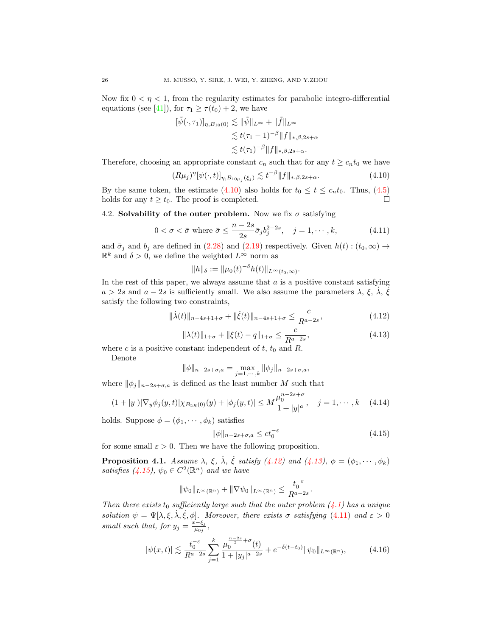Now fix  $0 < \eta < 1$ , from the regularity estimates for parabolic integro-differential equations (see [\[41\]](#page-49-3)), for  $\tau_1 \geq \tau(t_0) + 2$ , we have

$$
\begin{aligned} [\tilde{\psi}(\cdot,\tau_1)]_{\eta,B_{10}(0)} &\lesssim \|\tilde{\psi}\|_{L^\infty} + \|\tilde{f}\|_{L^\infty} \\ &\lesssim t(\tau_1-1)^{-\beta} \|f\|_{*,\beta,2s+\alpha} \\ &\lesssim t(\tau_1)^{-\beta} \|f\|_{*,\beta,2s+\alpha} .\end{aligned}
$$

Therefore, choosing an appropriate constant  $c_n$  such that for any  $t \geq c_n t_0$  we have

<span id="page-25-0"></span>
$$
(R\mu_j)^{\eta} [\psi(\cdot, t)]_{\eta, B_{10\mu_j}(\xi_j)} \lesssim t^{-\beta} \|f\|_{*, \beta, 2s+\alpha}.
$$
 (4.10)

By the same token, the estimate [\(4.10\)](#page-25-0) also holds for  $t_0 \le t \le c_n t_0$ . Thus, [\(4.5\)](#page-23-5) holds for any  $t \geq t_0$ . The proof is completed.

4.2. Solvability of the outer problem. Now we fix  $\sigma$  satisfying

<span id="page-25-4"></span>
$$
0 < \sigma < \bar{\sigma} \text{ where } \bar{\sigma} \le \frac{n-2s}{2s} \bar{\sigma}_j b_j^{2-2s}, \quad j = 1, \cdots, k,\tag{4.11}
$$

and  $\bar{\sigma}_j$  and  $b_j$  are defined in [\(2.28\)](#page-18-0) and [\(2.19\)](#page-15-2) respectively. Given  $h(t) : (t_0, \infty) \to$  $\mathbb{R}^k$  and  $\delta > 0$ , we define the weighted  $L^{\infty}$  norm as

$$
||h||_{\delta} := ||\mu_0(t)^{-\delta}h(t)||_{L^{\infty}(t_0,\infty)}.
$$

In the rest of this paper, we always assume that  $a$  is a positive constant satisfying  $a > 2s$  and  $a - 2s$  is sufficiently small. We also assume the parameters  $\lambda$ ,  $\xi$ ,  $\lambda$ ,  $\dot{\xi}$ satisfy the following two constraints,

<span id="page-25-1"></span>
$$
\|\dot{\lambda}(t)\|_{n-4s+1+\sigma} + \|\dot{\xi}(t)\|_{n-4s+1+\sigma} \le \frac{c}{R^{a-2s}},\tag{4.12}
$$

<span id="page-25-2"></span>
$$
\|\lambda(t)\|_{1+\sigma} + \|\xi(t) - q\|_{1+\sigma} \le \frac{c}{R^{a-2s}},\tag{4.13}
$$

where c is a positive constant independent of  $t, t_0$  and  $R$ .

Denote

$$
\|\phi\|_{n-2s+\sigma,a} = \max_{j=1,\cdots,k} \|\phi_j\|_{n-2s+\sigma,a},
$$

where  $\|\phi_j\|_{n-2s+\sigma,a}$  is defined as the least number M such that

<span id="page-25-6"></span>
$$
(1+|y|)|\nabla_y \phi_j(y,t)|\chi_{B_{2R}(0)}(y)+|\phi_j(y,t)| \le M \frac{\mu_0^{n-2s+\sigma}}{1+|y|^a}, \quad j=1,\cdots,k \quad (4.14)
$$

holds. Suppose  $\phi = (\phi_1, \dots, \phi_k)$  satisfies

<span id="page-25-3"></span>
$$
\|\phi\|_{n-2s+\sigma,a} \le ct_0^{-\varepsilon} \tag{4.15}
$$

for some small  $\varepsilon > 0$ . Then we have the following proposition.

<span id="page-25-5"></span>**Proposition 4.1.** Assume  $\lambda$ ,  $\xi$ ,  $\dot{\lambda}$ ,  $\dot{\xi}$  satisfy [\(4.12\)](#page-25-1) and [\(4.13\)](#page-25-2),  $\phi = (\phi_1, \dots, \phi_k)$ satisfies [\(4.15\)](#page-25-3),  $\psi_0 \in C^2(\mathbb{R}^n)$  and we have

$$
\|\psi_0\|_{L^\infty(\mathbb{R}^n)} + \|\nabla\psi_0\|_{L^\infty(\mathbb{R}^n)} \le \frac{t_0^{-\varepsilon}}{R^{a-2s}}.
$$

Then there exists t<sub>0</sub> sufficiently large such that the outer problem  $(4.1)$  has a unique solution  $\psi = \Psi[\lambda, \xi, \lambda, \xi, \phi]$ . Moreover, there exists  $\sigma$  satisfying [\(4.11\)](#page-25-4) and  $\varepsilon > 0$ small such that, for  $y_j = \frac{x-\xi_j}{\mu_0}$  $\frac{\overline{z}-\overline{\varsigma}_j}{\mu_{0j}},$ 

<span id="page-25-7"></span>
$$
|\psi(x,t)| \lesssim \frac{t_0^{-\varepsilon}}{R^{a-2s}} \sum_{j=1}^k \frac{\mu_0^{\frac{n-2s}{2}+\sigma}(t)}{1+|y_j|^{a-2s}} + e^{-\delta(t-t_0)} \|\psi_0\|_{L^\infty(\mathbb{R}^n)},\tag{4.16}
$$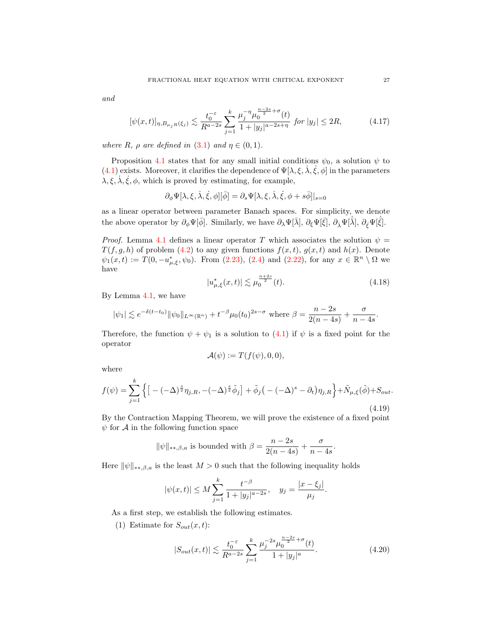and

<span id="page-26-2"></span>
$$
[\psi(x,t)]_{\eta,B_{\mu_jR}(\xi_j)} \lesssim \frac{t_0^{-\varepsilon}}{R^{a-2s}} \sum_{j=1}^k \frac{\mu_j^{-\eta} \mu_0^{\frac{n-2s}{2}+\sigma}(t)}{1+|y_j|^{a-2s+\eta}} \text{ for } |y_j| \le 2R,\tag{4.17}
$$

where R,  $\rho$  are defined in [\(3.1\)](#page-20-1) and  $\eta \in (0,1)$ .

Proposition [4.1](#page-25-5) states that for any small initial conditions  $\psi_0$ , a solution  $\psi$  to [\(4.1\)](#page-22-2) exists. Moreover, it clarifies the dependence of  $\Psi[\lambda, \xi, \dot{\lambda}, \dot{\xi}, \phi]$  in the parameters  $\lambda, \xi, \dot{\lambda}, \dot{\xi}, \phi$ , which is proved by estimating, for example,

$$
\partial_{\phi} \Psi[\lambda, \xi, \dot{\lambda}, \dot{\xi}, \phi][\bar{\phi}] = \partial_{s} \Psi[\lambda, \xi, \dot{\lambda}, \dot{\xi}, \phi + s\bar{\phi}]|_{s=0}
$$

as a linear operator between parameter Banach spaces. For simplicity, we denote the above operator by  $\partial_{\phi}\Psi[\bar{\phi}]$ . Similarly, we have  $\partial_{\lambda}\Psi[\bar{\lambda}], \partial_{\xi}\Psi[\bar{\xi}], \partial_{\dot{\lambda}}\Psi[\bar{\lambda}], \partial_{\dot{\xi}}\Psi[\bar{\xi}]$ .

*Proof.* Lemma [4.1](#page-23-0) defines a linear operator T which associates the solution  $\psi =$  $T(f, g, h)$  of problem [\(4.2\)](#page-23-2) to any given functions  $f(x, t)$ ,  $g(x, t)$  and  $h(x)$ . Denote  $\psi_1(x,t) := T(0, -u^*_{\mu,\xi}, \psi_0)$ . From  $(2.23)$ ,  $(2.4)$  and  $(2.22)$ , for any  $x \in \mathbb{R}^n \setminus \Omega$  we have

 $\|$ 

$$
u_{\mu,\xi}^*(x,t)| \lesssim \mu_0^{\frac{n+2s}{2}}(t). \tag{4.18}
$$

By Lemma [4.1,](#page-23-0) we have

$$
|\psi_1| \lesssim e^{-\delta(t-t_0)} \|\psi_0\|_{L^{\infty}(\mathbb{R}^n)} + t^{-\beta} \mu_0(t_0)^{2s-\sigma} \text{ where } \beta = \frac{n-2s}{2(n-4s)} + \frac{\sigma}{n-4s}.
$$

Therefore, the function  $\psi + \psi_1$  is a solution to [\(4.1\)](#page-22-2) if  $\psi$  is a fixed point for the operator

$$
\mathcal{A}(\psi) := T(f(\psi), 0, 0),
$$

where

<span id="page-26-1"></span>
$$
f(\psi) = \sum_{j=1}^{k} \left\{ \left[ -(-\Delta)^{\frac{s}{2}} \eta_{j,R}, -(-\Delta)^{\frac{s}{2}} \tilde{\phi}_j \right] + \tilde{\phi}_j \left( -(-\Delta)^s - \partial_t \right) \eta_{j,R} \right\} + \tilde{N}_{\mu,\xi}(\tilde{\phi}) + S_{out}.
$$
\n(4.19)

By the Contraction Mapping Theorem, we will prove the existence of a fixed point  $\psi$  for A in the following function space

$$
\|\psi\|_{**,\beta,a} \text{ is bounded with } \beta = \frac{n-2s}{2(n-4s)} + \frac{\sigma}{n-4s}.
$$

Here  $\|\psi\|_{\ast\ast,\beta,a}$  is the least  $M > 0$  such that the following inequality holds

$$
|\psi(x,t)| \le M \sum_{j=1}^k \frac{t^{-\beta}}{1+|y_j|^{a-2s}}, \quad y_j = \frac{|x-\xi_j|}{\mu_j}.
$$

As a first step, we establish the following estimates.

(1) Estimate for  $S_{out}(x,t)$ :

<span id="page-26-0"></span>
$$
|S_{out}(x,t)| \lesssim \frac{t_0^{-\varepsilon}}{R^{a-2s}} \sum_{j=1}^k \frac{\mu_j^{-2s} \mu_0^{\frac{n-2s}{2}+\sigma}(t)}{1+|y_j|^a}.
$$
 (4.20)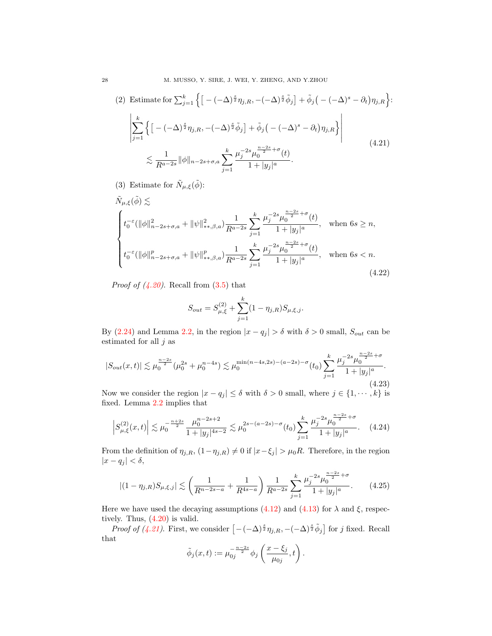<span id="page-27-0"></span>
$$
(2) \text{ Estimate for } \sum_{j=1}^{k} \left\{ \left[ -(-\Delta)^{\frac{s}{2}} \eta_{j,R}, -(-\Delta)^{\frac{s}{2}} \tilde{\phi}_j \right] + \tilde{\phi}_j \left( -(-\Delta)^s - \partial_t \right) \eta_{j,R} \right\}: \\
\left| \sum_{j=1}^{k} \left\{ \left[ -(-\Delta)^{\frac{s}{2}} \eta_{j,R}, -(-\Delta)^{\frac{s}{2}} \tilde{\phi}_j \right] + \tilde{\phi}_j \left( -(-\Delta)^s - \partial_t \right) \eta_{j,R} \right\} \right| \\
\lesssim \frac{1}{R^{a-2s}} \|\phi\|_{n-2s+\sigma,a} \sum_{j=1}^{k} \frac{\mu_j^{-2s} \mu_0^{\frac{n-2s}{2}+\sigma}(t)}{1+|y_j|^a}.
$$
\n
$$
(4.21)
$$

(3) Estimate for  $\tilde{N}_{\mu,\xi}(\tilde{\phi})$ :

<span id="page-27-1"></span>
$$
\tilde{N}_{\mu,\xi}(\tilde{\phi}) \lesssim
$$
\n
$$
\begin{cases}\nt_0^{-\varepsilon}(\|\phi\|_{n-2s+\sigma,a}^2 + \|\psi\|_{**,\beta,a}^2) \frac{1}{R^{a-2s}} \sum_{j=1}^k \frac{\mu_j^{-2s} \mu_0^{\frac{n-2s}{2}+\sigma}(t)}{1+|y_j|^a}, & \text{when } 6s \ge n, \\
t_0^{-\varepsilon}(\|\phi\|_{n-2s+\sigma,a}^p + \|\psi\|_{**,\beta,a}^p) \frac{1}{R^{a-2s}} \sum_{j=1}^k \frac{\mu_j^{-2s} \mu_0^{\frac{n-2s}{2}+\sigma}(t)}{1+|y_j|^a}, & \text{when } 6s < n.\n\end{cases}
$$
\n
$$
(4.22)
$$

*Proof of*  $(4.20)$ *.* Recall from  $(3.5)$  that

$$
S_{out} = S_{\mu,\xi}^{(2)} + \sum_{j=1}^{k} (1 - \eta_{j,R}) S_{\mu,\xi,j}.
$$

By [\(2.24\)](#page-16-3) and Lemma [2.2,](#page-19-0) in the region  $|x - q_j| > \delta$  with  $\delta > 0$  small,  $S_{out}$  can be estimated for all  $j$  as

$$
|S_{out}(x,t)| \lesssim \mu_0^{\frac{n-2s}{2}} (\mu_0^{2s} + \mu_0^{n-4s}) \lesssim \mu_0^{\min(n-4s,2s) - (a-2s) - \sigma}(t_0) \sum_{j=1}^k \frac{\mu_j^{-2s} \mu_0^{\frac{n-2s}{2} + \sigma}}{1 + |y_j|^a}.
$$
\n(4.23)

Now we consider the region  $|x - q_j| \leq \delta$  with  $\delta > 0$  small, where  $j \in \{1, \dots, k\}$  is fixed. Lemma [2.2](#page-19-0) implies that

$$
\left| S_{\mu,\xi}^{(2)}(x,t) \right| \lesssim \mu_0^{-\frac{n+2s}{2}} \frac{\mu_0^{n-2s+2}}{1+|y_j|^{4s-2}} \lesssim \mu_0^{2s-(a-2s)-\sigma}(t_0) \sum_{j=1}^k \frac{\mu_j^{-2s}\mu_0^{\frac{n-2s}{2}+\sigma}}{1+|y_j|^a}.\tag{4.24}
$$

From the definition of  $\eta_{j,R}$ ,  $(1-\eta_{j,R}) \neq 0$  if  $|x-\xi_j| > \mu_0 R$ . Therefore, in the region  $|x - q_j| < \delta,$ 

$$
|(1 - \eta_{j,R})S_{\mu,\xi,j}| \lesssim \left(\frac{1}{R^{n-2s-a}} + \frac{1}{R^{4s-a}}\right) \frac{1}{R^{a-2s}} \sum_{j=1}^k \frac{\mu_j^{-2s} \mu_0^{\frac{n-2s}{2} + \sigma}}{1 + |y_j|^a}.
$$
 (4.25)

Here we have used the decaying assumptions [\(4.12\)](#page-25-1) and [\(4.13\)](#page-25-2) for  $\lambda$  and  $\xi$ , respectively. Thus, [\(4.20\)](#page-26-0) is valid.

*Proof of [\(4.21\)](#page-27-0)*. First, we consider  $[-(-\Delta)^{\frac{s}{2}}\eta_{j,R}, -(-\Delta)^{\frac{s}{2}}\tilde{\phi}_j]$  for j fixed. Recall that

$$
\tilde{\phi}_j(x,t) := \mu_{0j}^{-\frac{n-2s}{2}} \phi_j\left(\frac{x-\xi_j}{\mu_{0j}},t\right).
$$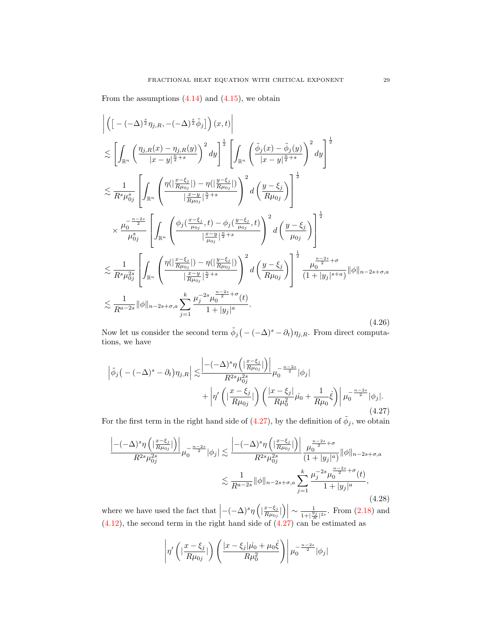From the assumptions  $(4.14)$  and  $(4.15)$ , we obtain

<span id="page-28-1"></span>
$$
\begin{split}\n&\left| \left( \left[ -(-\Delta)^{\frac{s}{2}} \eta_{j,R}, -(-\Delta)^{\frac{s}{2}} \tilde{\phi}_{j} \right] \right) (x,t) \right| \\
&\lesssim \left[ \int_{\mathbb{R}^{n}} \left( \frac{\eta_{j,R}(x) - \eta_{j,R}(y)}{|x - y|^{\frac{n}{2} + s}} \right)^{2} dy \right]^{\frac{1}{2}} \left[ \int_{\mathbb{R}^{n}} \left( \frac{\tilde{\phi}_{j}(x) - \tilde{\phi}_{j}(y)}{|x - y|^{\frac{n}{2} + s}} \right)^{2} dy \right]^{\frac{1}{2}} \\
&\lesssim \frac{1}{R^{s} \mu_{0j}^{s}} \left[ \int_{\mathbb{R}^{n}} \left( \frac{\eta(|\frac{x - \xi_{j}}{R\mu_{0j}}|) - \eta(|\frac{y - \xi_{j}}{R\mu_{0j}}|)}{|\frac{x - y}{R\mu_{0j}}|^{\frac{n}{2} + s}} \right)^{2} d \left( \frac{y - \xi_{j}}{R\mu_{0j}} \right) \right] \\
&\times \frac{\mu_{0}^{-\frac{n - 2s}{2}}}{\mu_{0j}^{s}} \left[ \int_{\mathbb{R}^{n}} \left( \frac{\phi_{j}(\frac{x - \xi_{j}}{\mu_{0j}} + b) - \phi_{j}(\frac{y - \xi_{j}}{\mu_{0j}}, t)}{|\frac{x - y}{R\mu_{0j}}|^{\frac{n}{2} + s}} \right)^{2} d \left( \frac{y - \xi_{j}}{\mu_{0j}} \right) \right]^{\frac{1}{2}} \\
&\lesssim \frac{1}{R^{s} \mu_{0j}^{2s}} \left[ \int_{\mathbb{R}^{n}} \left( \frac{\eta(|\frac{x - \xi_{j}}{R\mu_{0j}}|) - \eta(|\frac{y - \xi_{j}}{R\mu_{0j}}|)}{|\frac{x - y}{R\mu_{0j}}|^{\frac{n}{2} + s}} \right)^{2} d \left( \frac{y - \xi_{j}}{R\mu_{0j}} \right) \right]^{\frac{1}{2}} \frac{\mu_{0}^{-2s} + \sigma}{(1 + |y_{j}|^{s + a})} ||\phi||_{n - 2s + \sigma, a} \\
&\lesssim \frac{1}{R^{a - 2s}} ||\phi||_{n - 2s + \sigma, a} \sum_{
$$

Now let us consider the second term  $\tilde{\phi}_j(-(-\Delta)^s - \partial_t)\eta_{j,R}$ . From direct computations, we have

<span id="page-28-0"></span>
$$
\left| \tilde{\phi}_{j} \left( -(-\Delta)^{s} - \partial_{t} \right) \eta_{j,R} \right| \lesssim \frac{\left| -(-\Delta)^{s} \eta \left( \left| \frac{x-\xi_{j}}{R\mu_{0j}} \right| \right) \right|}{R^{2s} \mu_{0j}^{2s}} \mu_{0}^{-\frac{n-2s}{2}} |\phi_{j}| + \left| \eta' \left( \left| \frac{x-\xi_{j}}{R\mu_{0j}} \right| \right) \left( \frac{\left| x-\xi_{j} \right|}{R\mu_{0}^{2}} \mu_{0} + \frac{1}{R\mu_{0}} \dot{\xi} \right) \right| \mu_{0}^{-\frac{n-2s}{2}} |\phi_{j}|. \tag{4.27}
$$

For the first term in the right hand side of [\(4.27\)](#page-28-0), by the definition of  $\tilde{\phi}_j$ , we obtain

$$
\frac{\left| -(-\Delta)^s \eta \left( \left| \frac{x-\xi_j}{R\mu_{0j}} \right| \right) \right|}{R^{2s} \mu_{0j}^{2s}} \mu_0^{-\frac{n-2s}{2}} |\phi_j| \lesssim \frac{\left| -(-\Delta)^s \eta \left( \left| \frac{x-\xi_j}{R\mu_{0j}} \right| \right) \right|}{R^{2s} \mu_{0j}^{2s}} \frac{\mu_0^{-2s}}{(1+|y_j|^a)} \|\phi\|_{n-2s+\sigma,a} \leq \frac{1}{R^{a-2s}} \|\phi\|_{n-2s+\sigma,a} \sum_{j=1}^k \frac{\mu_j^{-2s} \mu_0^{\frac{n-2s}{2}+\sigma}(t)}{1+|y_j|^a},
$$
\n(4.28)

where we have used the fact that  $\left| -(-\Delta)^s \eta \left( \left| \frac{x-\xi_j}{R \mu_{0j}} \right| \right) \right|$  $\left. \frac{x-\xi_j}{R \mu_{0j}} \right| \left. \right) \right| \sim \frac{1}{1+|\frac{y}{f}|}$  $\frac{1}{1+|\frac{y_j}{R}|^{2s}}$ . From  $(2.18)$  and  $(4.12)$ , the second term in the right hand side of  $(4.27)$  can be estimated as

$$
\left|\eta'\left(|\frac{x-\xi_j}{R\mu_{0j}}|\right)\left(\frac{|x-\xi_j|\mu_0+\mu_0\xi}{R\mu_0^2}\right)\right|\mu_0^{-\frac{n-2s}{2}}|\phi_j|
$$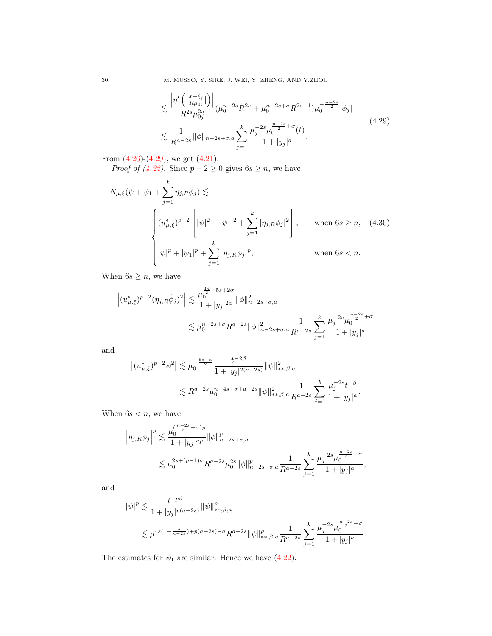30 M. MUSSO, Y. SIRE, J. WEI, Y. ZHENG, AND Y.ZHOU

$$
\lesssim \frac{\left|\eta'\left(|\frac{x-\xi_j}{R\mu_{0j}}|\right)\right|}{R^{2s}\mu_{0j}^{2s}}(\mu_0^{n-2s}R^{2s}+\mu_0^{n-2s+\sigma}R^{2s-1})\mu_0^{-\frac{n-2s}{2}}|\phi_j|
$$
\n
$$
\lesssim \frac{1}{R^{a-2s}}\|\phi\|_{n-2s+\sigma,a} \sum_{j=1}^k \frac{\mu_j^{-2s}\mu_0^{-\frac{n-2s}{2}+\sigma}(t)}{1+|y_j|^a}.
$$
\n(4.29)

From  $(4.26)-(4.29)$  $(4.26)-(4.29)$ , we get  $(4.21)$ .

*Proof of [\(4.22\)](#page-27-1).* Since  $p - 2 \ge 0$  gives  $6s \ge n$ , we have

<span id="page-29-1"></span>
$$
\tilde{N}_{\mu,\xi}(\psi + \psi_1 + \sum_{j=1}^k \eta_{j,R} \tilde{\phi}_j) \lesssim
$$
\n
$$
\begin{cases}\n(u_{\mu,\xi}^*)^{p-2} \left[ |\psi|^2 + |\psi_1|^2 + \sum_{j=1}^k |\eta_{j,R} \tilde{\phi}_j|^2 \right], & \text{when } 6s \ge n, \quad (4.30) \\
|\psi|^p + |\psi_1|^p + \sum_{j=1}^k |\eta_{j,R} \tilde{\phi}_j|^p, & \text{when } 6s < n.\n\end{cases}
$$

When  $6s \geq n$ , we have

$$
\left| (u_{\mu,\xi}^*)^{p-2} (\eta_{j,R} \tilde{\phi}_j)^2 \right| \lesssim \frac{\mu_0^{\frac{3n}{2}-5s+2\sigma}}{1+|y_j|^{2a}} \|\phi\|_{n-2s+\sigma,a}^2
$$
  

$$
\lesssim \mu_0^{n-2s+\sigma} R^{a-2s} \|\phi\|_{n-2s+\sigma,a}^2 \frac{1}{R^{a-2s}} \sum_{j=1}^k \frac{\mu_j^{-2s} \mu_0^{\frac{n-2s}{2}+\sigma}}{1+|y_j|^a}
$$

and

$$
\begin{split} \left| (u_{\mu,\xi}^*)^{p-2}\psi^2 \right| \lesssim & \mu_0^{-\frac{6s-n}{2}}\frac{t^{-2\beta}}{1+|y_j|^{2(a-2s)}}\|\psi\|_{**,\beta,a}^2\\ \lesssim & R^{a-2s}\mu_0^{n-4s+\sigma+a-2s}\|\psi\|_{**,\beta,a}^2\frac{1}{R^{a-2s}}\sum_{j=1}^k\frac{\mu_j^{-2s}t^{-\beta}}{1+|y_j|^a}. \end{split}
$$

When  $6s < n$ , we have

$$
\begin{split} \left|\eta_{j,R}\tilde{\phi}_j\right|^p &\lesssim \frac{\mu_0^{(\frac{n-2s}{2}+\sigma)p}}{1+|y_j|^{ap}}\|\phi\|_{n-2s+\sigma,a}^p\\ &\lesssim \mu_0^{2s+(p-1)\sigma}R^{a-2s}\mu_0^{2s}\|\phi\|_{n-2s+\sigma,a}^p\frac{1}{R^{a-2s}}\sum_{j=1}^k\frac{\mu_j^{-2s}\mu_0^{\frac{n-2s}{2}+\sigma}}{1+|y_j|^a}, \end{split}
$$

and

$$
\begin{split} &|\psi|^p\lesssim \frac{t^{-p\beta}}{1+|y_j|^{p(a-2s)}}\|\psi\|^p_{**,\beta,a}\\ &\lesssim \mu^{4s(1+\frac{\sigma}{n-2s})+p(a-2s)-a}R^{a-2s}\|\psi\|^p_{**,\beta,a}\frac{1}{R^{a-2s}}\sum_{j=1}^k\frac{\mu_j^{-2s}\mu_0^{\frac{n-2s}{2}+\sigma}}{1+|y_j|^a}. \end{split}
$$

The estimates for  $\psi_1$  are similar. Hence we have [\(4.22\)](#page-27-1).

<span id="page-29-0"></span>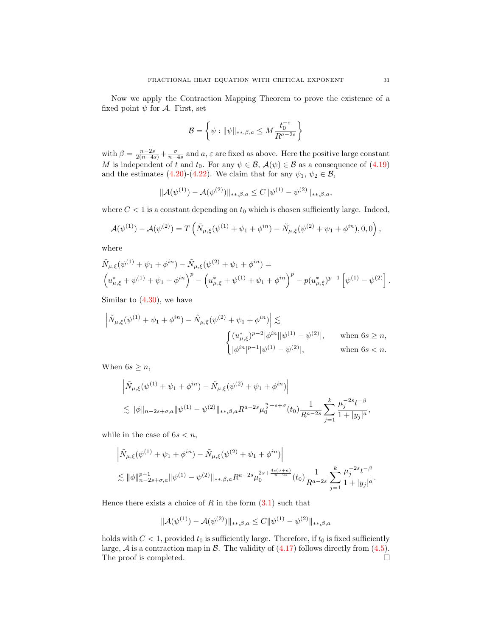Now we apply the Contraction Mapping Theorem to prove the existence of a fixed point  $\psi$  for A. First, set

$$
\mathcal{B} = \left\{ \psi : \|\psi\|_{**,\beta,a} \le M \frac{t_0^{-\varepsilon}}{R^{a-2s}} \right\}
$$

with  $\beta = \frac{n-2s}{2(n-4s)} + \frac{\sigma}{n-4s}$  and  $a, \varepsilon$  are fixed as above. Here the positive large constant M is independent of t and  $t_0$ . For any  $\psi \in \mathcal{B}$ ,  $\mathcal{A}(\psi) \in \mathcal{B}$  as a consequence of [\(4.19\)](#page-26-1) and the estimates [\(4.20\)](#page-26-0)-[\(4.22\)](#page-27-1). We claim that for any  $\psi_1, \psi_2 \in \mathcal{B}$ ,

$$
\|\mathcal{A}(\psi^{(1)}) - \mathcal{A}(\psi^{(2)})\|_{**,\beta,a} \le C \|\psi^{(1)} - \psi^{(2)}\|_{**,\beta,a},
$$

where  $C < 1$  is a constant depending on  $t_0$  which is chosen sufficiently large. Indeed,

$$
\mathcal{A}(\psi^{(1)}) - \mathcal{A}(\psi^{(2)}) = T\left(\tilde{N}_{\mu,\xi}(\psi^{(1)} + \psi_1 + \phi^{in}) - \tilde{N}_{\mu,\xi}(\psi^{(2)} + \psi_1 + \phi^{in}),0,0\right),
$$

where

$$
\tilde{N}_{\mu,\xi}(\psi^{(1)} + \psi_1 + \phi^{in}) - \tilde{N}_{\mu,\xi}(\psi^{(2)} + \psi_1 + \phi^{in}) =
$$
\n
$$
\left(u_{\mu,\xi}^* + \psi^{(1)} + \psi_1 + \phi^{in}\right)^p - \left(u_{\mu,\xi}^* + \psi^{(1)} + \psi_1 + \phi^{in}\right)^p - p(u_{\mu,\xi}^*)^{p-1}\left[\psi^{(1)} - \psi^{(2)}\right].
$$

Similar to [\(4.30\)](#page-29-1), we have

$$
\begin{aligned} \left| \tilde{N}_{\mu,\xi}(\psi^{(1)}+\psi_1+\phi^{in}) - \tilde{N}_{\mu,\xi}(\psi^{(2)}+\psi_1+\phi^{in}) \right| \lesssim \\ \begin{cases} (u_{\mu,\xi}^*)^{p-2}|\phi^{in}||\psi^{(1)}-\psi^{(2)}|, \qquad \text{when } 6s \geq n, \\ |\phi^{in}|^{p-1}|\psi^{(1)}-\psi^{(2)}|, \qquad \text{when } 6s < n. \end{cases} \end{aligned}
$$

When  $6s \geq n$ ,

$$
\begin{split} & \left| \tilde{N}_{\mu,\xi}(\psi^{(1)} + \psi_1 + \phi^{in}) - \tilde{N}_{\mu,\xi}(\psi^{(2)} + \psi_1 + \phi^{in}) \right| \\ & \lesssim \|\phi\|_{n-2s+\sigma,a} \|\psi^{(1)} - \psi^{(2)}\|_{**,\beta,a} R^{a-2s} \mu_0^{\frac{n}{2}+s+\sigma}(t_0) \frac{1}{R^{a-2s}} \sum_{j=1}^k \frac{\mu_j^{-2s} t^{-\beta}}{1 + |y_j|^a}, \end{split}
$$

while in the case of  $6s < n$ ,

$$
\begin{split} & \left| \tilde{N}_{\mu,\xi}(\psi^{(1)} + \psi_1 + \phi^{in}) - \tilde{N}_{\mu,\xi}(\psi^{(2)} + \psi_1 + \phi^{in}) \right| \\ &\lesssim \|\phi\|_{n-2s+\sigma,a}^{p-1} \|\psi^{(1)} - \psi^{(2)}\|_{*,\beta,a} R^{a-2s} \mu_0^{2s + \frac{4s(\sigma+a)}{n-2s}}(t_0) \frac{1}{R^{a-2s}} \sum_{j=1}^k \frac{\mu_j^{-2s} t^{-\beta}}{1 + |y_j|^a}. \end{split}
$$

Hence there exists a choice of  $R$  in the form  $(3.1)$  such that

$$
\|\mathcal{A}(\psi^{(1)}) - \mathcal{A}(\psi^{(2)})\|_{*,\beta,a} \le C \|\psi^{(1)} - \psi^{(2)}\|_{*,\beta,a}
$$

holds with  $C < 1$ , provided  $t_0$  is sufficiently large. Therefore, if  $t_0$  is fixed sufficiently large,  $A$  is a contraction map in  $B$ . The validity of  $(4.17)$  follows directly from  $(4.5)$ . The proof is completed.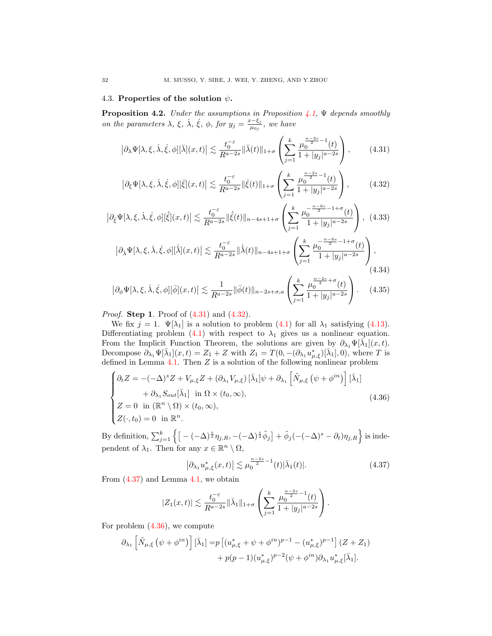# 4.3. Properties of the solution  $\psi$ .

<span id="page-31-7"></span>**Proposition 4.2.** Under the assumptions in Proposition  $\angle 4.1$ ,  $\Psi$  depends smoothly on the parameters  $\lambda$ ,  $\xi$ ,  $\dot{\lambda}$ ,  $\dot{\xi}$ ,  $\phi$ , for  $y_j = \frac{x-\xi_j}{\mu_0}$  $\frac{z-\varsigma_j}{\mu_{0j}}$ , we have

<span id="page-31-0"></span>
$$
\left|\partial_{\lambda}\Psi[\lambda,\xi,\dot{\lambda},\dot{\xi},\phi][\bar{\lambda}](x,t)\right| \lesssim \frac{t_0^{-\varepsilon}}{R^{a-2s}} \|\bar{\lambda}(t)\|_{1+\sigma} \left(\sum_{j=1}^k \frac{\mu_0^{\frac{n-2s}{2}-1}(t)}{1+|y_j|^{a-2s}}\right),\tag{4.31}
$$

<span id="page-31-1"></span>
$$
\left|\partial_{\xi}\Psi[\lambda,\xi,\dot{\lambda},\dot{\xi},\phi]\right|\bar{\xi}](x,t)\right| \lesssim \frac{t_0^{-\varepsilon}}{R^{a-2s}}\|\bar{\xi}(t)\|_{1+\sigma}\left(\sum_{j=1}^k \frac{\mu_0^{\frac{n-2s}{2}-1}(t)}{1+|y_j|^{\frac{n-2s}{2}}}\right),\tag{4.32}
$$

<span id="page-31-4"></span>
$$
\left|\partial_{\dot{\xi}}\Psi[\lambda,\xi,\dot{\lambda},\dot{\xi},\phi][\dot{\xi}](x,t)\right| \lesssim \frac{t_0^{-\varepsilon}}{R^{a-2s}} \|\dot{\xi}(t)\|_{n-4s+1+\sigma} \left(\sum_{j=1}^k \frac{\mu_0^{\frac{n-6s}{2}-1+\sigma}(t)}{1+|y_j|^{\alpha-2s}}\right),\tag{4.33}
$$

<span id="page-31-5"></span>
$$
\left|\partial_{\dot{\lambda}}\Psi[\lambda,\xi,\dot{\lambda},\dot{\xi},\phi][\dot{\bar{\lambda}}](x,t)\right| \lesssim \frac{t_0^{-\varepsilon}}{R^{a-2s}} \|\dot{\bar{\lambda}}(t)\|_{n-4s+1+\sigma} \left(\sum_{j=1}^k \frac{\mu_0^{-\frac{n-6s}{2}-1+\sigma}(t)}{1+|y_j|^{a-2s}}\right),\tag{4.34}
$$

<span id="page-31-6"></span>
$$
\left|\partial_{\phi}\Psi[\lambda,\xi,\dot{\lambda},\dot{\xi},\phi][\bar{\phi}](x,t)\right| \lesssim \frac{1}{R^{a-2s}} \|\bar{\phi}(t)\|_{n-2s+\sigma,a} \left(\sum_{j=1}^{k} \frac{\mu_0^{\frac{n-2s}{2}+\sigma}(t)}{1+|y_j|^{a-2s}}\right). \tag{4.35}
$$

*Proof.* **Step 1**. Proof of  $(4.31)$  and  $(4.32)$ .

We fix  $j = 1$ .  $\Psi[\lambda_1]$  is a solution to problem [\(4.1\)](#page-22-2) for all  $\lambda_1$  satisfying [\(4.13\)](#page-25-2). Differentiating problem [\(4.1\)](#page-22-2) with respect to  $\lambda_1$  gives us a nonlinear equation. From the Implicit Function Theorem, the solutions are given by  $\partial_{\lambda_1}\Psi[\bar{\lambda_1}](x,t)$ . Decompose  $\partial_{\lambda_1}\Psi[\bar{\lambda}_1](x,t) = Z_1 + Z$  with  $Z_1 = T(0, -(\partial_{\lambda_1}u_{\mu,\xi}^*)[\bar{\lambda}_1], 0)$ , where T is defined in Lemma [4.1.](#page-23-0) Then  $Z$  is a solution of the following nonlinear problem

<span id="page-31-3"></span>
$$
\begin{cases}\n\partial_t Z = -(-\Delta)^s Z + V_{\mu,\xi} Z + (\partial_{\lambda_1} V_{\mu,\xi}) \left[ \bar{\lambda}_1 \right] \psi + \partial_{\lambda_1} \left[ \tilde{N}_{\mu,\xi} \left( \psi + \phi^{in} \right) \right] \left[ \bar{\lambda}_1 \right] \\
+ \partial_{\lambda_1} S_{out} \left[ \bar{\lambda}_1 \right] \text{ in } \Omega \times (t_0, \infty), \\
Z = 0 \text{ in } (\mathbb{R}^n \setminus \Omega) \times (t_0, \infty), \\
Z(\cdot, t_0) = 0 \text{ in } \mathbb{R}^n.\n\end{cases}
$$
\n(4.36)

By definition,  $\sum_{j=1}^k \left\{ \left[ -(-\Delta)^{\frac{s}{2}} \eta_{j,R}, -(-\Delta)^{\frac{s}{2}} \tilde{\phi}_j \right] + \tilde{\phi}_j (-(-\Delta)^s - \partial_t) \eta_{j,R} \right\}$  is independent of  $\lambda_1$ . Then for any  $x \in \mathbb{R}^n \setminus \Omega$ ,

<span id="page-31-2"></span>
$$
\left|\partial_{\lambda_1} u_{\mu,\xi}^*(x,t)\right| \lesssim \mu_0^{\frac{n-2s}{2}-1}(t)|\bar{\lambda}_1(t)|. \tag{4.37}
$$

From [\(4.37\)](#page-31-2) and Lemma [4.1,](#page-23-0) we obtain

$$
|Z_1(x,t)| \lesssim \frac{t_0^{-\varepsilon}}{R^{a-2s}} \|\bar{\lambda}_1\|_{1+\sigma} \left(\sum_{j=1}^k \frac{\mu_0^{\frac{n-2s}{2}-1}(t)}{1+|y_j|^{\frac{n-2s}{2}}}\right).
$$

For problem  $(4.36)$ , we compute

$$
\partial_{\lambda_1} \left[ \tilde{N}_{\mu,\xi} \left( \psi + \phi^{in} \right) \right] \left[ \bar{\lambda}_1 \right] = p \left[ (u_{\mu,\xi}^* + \psi + \phi^{in})^{p-1} - (u_{\mu,\xi}^*)^{p-1} \right] (Z + Z_1) + p(p-1) (u_{\mu,\xi}^*)^{p-2} (\psi + \phi^{in}) \partial_{\lambda_1} u_{\mu,\xi}^* [\bar{\lambda}_1].
$$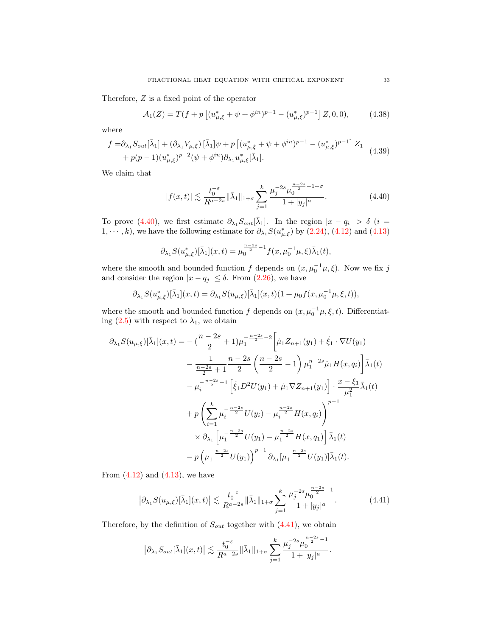Therefore, Z is a fixed point of the operator

<span id="page-32-3"></span>
$$
\mathcal{A}_1(Z) = T(f + p\left[ (u_{\mu,\xi}^* + \psi + \phi^{in})^{p-1} - (u_{\mu,\xi}^*)^{p-1} \right] Z, 0, 0), \tag{4.38}
$$

where

<span id="page-32-2"></span>
$$
f = \partial_{\lambda_1} S_{out}[\bar{\lambda}_1] + (\partial_{\lambda_1} V_{\mu,\xi}) [\bar{\lambda}_1] \psi + p [ (u_{\mu,\xi}^* + \psi + \phi^{in})^{p-1} - (u_{\mu,\xi}^*)^{p-1} ] Z_1 + p(p-1) (u_{\mu,\xi}^*)^{p-2} (\psi + \phi^{in}) \partial_{\lambda_1} u_{\mu,\xi}^* [\bar{\lambda}_1].
$$
 (4.39)

We claim that

<span id="page-32-0"></span>
$$
|f(x,t)| \lesssim \frac{t_0^{-\varepsilon}}{R^{a-2s}} \|\bar{\lambda}_1\|_{1+\sigma} \sum_{j=1}^k \frac{\mu_j^{-2s} \mu_0^{\frac{n-2s}{2}-1+\sigma}}{1+|y_j|^a}.
$$
 (4.40)

To prove [\(4.40\)](#page-32-0), we first estimate  $\partial_{\lambda_1} S_{out}[\bar{\lambda}_1]$ . In the region  $|x - q_i| > \delta$  (*i* = 1,  $\dots$ , k), we have the following estimate for  $\partial_{\lambda_1} S(u_{\mu,\xi}^*)$  by [\(2.24\)](#page-16-3), [\(4.12\)](#page-25-1) and [\(4.13\)](#page-25-2)

$$
\partial_{\lambda_1} S(u_{\mu,\xi}^*)[\bar{\lambda}_1](x,t) = \mu_0^{\frac{n-2s}{2}-1} f(x,\mu_0^{-1}\mu,\xi) \bar{\lambda}_1(t),
$$

where the smooth and bounded function f depends on  $(x, \mu_0^{-1}\mu, \xi)$ . Now we fix j and consider the region  $|x - q_j| \leq \delta$ . From [\(2.26\)](#page-17-0), we have

$$
\partial_{\lambda_1} S(u_{\mu,\xi}^*)[\bar{\lambda}_1](x,t) = \partial_{\lambda_1} S(u_{\mu,\xi})[\bar{\lambda}_1](x,t)(1+\mu_0 f(x,\mu_0^{-1}\mu,\xi,t)),
$$

where the smooth and bounded function f depends on  $(x, \mu_0^{-1}\mu, \xi, t)$ . Differentiating  $(2.5)$  with respect to  $\lambda_1$ , we obtain

$$
\partial_{\lambda_1} S(u_{\mu,\xi})[\bar{\lambda}_1](x,t) = -\left(\frac{n-2s}{2} + 1\right)\mu_1^{-\frac{n-2s}{2} - 2} \left[\dot{\mu}_1 Z_{n+1}(y_1) + \dot{\xi}_1 \cdot \nabla U(y_1) \right.\n- \frac{1}{\frac{n-2s}{2} + 1} \frac{n-2s}{2} \left(\frac{n-2s}{2} - 1\right) \mu_1^{n-2s} \dot{\mu}_1 H(x, q_i) \left[\bar{\lambda}_1(t) \right.\n- \mu_i^{-\frac{n-2s}{2} - 1} \left[\dot{\xi}_1 D^2 U(y_1) + \dot{\mu}_1 \nabla Z_{n+1}(y_1)\right] \cdot \frac{x - \xi_1}{\mu_1^2} \bar{\lambda}_1(t) \n+ p \left(\sum_{i=1}^k \mu_i^{-\frac{n-2s}{2}} U(y_i) - \mu_i^{\frac{n-2s}{2}} H(x, q_i)\right)^{p-1} \n\times \partial_{\lambda_1} \left[\mu_1^{-\frac{n-2s}{2}} U(y_1) - \mu_1^{\frac{n-2s}{2}} H(x, q_1)\right] \bar{\lambda}_1(t) \n- p \left(\mu_1^{-\frac{n-2s}{2}} U(y_1)\right)^{p-1} \partial_{\lambda_1} [\mu_1^{-\frac{n-2s}{2}} U(y_1)] \bar{\lambda}_1(t).
$$

From  $(4.12)$  and  $(4.13)$ , we have

<span id="page-32-1"></span>
$$
\left|\partial_{\lambda_1} S(u_{\mu,\xi})[\bar{\lambda}_1](x,t)\right| \lesssim \frac{t_0^{-\varepsilon}}{R^{a-2s}} \|\bar{\lambda}_1\|_{1+\sigma} \sum_{j=1}^k \frac{\mu_j^{-2s} \mu_0^{\frac{n-2s}{2}-1}}{1+|y_j|^a}.
$$
 (4.41)

Therefore, by the definition of  $S_{out}$  together with  $(4.41)$ , we obtain

$$
\left|\partial_{\lambda_1}S_{out}[\bar{\lambda}_1](x,t)\right|\lesssim \frac{t_0^{-\varepsilon}}{R^{a-2s}}\|\bar{\lambda}_1\|_{1+\sigma}\sum_{j=1}^k \frac{\mu_j^{-2s}\mu_0^{\frac{n-2s}{2}-1}}{1+|y_j|^a}.
$$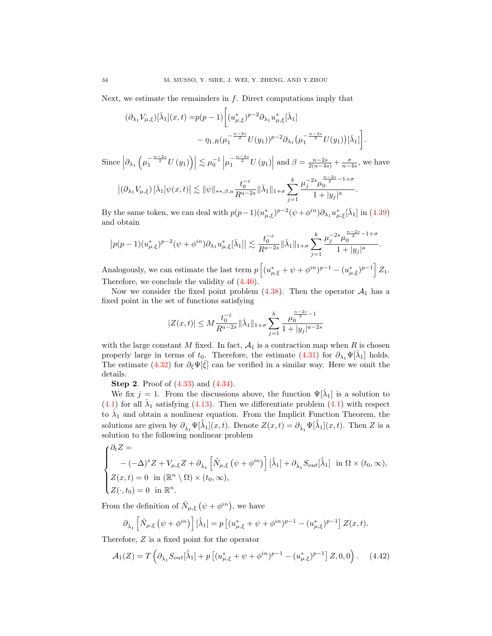Next, we estimate the remainders in  $f$ . Direct computations imply that

$$
(\partial_{\lambda_1} V_{\mu,\xi})[\bar{\lambda}_1](x,t) = p(p-1) \left[ (u_{\mu,\xi}^*)^{p-2} \partial_{\lambda_1} u_{\mu,\xi}^* [\bar{\lambda}_1] - \eta_{1,R} (\mu_1^{-\frac{n-2s}{2}} U(y_1))^{p-2} \partial_{\lambda_1} (\mu_1^{-\frac{n-2s}{2}} U(y_1)) [\bar{\lambda}_1] \right]
$$

.

Since  $\left|\partial_{\lambda_1}\left(\mu_1^{-\frac{n-2s}{2}}U(y_1)\right)\right| \lesssim \mu_0^{-1} \left|\mu_1^{-\frac{n-2s}{2}}U(y_1)\right|$  and  $\beta = \frac{n-2s}{2(n-4s)} + \frac{\sigma}{n-4s}$ , we have  $\left| \left( \partial_{\lambda_1} V_{\mu,\xi} \right) [\bar{\lambda}_1] \psi(x,t) \right| \lesssim \|\psi\|_{**,\beta,a} \frac{t_0^{-\varepsilon}}{R^{a-2s}} \|\bar{\lambda}_1\|_{1+\sigma} \sum_{i=1}^k$  $\mu_j^{-2s} \mu_0^{\frac{n-2s}{2} - 1 + \sigma}$  $\frac{1 + |y_j|^a}{1 + |y_j|^a}$ .

By the same token, we can deal with  $p(p-1)(u_{\mu,\xi}^*)^{p-2}(\psi+\phi^{in})\partial_{\lambda_1}u_{\mu,\xi}^*[\bar{\lambda}_1]$  in [\(4.39\)](#page-32-2) and obtain

 $j=1$ 

$$
\left|p(p-1)(u_{\mu,\xi}^*)^{p-2}(\psi+\phi^{in})\partial_{\lambda_1}u_{\mu,\xi}^*[\bar{\lambda}_1]\right|\lesssim \frac{t_0^{-\varepsilon}}{R^{a-2s}}\|\bar{\lambda}_1\|_{1+\sigma}\sum_{j=1}^k\frac{\mu_j^{-2s}\mu_0^{\frac{n-2s}{2}-1+\sigma}}{1+|y_j|^a}.
$$

Analogously, we can estimate the last term  $p\left[ (u_{\mu,\xi}^* + \psi + \phi^{in})^{p-1} - (u_{\mu,\xi}^*)^{p-1} \right] Z_1$ . Therefore, we conclude the validity of [\(4.40\)](#page-32-0).

Now we consider the fixed point problem  $(4.38)$ . Then the operator  $\mathcal{A}_1$  has a fixed point in the set of functions satisfying

$$
|Z(x,t)|\leq M\frac{t_0^{-\varepsilon}}{R^{a-2s}}\|\bar{\lambda}_1\|_{1+\sigma}\sum_{j=1}^k\frac{\mu_0^{\frac{n-2s}{2}-1}}{1+|y_j|^{a-2s}}
$$

with the large constant M fixed. In fact,  $A_1$  is a contraction map when R is chosen properly large in terms of  $t_0$ . Therefore, the estimate  $(4.31)$  for  $\partial_{\lambda_1}\Psi[\bar{\lambda}_1]$  holds. The estimate [\(4.32\)](#page-31-1) for  $\partial_{\xi} \Psi[\xi]$  can be verified in a similar way. Here we omit the details.

**Step 2.** Proof of  $(4.33)$  and  $(4.34)$ .

We fix  $j = 1$ . From the discussions above, the function  $\Psi[\dot{\lambda}_1]$  is a solution to [\(4.1\)](#page-22-2) for all  $\lambda_1$  satisfying [\(4.13\)](#page-25-2). Then we differentiate problem [\(4.1\)](#page-22-2) with respect to  $\lambda_1$  and obtain a nonlinear equation. From the Implicit Function Theorem, the solutions are given by  $\partial_{\lambda_1} \Psi[\dot{\lambda}_1](x,t)$ . Denote  $Z(x,t) = \partial_{\dot{\lambda}_1} \Psi[\dot{\lambda}_1](x,t)$ . Then Z is a solution to the following nonlinear problem

$$
\begin{cases} \partial_t Z = \\ \quad -(-\Delta)^s Z + V_{\mu,\xi} Z + \partial_{\lambda_1} \left[ \tilde{N}_{\mu,\xi} \left( \psi + \phi^{in} \right) \right] [\dot{\lambda}_1] + \partial_{\lambda_1} S_{out} [\dot{\lambda}_1] & \text{in } \Omega \times (t_0, \infty), \\ Z(x,t) = 0 \quad \text{in } (\mathbb{R}^n \setminus \Omega) \times (t_0, \infty), \\ Z(\cdot, t_0) = 0 \quad \text{in } \mathbb{R}^n. \end{cases}
$$

From the definition of  $\tilde{N}_{\mu,\xi}(\psi + \phi^{in}),$  we have

$$
\partial_{\dot{\lambda}_1} \left[ \tilde{N}_{\mu,\xi} \left( \psi + \phi^{in} \right) \right] \left[ \dot{\bar{\lambda}}_1 \right] = p \left[ (u_{\mu,\xi}^* + \psi + \phi^{in})^{p-1} - (u_{\mu,\xi}^*)^{p-1} \right] Z(x,t).
$$

Therefore, Z is a fixed point for the operator

<span id="page-33-0"></span>
$$
\mathcal{A}_1(Z) = T\left(\partial_{\dot{\lambda}_1} S_{out}[\dot{\bar{\lambda}}_1] + p\left[ (u_{\mu,\xi}^* + \psi + \phi^{in})^{p-1} - (u_{\mu,\xi}^*)^{p-1} \right] Z, 0, 0 \right). \tag{4.42}
$$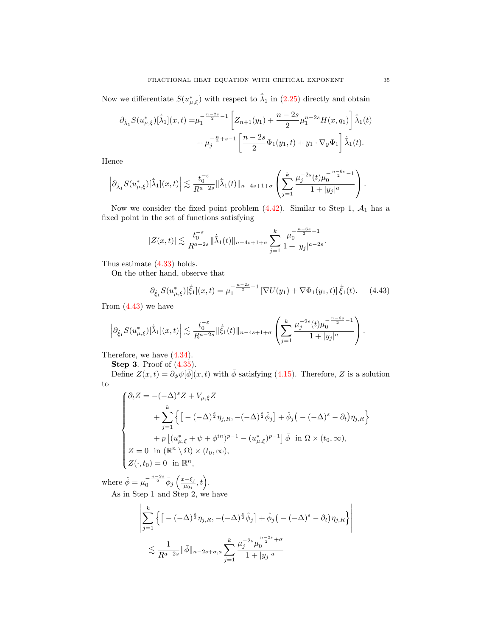Now we differentiate  $S(u^*_{\mu,\xi})$  with respect to  $\dot{\lambda}_1$  in [\(2.25\)](#page-17-1) directly and obtain

$$
\partial_{\dot{\lambda}_1} S(u_{\mu,\xi}^*)[\dot{\bar{\lambda}}_1](x,t) = \mu_1^{-\frac{n-2s}{2}-1} \left[ Z_{n+1}(y_1) + \frac{n-2s}{2} \mu_1^{n-2s} H(x, q_1) \right] \dot{\bar{\lambda}}_1(t) \n+ \mu_j^{-\frac{n}{2}+s-1} \left[ \frac{n-2s}{2} \Phi_1(y_1,t) + y_1 \cdot \nabla_y \Phi_1 \right] \dot{\bar{\lambda}}_1(t).
$$

Hence

$$
\left|\partial_{\dot{\lambda}_1} S(u_{\mu,\xi}^*)[\dot{\bar{\lambda}}_1](x,t)\right| \lesssim \frac{t_0^{-\varepsilon}}{R^{a-2s}} \|\dot{\bar{\lambda}}_1(t)\|_{n-4s+1+\sigma} \left(\sum_{j=1}^k \frac{\mu_j^{-2s}(t)\mu_0^{-\frac{n-6s}{2}-1}}{1+|y_j|^a}\right).
$$

Now we consider the fixed point problem  $(4.42)$ . Similar to Step 1,  $\mathcal{A}_1$  has a fixed point in the set of functions satisfying

$$
|Z(x,t)|\lesssim \frac{t_0^{-\varepsilon}}{R^{a-2s}}\|\dot{\bar{\lambda}}_1(t)\|_{n-4s+1+\sigma}\sum_{j=1}^k\frac{\mu_0^{-\frac{n-6s}{2}-1}}{1+|y_j|^{a-2s}}.
$$

Thus estimate [\(4.33\)](#page-31-4) holds.

On the other hand, observe that

<span id="page-34-0"></span>
$$
\partial_{\dot{\xi}_1} S(u_{\mu,\xi}^*)[\dot{\bar{\xi}}_1](x,t) = \mu_1^{-\frac{n-2s}{2}-1} \left[ \nabla U(y_1) + \nabla \Phi_1(y_1,t) \right] \dot{\bar{\xi}}_1(t). \tag{4.43}
$$

From  $(4.43)$  we have

$$
\left|\partial_{\dot{\xi}_1} S(u_{\mu,\xi}^*)[\dot{\bar{\lambda}}_1](x,t)\right| \lesssim \frac{t_0^{-\varepsilon}}{R^{a-2s}} \|\dot{\bar{\xi}}_1(t)\|_{n-4s+1+\sigma} \left(\sum_{j=1}^k \frac{\mu_j^{-2s}(t)\mu_0^{-\frac{n-6s}{2}-1}}{1+|y_j|^a}\right).
$$

Therefore, we have [\(4.34\)](#page-31-5).

**Step 3.** Proof of  $(4.35)$ .

Define  $Z(x,t) = \partial_{\phi} \psi[\phi](x,t)$  with  $\bar{\phi}$  satisfying [\(4.15\)](#page-25-3). Therefore, Z is a solution to

$$
\begin{cases} \partial_t Z = -(-\Delta)^s Z + V_{\mu,\xi} Z \\ \qquad + \sum_{j=1}^k \left\{ \left[ -(-\Delta)^{\frac{s}{2}} \eta_{j,R}, -(-\Delta)^{\frac{s}{2}} \hat{\phi}_j \right] + \hat{\phi}_j \left( -(-\Delta)^s - \partial_t \right) \eta_{j,R} \right\} \\ \qquad + p \left[ (u_{\mu,\xi}^* + \psi + \phi^{in})^{p-1} - (u_{\mu,\xi}^*)^{p-1} \right] \bar{\phi} & \text{in } \Omega \times (t_0, \infty), \\ Z = 0 \quad \text{in } (\mathbb{R}^n \setminus \Omega) \times (t_0, \infty), \\ Z(\cdot, t_0) = 0 \quad \text{in } \mathbb{R}^n, \end{cases}
$$

where  $\hat{\phi} = \mu_0^{-\frac{n-2s}{2}} \bar{\phi}_j \left( \frac{x-\xi_j}{\mu_{0j}} \right)$  $rac{\lambda-\xi_j}{\mu_{0j}},t\Big).$ As in Step 1 and Step 2, we have

$$
\left| \sum_{j=1}^{k} \left\{ \left[ -(-\Delta)^{\frac{s}{2}} \eta_{j,R}, -(-\Delta)^{\frac{s}{2}} \hat{\phi}_j \right] + \hat{\phi}_j \left( -(-\Delta)^s - \partial_t \right) \eta_{j,R} \right\} \right|
$$
  

$$
\lesssim \frac{1}{R^{a-2s}} \|\bar{\phi}\|_{n-2s+\sigma,a} \sum_{j=1}^{k} \frac{\mu_j^{-2s} \mu_0^{\frac{n-2s}{2}+\sigma}}{1+|y_j|^a}
$$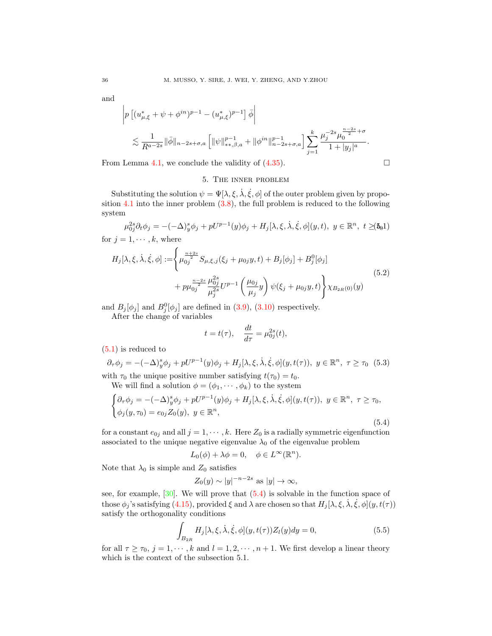and

$$
\left| p \left[ (u_{\mu,\xi}^* + \psi + \phi^{in})^{p-1} - (u_{\mu,\xi}^*)^{p-1} \right] \bar{\phi} \right|
$$
  
 
$$
\lesssim \frac{1}{R^{a-2s}} \|\bar{\phi}\|_{n-2s+\sigma,a} \left[ \|\psi\|_{**,\beta,a}^{p-1} + \|\phi^{in}\|_{n-2s+\sigma,a}^{p-1} \right] \sum_{j=1}^k \frac{\mu_j^{-2s} \mu_0^{\frac{n-2s}{2}+\sigma}}{1+|y_j|^a}.
$$

From Lemma [4.1,](#page-23-0) we conclude the validity of  $(4.35)$ .

# 5. The inner problem

Substituting the solution  $\psi = \Psi[\lambda, \xi, \lambda, \xi, \phi]$  of the outer problem given by proposition  $4.1$  into the inner problem  $(3.8)$ , the full problem is reduced to the following system

<span id="page-35-0"></span>
$$
\mu_{0j}^{2s}\partial_t \phi_j = -(-\Delta)_y^s \phi_j + pU^{p-1}(y)\phi_j + H_j[\lambda, \xi, \dot{\lambda}, \dot{\xi}, \phi](y, t), y \in \mathbb{R}^n, t \geq (5.1)
$$
  
for  $j = 1, \dots, k$ , where

$$
y = 1, \dots, n
$$

<span id="page-35-3"></span>
$$
H_j[\lambda, \xi, \dot{\lambda}, \dot{\xi}, \phi] := \left\{ \mu_{0j}^{\frac{n+2s}{2}} S_{\mu, \xi, j}(\xi_j + \mu_{0j} y, t) + B_j[\phi_j] + B_j^0[\phi_j] + p \mu_{0j}^{\frac{n-2s}{2}} \frac{\mu_{0j}^{2s}}{\mu_j^{2s}} U^{p-1} \left( \frac{\mu_{0j}}{\mu_j} y \right) \psi(\xi_j + \mu_{0j} y, t) \right\} \chi_{B_{2R}(0)}(y)
$$
\n
$$
(5.2)
$$

and  $B_j[\phi_j]$  and  $B_j^0[\phi_j]$  are defined in [\(3.9\)](#page-22-3), [\(3.10\)](#page-22-4) respectively.

After the change of variables

$$
t = t(\tau), \quad \frac{dt}{d\tau} = \mu_{0j}^{2s}(t),
$$

[\(5.1\)](#page-35-0) is reduced to

<span id="page-35-4"></span>
$$
\partial_{\tau}\phi_j = -(-\Delta)^s_y \phi_j + pU^{p-1}(y)\phi_j + H_j[\lambda, \xi, \dot{\lambda}, \dot{\xi}, \phi](y, t(\tau)), \ y \in \mathbb{R}^n, \ \tau \ge \tau_0 \tag{5.3}
$$
  
with  $\tau_0$  the unique positive number satisfying  $t(\tau_0) = t_0$ .

We will find a solution  $\phi = (\phi_1, \dots, \phi_k)$  to the system

<span id="page-35-1"></span>
$$
\begin{cases} \partial_{\tau}\phi_j = -(-\Delta)^s_y \phi_j + pU^{p-1}(y)\phi_j + H_j[\lambda, \xi, \dot{\lambda}, \dot{\xi}, \phi](y, t(\tau)), \ y \in \mathbb{R}^n, \ \tau \ge \tau_0, \\ \phi_j(y, \tau_0) = e_{0j}Z_0(y), \ y \in \mathbb{R}^n, \end{cases}
$$

(5.4)

for a constant  $e_{0j}$  and all  $j = 1, \dots, k$ . Here  $Z_0$  is a radially symmetric eigenfunction associated to the unique negative eigenvalue  $\lambda_0$  of the eigenvalue problem

$$
L_0(\phi) + \lambda \phi = 0, \quad \phi \in L^{\infty}(\mathbb{R}^n).
$$

Note that  $\lambda_0$  is simple and  $Z_0$  satisfies

$$
Z_0(y) \sim |y|^{-n-2s} \text{ as } |y| \to \infty,
$$

see, for example,  $[30]$ . We will prove that  $(5.4)$  is solvable in the function space of those  $\phi_j$ 's satisfying [\(4.15\)](#page-25-3), provided  $\xi$  and  $\lambda$  are chosen so that  $H_j[\lambda, \xi, \dot{\lambda}, \dot{\xi}, \phi](y, t(\tau))$ satisfy the orthogonality conditions

<span id="page-35-2"></span>
$$
\int_{B_{2R}} H_j[\lambda, \xi, \dot{\lambda}, \dot{\xi}, \phi](y, t(\tau)) Z_l(y) dy = 0,
$$
\n(5.5)

for all  $\tau \geq \tau_0$ ,  $j = 1, \dots, k$  and  $l = 1, 2, \dots, n + 1$ . We first develop a linear theory which is the context of the subsection 5.1.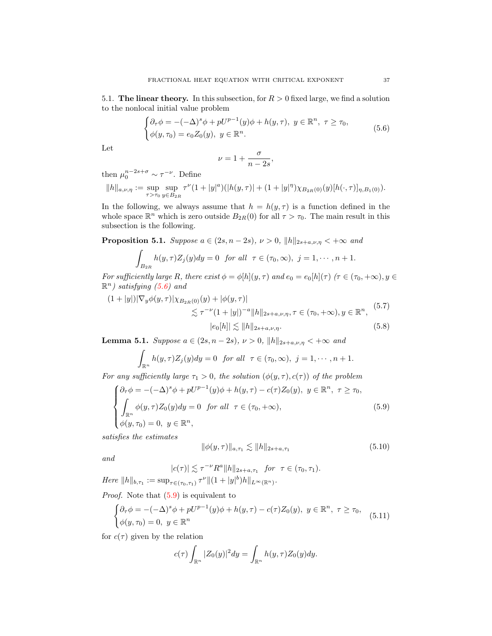5.1. The linear theory. In this subsection, for  $R > 0$  fixed large, we find a solution to the nonlocal initial value problem

<span id="page-36-0"></span>
$$
\begin{cases} \partial_{\tau}\phi = -(-\Delta)^s \phi + pU^{p-1}(y)\phi + h(y,\tau), \ y \in \mathbb{R}^n, \ \tau \ge \tau_0, \\ \phi(y,\tau_0) = e_0 Z_0(y), \ y \in \mathbb{R}^n. \end{cases} \tag{5.6}
$$

Let

$$
\nu = 1 + \frac{\sigma}{n - 2s},
$$

then  $\mu_0^{n-2s+\sigma} \sim \tau^{-\nu}$ . Define

$$
||h||_{a,\nu,\eta} := \sup_{\tau > \tau_0} \sup_{y \in B_{2R}} \tau^{\nu} (1 + |y|^a) (|h(y,\tau)| + (1 + |y|^{\eta}) \chi_{B_{2R}(0)}(y) [h(\cdot,\tau)]_{\eta,B_1(0)}).
$$

In the following, we always assume that  $h = h(y, \tau)$  is a function defined in the whole space  $\mathbb{R}^n$  which is zero outside  $B_{2R}(0)$  for all  $\tau > \tau_0$ . The main result in this subsection is the following.

<span id="page-36-4"></span>**Proposition 5.1.** Suppose  $a \in (2s, n-2s), \nu > 0, ||h||_{2s+a,\nu,\eta} < +\infty$  and

$$
\int_{B_{2R}} h(y,\tau)Z_j(y)dy = 0 \text{ for all } \tau \in (\tau_0,\infty), \ j = 1,\cdots,n+1.
$$

For sufficiently large R, there exist  $\phi = \phi[h](y, \tau)$  and  $e_0 = e_0[h](\tau)$  ( $\tau \in (\tau_0, +\infty), y \in$  $\mathbb{R}^n$ ) satisfying [\(5.6\)](#page-36-0) and

<span id="page-36-6"></span>
$$
(1+|y|)|\nabla_y \phi(y,\tau)|\chi_{B_{2R}(0)}(y)+|\phi(y,\tau)|
$$
  

$$
\lesssim \tau^{-\nu}(1+|y|)^{-a}||h||_{2s+a,\nu,\eta}, \tau \in (\tau_0,+\infty), y \in \mathbb{R}^n,
$$
  

$$
|e_0[h]|\lesssim ||h||_{2s+a,\nu,\eta}.
$$
 (5.8)

<span id="page-36-5"></span>**Lemma 5.1.** Suppose  $a \in (2s, n-2s), \nu > 0, ||h||_{2s+a,\nu,n} < +\infty$  and

<span id="page-36-7"></span>
$$
\int_{\mathbb{R}^n} h(y,\tau)Z_j(y)dy = 0 \text{ for all } \tau \in (\tau_0,\infty), \ j=1,\cdots,n+1.
$$

For any sufficiently large  $\tau_1 > 0$ , the solution  $(\phi(y, \tau), c(\tau))$  of the problem

<span id="page-36-1"></span>
$$
\begin{cases} \partial_{\tau}\phi = -(-\Delta)^{s}\phi + pU^{p-1}(y)\phi + h(y,\tau) - c(\tau)Z_{0}(y), \ y \in \mathbb{R}^{n}, \ \tau \geq \tau_{0}, \\ \int_{\mathbb{R}^{n}} \phi(y,\tau)Z_{0}(y)dy = 0 \quad \text{for all} \ \ \tau \in (\tau_{0},+\infty), \\ \phi(y,\tau_{0}) = 0, \ y \in \mathbb{R}^{n}, \end{cases}
$$
\n(5.9)

satisfies the estimates

<span id="page-36-2"></span>
$$
\|\phi(y,\tau)\|_{a,\tau_1} \lesssim \|h\|_{2s+a,\tau_1} \tag{5.10}
$$

and

$$
|c(\tau)| \lesssim \tau^{-\nu} R^a \|h\|_{2s+a,\tau_1} \text{ for } \tau \in (\tau_0, \tau_1).
$$
  
Here  $||h||_{b,\tau_1} := \sup_{\tau \in (\tau_0, \tau_1)} \tau^{\nu} ||(1+|y|^b)h||_{L^{\infty}(\mathbb{R}^n)}.$ 

Proof. Note that [\(5.9\)](#page-36-1) is equivalent to

<span id="page-36-3"></span>
$$
\begin{cases} \partial_{\tau}\phi = -(-\Delta)^s \phi + pU^{p-1}(y)\phi + h(y,\tau) - c(\tau)Z_0(y), \ y \in \mathbb{R}^n, \ \tau \ge \tau_0, \\ \phi(y,\tau_0) = 0, \ y \in \mathbb{R}^n \end{cases} (5.11)
$$

for  $c(\tau)$  given by the relation

$$
c(\tau)\int_{\mathbb{R}^n} |Z_0(y)|^2 dy = \int_{\mathbb{R}^n} h(y,\tau)Z_0(y) dy.
$$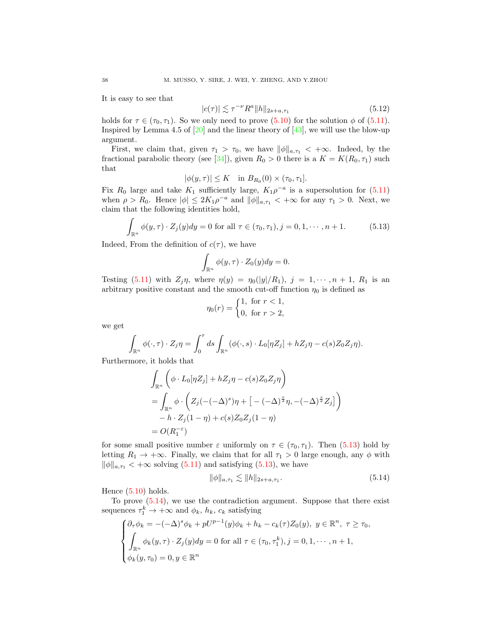It is easy to see that

<span id="page-37-2"></span>
$$
|c(\tau)| \lesssim \tau^{-\nu} R^a \|h\|_{2s+a,\tau_1} \tag{5.12}
$$

holds for  $\tau \in (\tau_0, \tau_1)$ . So we only need to prove [\(5.10\)](#page-36-2) for the solution  $\phi$  of [\(5.11\)](#page-36-3). Inspired by Lemma 4.5 of  $[20]$  and the linear theory of  $[43]$ , we will use the blow-up argument.

First, we claim that, given  $\tau_1 > \tau_0$ , we have  $\|\phi\|_{a,\tau_1} < +\infty$ . Indeed, by the fractional parabolic theory (see [\[34\]](#page-49-23)), given  $R_0 > 0$  there is a  $K = K(R_0, \tau_1)$  such that

$$
|\phi(y,\tau)| \leq K \quad \text{in } B_{R_0}(0) \times (\tau_0, \tau_1].
$$

Fix  $R_0$  large and take  $K_1$  sufficiently large,  $K_1 \rho^{-a}$  is a supersolution for [\(5.11\)](#page-36-3) when  $\rho > R_0$ . Hence  $|\phi| \leq 2K_1 \rho^{-a}$  and  $||\phi||_{a,\tau_1} < +\infty$  for any  $\tau_1 > 0$ . Next, we claim that the following identities hold,

<span id="page-37-0"></span>
$$
\int_{\mathbb{R}^n} \phi(y,\tau) \cdot Z_j(y) dy = 0 \text{ for all } \tau \in (\tau_0, \tau_1), j = 0, 1, \cdots, n+1.
$$
 (5.13)

Indeed, From the definition of  $c(\tau)$ , we have

$$
\int_{\mathbb{R}^n} \phi(y,\tau) \cdot Z_0(y) dy = 0.
$$

Testing [\(5.11\)](#page-36-3) with  $Z_j \eta$ , where  $\eta(y) = \eta_0(|y|/R_1)$ ,  $j = 1, \dots, n + 1$ ,  $R_1$  is an arbitrary positive constant and the smooth cut-off function  $\eta_0$  is defined as

$$
\eta_0(r) = \begin{cases} 1, & \text{for } r < 1, \\ 0, & \text{for } r > 2, \end{cases}
$$

we get

$$
\int_{\mathbb{R}^n} \phi(\cdot, \tau) \cdot Z_j \eta = \int_0^{\tau} ds \int_{\mathbb{R}^n} (\phi(\cdot, s) \cdot L_0[\eta Z_j] + hZ_j \eta - c(s)Z_0 Z_j \eta).
$$

Furthermore, it holds that

$$
\int_{\mathbb{R}^n} \left( \phi \cdot L_0[\eta Z_j] + hZ_j \eta - c(s) Z_0 Z_j \eta \right)
$$
\n
$$
= \int_{\mathbb{R}^n} \phi \cdot \left( Z_j(-(-\Delta)^s) \eta + \left[ -(-\Delta)^{\frac{s}{2}} \eta, -(-\Delta)^{\frac{s}{2}} Z_j \right] \right)
$$
\n
$$
- h \cdot Z_j(1 - \eta) + c(s) Z_0 Z_j(1 - \eta)
$$
\n
$$
= O(R_1^{-\epsilon})
$$

for some small positive number  $\varepsilon$  uniformly on  $\tau \in (\tau_0, \tau_1)$ . Then [\(5.13\)](#page-37-0) hold by letting  $R_1 \rightarrow +\infty$ . Finally, we claim that for all  $\tau_1 > 0$  large enough, any  $\phi$  with  $\|\phi\|_{a,\tau_1} < +\infty$  solving [\(5.11\)](#page-36-3) and satisfying [\(5.13\)](#page-37-0), we have

<span id="page-37-1"></span>
$$
\|\phi\|_{a,\tau_1} \lesssim \|h\|_{2s+a,\tau_1}.\tag{5.14}
$$

Hence  $(5.10)$  holds.

To prove [\(5.14\)](#page-37-1), we use the contradiction argument. Suppose that there exist sequences  $\tau_1^k \to +\infty$  and  $\phi_k$ ,  $h_k$ ,  $c_k$  satisfying

$$
\begin{cases} \partial_{\tau}\phi_k = -(-\Delta)^s \phi_k + pU^{p-1}(y)\phi_k + h_k - c_k(\tau)Z_0(y), \ y \in \mathbb{R}^n, \ \tau \ge \tau_0, \\ \int_{\mathbb{R}^n} \phi_k(y,\tau) \cdot Z_j(y)dy = 0 \text{ for all } \tau \in (\tau_0, \tau_1^k), j = 0, 1, \cdots, n+1, \\ \phi_k(y,\tau_0) = 0, y \in \mathbb{R}^n \end{cases}
$$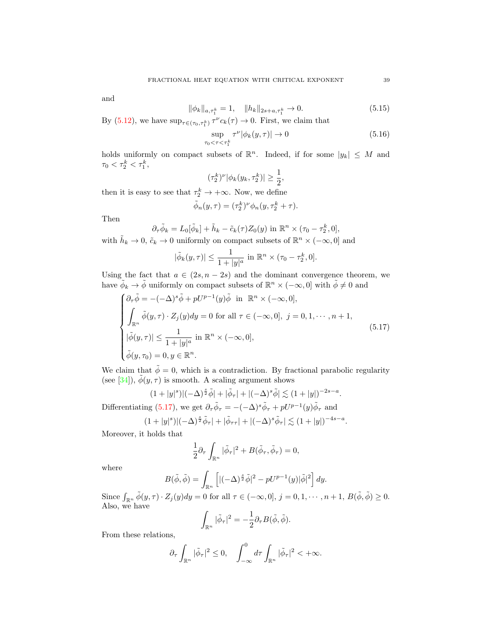and

<span id="page-38-2"></span>
$$
\|\phi_k\|_{a,\tau_1^k} = 1, \quad \|h_k\|_{2s+a,\tau_1^k} \to 0. \tag{5.15}
$$

By [\(5.12\)](#page-37-2), we have  $\sup_{\tau \in (\tau_0, \tau_1^k)} \tau^{\nu} c_k(\tau) \to 0$ . First, we claim that

<span id="page-38-1"></span>
$$
\sup_{\tau_0 < \tau < \tau_1^k} \tau^\nu |\phi_k(y, \tau)| \to 0 \tag{5.16}
$$

holds uniformly on compact subsets of  $\mathbb{R}^n$ . Indeed, if for some  $|y_k| \leq M$  and  $\tau_0 < \tau_2^k < \tau_1^k$ ,

$$
(\tau_2^k)^{\nu} |\phi_k(y_k, \tau_2^k)| \ge \frac{1}{2},
$$

then it is easy to see that  $\tau_2^k \to +\infty$ . Now, we define

$$
\tilde{\phi}_n(y,\tau) = (\tau_2^k)^{\nu} \phi_n(y,\tau_2^k + \tau).
$$

Then

$$
\partial_{\tau}\tilde{\phi}_k = L_0[\tilde{\phi}_k] + \tilde{h}_k - \tilde{c}_k(\tau)Z_0(y) \text{ in } \mathbb{R}^n \times (\tau_0 - \tau_2^k, 0],
$$

 $\partial_{\tau}\varphi_k = L_0[\varphi_k] + n_k - c_k(\tau)Z_0(y)$  in  $\mathbb{R} \times (\tau_0 - \tau_2, 0],$ <br>with  $\tilde{h}_k \to 0$ ,  $\tilde{c}_k \to 0$  uniformly on compact subsets of  $\mathbb{R}^n \times (-\infty, 0]$  and

$$
|\tilde{\phi}_k(y,\tau)| \le \frac{1}{1+|y|^a} \text{ in } \mathbb{R}^n \times (\tau_0 - \tau_2^k, 0].
$$

Using the fact that  $a \in (2s, n-2s)$  and the dominant convergence theorem, we have  $\phi_k \to \tilde{\phi}$  uniformly on compact subsets of  $\mathbb{R}^n \times (-\infty, 0]$  with  $\tilde{\phi} \neq 0$  and

<span id="page-38-0"></span>
$$
\begin{cases}\n\partial_{\tau}\tilde{\phi} = -(-\Delta)^{s}\tilde{\phi} + pU^{p-1}(y)\tilde{\phi} & \text{in } \mathbb{R}^{n} \times (-\infty, 0], \\
\int_{\mathbb{R}^{n}} \tilde{\phi}(y, \tau) \cdot Z_{j}(y)dy = 0 & \text{for all } \tau \in (-\infty, 0], \ j = 0, 1, \dots, n+1, \\
|\tilde{\phi}(y, \tau)| \leq \frac{1}{1 + |y|^{a}} & \text{in } \mathbb{R}^{n} \times (-\infty, 0], \\
\tilde{\phi}(y, \tau_{0}) = 0, y \in \mathbb{R}^{n}.\n\end{cases}
$$
\n(5.17)

We claim that  $\tilde{\phi} = 0$ , which is a contradiction. By fractional parabolic regularity (see [\[34\]](#page-49-23)),  $\tilde{\phi}(y, \tau)$  is smooth. A scaling argument shows

$$
(1+|y|^s)|(-\Delta)^{\frac{s}{2}}\tilde{\phi}|+|\tilde{\phi}_{\tau}|+|(-\Delta)^s\tilde{\phi}|\lesssim (1+|y|)^{-2s-a}.
$$

Differentiating [\(5.17\)](#page-38-0), we get  $\partial_{\tau}\tilde{\phi}_{\tau} = -(-\Delta)^s \tilde{\phi}_{\tau} + pU^{p-1}(y)\tilde{\phi}_{\tau}$  and

$$
(1+|y|^s)|(-\Delta)^{\frac{s}{2}}\tilde{\phi}_{\tau}|+|\tilde{\phi}_{\tau\tau}|+|(-\Delta)^s\tilde{\phi}_{\tau}|\lesssim (1+|y|)^{-4s-a}.
$$

Moreover, it holds that

$$
\frac{1}{2}\partial_{\tau}\int_{\mathbb{R}^{n}}|\tilde{\phi}_{\tau}|^{2}+B(\tilde{\phi}_{\tau},\tilde{\phi}_{\tau})=0,
$$

where

$$
B(\tilde{\phi}, \tilde{\phi}) = \int_{\mathbb{R}^n} \left[ |(-\Delta)^{\frac{s}{2}} \tilde{\phi}|^2 - pU^{p-1}(y)|\tilde{\phi}|^2 \right] dy.
$$

Since  $\int_{\mathbb{R}^n} \tilde{\phi}(y,\tau) \cdot Z_j(y) dy = 0$  for all  $\tau \in (-\infty,0], j = 0,1,\dots, n+1, B(\tilde{\phi},\tilde{\phi}) \geq 0.$ Also, we have

$$
\int_{\mathbb{R}^n} |\tilde{\phi}_\tau|^2 = -\frac{1}{2} \partial_\tau B(\tilde{\phi}, \tilde{\phi}).
$$

From these relations,

$$
\partial_{\tau} \int_{\mathbb{R}^n} |\tilde{\phi}_{\tau}|^2 \leq 0, \quad \int_{-\infty}^0 d\tau \int_{\mathbb{R}^n} |\tilde{\phi}_{\tau}|^2 < +\infty.
$$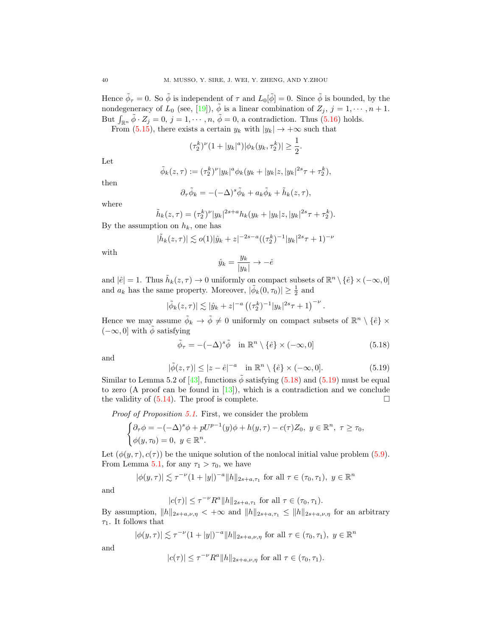Hence  $\tilde{\phi}_{\tau} = 0$ . So  $\tilde{\phi}$  is independent of  $\tau$  and  $L_0[\tilde{\phi}] = 0$ . Since  $\tilde{\phi}$  is bounded, by the nondegeneracy of  $L_0$  (see, [\[19\]](#page-48-14)),  $\tilde{\phi}$  is a linear combination of  $Z_j$ ,  $j = 1, \dots, n + 1$ . But  $\int_{\mathbb{R}^n} \tilde{\phi} \cdot Z_j = 0, j = 1, \dots, n, \tilde{\phi} = 0$ , a contradiction. Thus [\(5.16\)](#page-38-1) holds.

From [\(5.15\)](#page-38-2), there exists a certain  $y_k$  with  $|y_k| \to +\infty$  such that

$$
(\tau_2^k)^{\nu}(1+|y_k|^a)|\phi_k(y_k,\tau_2^k)|\geq \frac{1}{2}.
$$

Let

$$
\tilde{\phi}_k(z,\tau) := (\tau_2^k)^{\nu} |y_k|^a \phi_k(y_k + |y_k|z, |y_k|^{2s} \tau + \tau_2^k),
$$

then where

$$
\partial_{\tau}\tilde{\phi}_k = -(-\Delta)^s \tilde{\phi}_k + a_k \tilde{\phi}_k + \tilde{h}_k(z,\tau),
$$

$$
\tilde{h}_k(z,\tau) = (\tau_2^k)^{\nu} |y_k|^{2s+a} h_k(y_k + |y_k|z, |y_k|^{2s}\tau + \tau_2^k).
$$
  
tion on  $h_k$ , one has

By the assumption on  $h_k$ , one has

$$
|\tilde{h}_k(z,\tau)| \lesssim o(1)|\hat{y}_k+z|^{-2s-a}((\tau_2^k)^{-1}|y_k|^{2s}\tau+1)^{-\nu}
$$

with

$$
\hat{y}_k = \frac{y_k}{|y_k|} \to -\hat{e}
$$

and  $|\hat{e}| = 1$ . Thus  $\tilde{h}_k(z, \tau) \to 0$  uniformly on compact subsets of  $\mathbb{R}^n \setminus {\hat{e}} \times (-\infty, 0]$ and  $a_k$  has the same property. Moreover,  $|\tilde{\phi}_k(0, \tau_0)| \geq \frac{1}{2}$  and

$$
|\tilde{\phi}_k(z,\tau)| \lesssim |\hat{y}_k + z|^{-a} \left( (\tau_2^k)^{-1} |y_k|^{2s} \tau + 1 \right)^{-\nu}.
$$

Hence we may assume  $\tilde{\phi}_k \to \tilde{\phi} \neq 0$  uniformly on compact subsets of  $\mathbb{R}^n \setminus {\hat{e}} \times$  $(-\infty, 0]$  with  $\tilde{\phi}$  satisfying

<span id="page-39-0"></span>
$$
\tilde{\phi}_{\tau} = -(-\Delta)^s \tilde{\phi} \quad \text{in } \mathbb{R}^n \setminus \{\hat{e}\} \times (-\infty, 0] \tag{5.18}
$$

and

<span id="page-39-1"></span>
$$
|\tilde{\phi}(z,\tau)| \le |z - \hat{e}|^{-a} \quad \text{in } \mathbb{R}^n \setminus \{\hat{e}\} \times (-\infty, 0]. \tag{5.19}
$$

Similar to Lemma 5.2 of [\[43\]](#page-49-17), functions  $\tilde{\phi}$  satisfying [\(5.18\)](#page-39-0) and [\(5.19\)](#page-39-1) must be equal to zero (A proof can be found in [\[13\]](#page-48-18)), which is a contradiction and we conclude the validity of  $(5.14)$ . The proof is complete.

Proof of Proposition [5.1](#page-36-4). First, we consider the problem

$$
\begin{cases} \partial_{\tau}\phi = -(-\Delta)^s \phi + pU^{p-1}(y)\phi + h(y,\tau) - c(\tau)Z_0, \ y \in \mathbb{R}^n, \ \tau \ge \tau_0, \\ \phi(y,\tau_0) = 0, \ y \in \mathbb{R}^n. \end{cases}
$$

Let  $(\phi(y, \tau), c(\tau))$  be the unique solution of the nonlocal initial value problem [\(5.9\)](#page-36-1). From Lemma [5.1,](#page-36-5) for any  $\tau_1 > \tau_0$ , we have

$$
|\phi(y,\tau)| \lesssim \tau^{-\nu} (1+|y|)^{-a} ||h||_{2s+a,\tau_1}
$$
 for all  $\tau \in (\tau_0, \tau_1)$ ,  $y \in \mathbb{R}^n$ 

and

$$
|c(\tau)| \le \tau^{-\nu} R^a ||h||_{2s+a,\tau_1}
$$
 for all  $\tau \in (\tau_0, \tau_1)$ .

By assumption,  $||h||_{2s+a,\nu,\eta} < +\infty$  and  $||h||_{2s+a,\tau_1} \le ||h||_{2s+a,\nu,\eta}$  for an arbitrary  $\tau_1$ . It follows that

$$
|\phi(y,\tau)| \lesssim \tau^{-\nu} (1+|y|)^{-a} ||h||_{2s+a,\nu,\eta} \text{ for all } \tau \in (\tau_0,\tau_1), \ y \in \mathbb{R}^n
$$

and

$$
|c(\tau)| \leq \tau^{-\nu} R^a ||h||_{2s+a,\nu,\eta} \text{ for all } \tau \in (\tau_0,\tau_1).
$$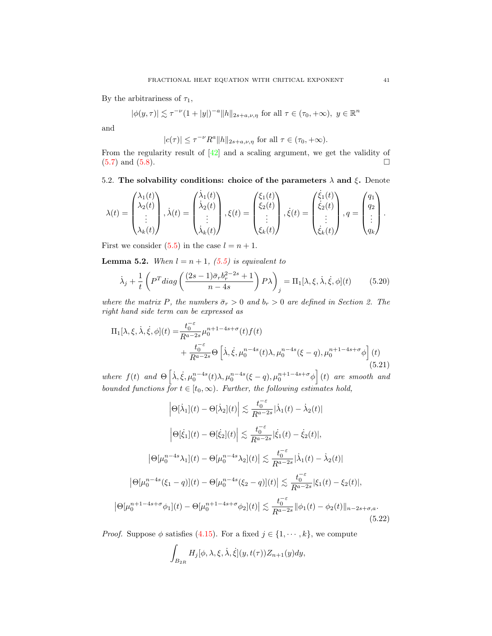By the arbitrariness of  $\tau_1$ ,

 $|\phi(y,\tau)| \lesssim \tau^{-\nu} (1+|y|)^{-a} ||h||_{2s+a,\nu,\eta}$  for all  $\tau \in (\tau_0, +\infty)$ ,  $y \in \mathbb{R}^n$ 

and

$$
|c(\tau)| \le \tau^{-\nu} R^a ||h||_{2s+a,\nu,\eta} \text{ for all } \tau \in (\tau_0,+\infty).
$$

From the regularity result of [\[42\]](#page-49-4) and a scaling argument, we get the validity of  $(5.7)$  and  $(5.8)$ .

5.2. The solvability conditions: choice of the parameters  $\lambda$  and  $\xi$ . Denote

$$
\lambda(t) = \begin{pmatrix} \lambda_1(t) \\ \lambda_2(t) \\ \vdots \\ \lambda_k(t) \end{pmatrix}, \dot{\lambda}(t) = \begin{pmatrix} \dot{\lambda}_1(t) \\ \dot{\lambda}_2(t) \\ \vdots \\ \dot{\lambda}_k(t) \end{pmatrix}, \xi(t) = \begin{pmatrix} \xi_1(t) \\ \xi_2(t) \\ \vdots \\ \xi_k(t) \end{pmatrix}, \dot{\xi}(t) = \begin{pmatrix} \dot{\xi}_1(t) \\ \dot{\xi}_2(t) \\ \vdots \\ \dot{\xi}_k(t) \end{pmatrix}, q = \begin{pmatrix} q_1 \\ q_2 \\ \vdots \\ q_k \end{pmatrix}.
$$

First we consider  $(5.5)$  in the case  $l = n + 1$ .

<span id="page-40-0"></span>**Lemma 5.2.** When  $l = n + 1$ , [\(5.5\)](#page-35-2) is equivalent to

$$
\dot{\lambda}_j + \frac{1}{t} \left( P^T diag\left( \frac{(2s-1)\bar{\sigma}_r b_r^{2-2s} + 1}{n-4s} \right) P \lambda \right)_j = \Pi_1[\lambda, \xi, \dot{\lambda}, \dot{\xi}, \phi](t) \tag{5.20}
$$

where the matrix P, the numbers  $\bar{\sigma}_r > 0$  and  $b_r > 0$  are defined in Section 2. The right hand side term can be expressed as

<span id="page-40-1"></span>
$$
\Pi_1[\lambda, \xi, \dot{\lambda}, \dot{\xi}, \phi](t) = \frac{t_0^{-\varepsilon}}{R^{a-2s}} \mu_0^{n+1-4s+\sigma}(t) f(t) \n+ \frac{t_0^{-\varepsilon}}{R^{a-2s}} \Theta\left[\dot{\lambda}, \dot{\xi}, \mu_0^{n-4s}(t)\lambda, \mu_0^{n-4s}(\xi - q), \mu_0^{n+1-4s+\sigma} \phi\right](t)
$$
\n(5.21)

where  $f(t)$  and  $\Theta\left[\dot{\lambda}, \dot{\xi}, \mu_0^{n-4s}(t)\lambda, \mu_0^{n-4s}(\xi-q), \mu_0^{n+1-4s+\sigma}\phi\right](t)$  are smooth and bounded functions for  $t \in [t_0, \infty)$ . Further, the following estimates hold,

$$
\left|\Theta[\dot{\lambda}_{1}](t) - \Theta[\dot{\lambda}_{2}](t)\right| \lesssim \frac{t_{0}^{-\varepsilon}}{R^{a-2s}} |\dot{\lambda}_{1}(t) - \dot{\lambda}_{2}(t)|
$$

$$
\left|\Theta[\dot{\xi}_{1}](t) - \Theta[\dot{\xi}_{2}](t)\right| \lesssim \frac{t_{0}^{-\varepsilon}}{R^{a-2s}} |\dot{\xi}_{1}(t) - \dot{\xi}_{2}(t)|,
$$

$$
\left|\Theta[\mu_{0}^{n-4s}\lambda_{1}](t) - \Theta[\mu_{0}^{n-4s}\lambda_{2}](t)\right| \lesssim \frac{t_{0}^{-\varepsilon}}{R^{a-2s}} |\dot{\lambda}_{1}(t) - \dot{\lambda}_{2}(t)|
$$

$$
\left|\Theta[\mu_{0}^{n-4s}(\xi_{1} - q)](t) - \Theta[\mu_{0}^{n-4s}(\xi_{2} - q)](t)\right| \lesssim \frac{t_{0}^{-\varepsilon}}{R^{a-2s}} |\xi_{1}(t) - \xi_{2}(t)|,
$$

$$
\left|\Theta[\mu_{0}^{n+1-4s+\sigma}\phi_{1}](t) - \Theta[\mu_{0}^{n+1-4s+\sigma}\phi_{2}](t)\right| \lesssim \frac{t_{0}^{-\varepsilon}}{R^{a-2s}} \|\phi_{1}(t) - \phi_{2}(t)\|_{n-2s+\sigma,a}.
$$
(5.22)

<span id="page-40-2"></span>*Proof.* Suppose  $\phi$  satisfies [\(4.15\)](#page-25-3). For a fixed  $j \in \{1, \dots, k\}$ , we compute

$$
\int_{B_{2R}} H_j[\phi,\lambda,\xi,\dot{\lambda},\dot{\xi}](y,t(\tau))Z_{n+1}(y)dy,
$$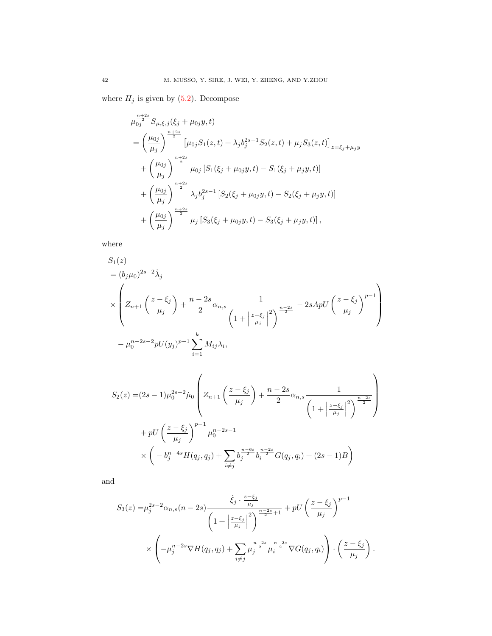where  $H_j$  is given by  $(5.2)$ . Decompose

$$
\mu_{0j}^{\frac{n+2s}{2}} S_{\mu,\xi,j}(\xi_j + \mu_{0j}y, t)
$$
\n
$$
= \left(\frac{\mu_{0j}}{\mu_j}\right)^{\frac{n+2s}{2}} \left[\mu_{0j} S_1(z,t) + \lambda_j b_j^{2s-1} S_2(z,t) + \mu_j S_3(z,t)\right]_{z=\xi_j+\mu_jy}
$$
\n
$$
+ \left(\frac{\mu_{0j}}{\mu_j}\right)^{\frac{n+2s}{2}} \mu_{0j} \left[S_1(\xi_j + \mu_{0j}y, t) - S_1(\xi_j + \mu_jy, t)\right]
$$
\n
$$
+ \left(\frac{\mu_{0j}}{\mu_j}\right)^{\frac{n+2s}{2}} \lambda_j b_j^{2s-1} \left[S_2(\xi_j + \mu_{0j}y, t) - S_2(\xi_j + \mu_jy, t)\right]
$$
\n
$$
+ \left(\frac{\mu_{0j}}{\mu_j}\right)^{\frac{n+2s}{2}} \mu_j \left[S_3(\xi_j + \mu_{0j}y, t) - S_3(\xi_j + \mu_jy, t)\right],
$$

where

$$
S_1(z)
$$
  
=  $(b_j \mu_0)^{2s-2} \dot{\lambda}_j$   

$$
\times \left( Z_{n+1} \left( \frac{z - \xi_j}{\mu_j} \right) + \frac{n - 2s}{2} \alpha_{n,s} \frac{1}{\left( 1 + \left| \frac{z - \xi_j}{\mu_j} \right|^2 \right)^{\frac{n - 2s}{2}}} - 2sApU \left( \frac{z - \xi_j}{\mu_j} \right)^{p-1} \right)
$$

$$
- \mu_0^{n - 2s - 2} pU(y_j)^{p-1} \sum_{i=1}^k M_{ij} \lambda_i,
$$

$$
S_2(z) = (2s - 1)\mu_0^{2s - 2} \mu_0 \left( Z_{n+1} \left( \frac{z - \xi_j}{\mu_j} \right) + \frac{n - 2s}{2} \alpha_{n,s} \frac{1}{\left( 1 + \left| \frac{z - \xi_j}{\mu_j} \right|^2 \right)^{\frac{n - 2s}{2}}} \right)
$$
  
+ 
$$
pU \left( \frac{z - \xi_j}{\mu_j} \right)^{p-1} \mu_0^{n-2s - 1}
$$
  

$$
\times \left( -b_j^{n-4s} H(q_j, q_j) + \sum_{i \neq j} b_j^{\frac{n - 6s}{2}} b_i^{\frac{n - 2s}{2}} G(q_j, q_i) + (2s - 1)B \right)
$$

and

$$
S_3(z) = \mu_j^{2s-2} \alpha_{n,s}(n-2s) \frac{\dot{\xi}_j \cdot \frac{z-\xi_j}{\mu_j}}{\left(1 + \left|\frac{z-\xi_j}{\mu_j}\right|^2\right)^{\frac{n-2s}{2}+1}} + pU\left(\frac{z-\xi_j}{\mu_j}\right)^{p-1} \times \left(-\mu_j^{n-2s} \nabla H(q_j, q_j) + \sum_{i \neq j} \mu_j^{\frac{n-2s}{2}} \mu_i^{\frac{n-2s}{2}} \nabla G(q_j, q_i)\right) \cdot \left(\frac{z-\xi_j}{\mu_j}\right).
$$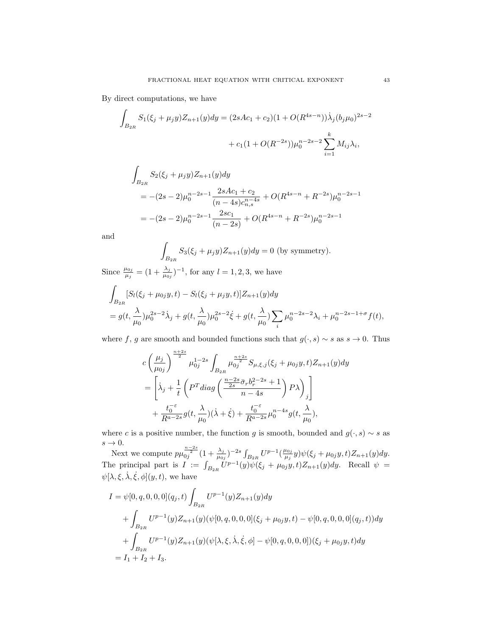By direct computations, we have

$$
\int_{B_{2R}} S_1(\xi_j + \mu_j y) Z_{n+1}(y) dy = (2sAc_1 + c_2)(1 + O(R^{4s-n})) \dot{\lambda}_j (b_j \mu_0)^{2s-2} \n+ c_1 (1 + O(R^{-2s})) \mu_0^{n-2s-2} \sum_{i=1}^k M_{ij} \lambda_i,
$$

$$
\int_{B_{2R}} S_2(\xi_j + \mu_j y) Z_{n+1}(y) dy
$$
\n
$$
= -(2s - 2)\mu_0^{n-2s-1} \frac{2sAc_1 + c_2}{(n-4s)c_{n,s}^{n-4s}} + O(R^{4s-n} + R^{-2s})\mu_0^{n-2s-1}
$$
\n
$$
= -(2s - 2)\mu_0^{n-2s-1} \frac{2sc_1}{(n-2s)} + O(R^{4s-n} + R^{-2s})\mu_0^{n-2s-1}
$$

and

$$
\int_{B_{2R}} S_3(\xi_j + \mu_j y) Z_{n+1}(y) dy = 0
$$
 (by symmetry).

Since  $\frac{\mu_{0j}}{\mu_j} = (1 + \frac{\lambda_j}{\mu_{0j}})^{-1}$ , for any  $l = 1, 2, 3$ , we have

$$
\int_{B_{2R}} [S_l(\xi_j + \mu_{0j}y, t) - S_l(\xi_j + \mu_jy, t)] Z_{n+1}(y) dy
$$
\n
$$
= g(t, \frac{\lambda}{\mu_0}) \mu_0^{2s-2} \dot{\lambda}_j + g(t, \frac{\lambda}{\mu_0}) \mu_0^{2s-2} \dot{\xi} + g(t, \frac{\lambda}{\mu_0}) \sum_i \mu_0^{n-2s-2} \lambda_i + \mu_0^{n-2s-1+\sigma} f(t),
$$

where f, g are smooth and bounded functions such that  $g(\cdot, s) \sim s$  as  $s \to 0$ . Thus

$$
c\left(\frac{\mu_j}{\mu_{0j}}\right)^{\frac{n+2s}{2}}\mu_{0j}^{1-2s}\int_{B_{2R}}\mu_{0j}^{\frac{n+2s}{2}}S_{\mu,\xi,j}(\xi_j+\mu_{0j}y,t)Z_{n+1}(y)dy
$$
  
=
$$
\left[\dot{\lambda}_j+\frac{1}{t}\left(P^T diag\left(\frac{\frac{n-2s}{2s}\bar{\sigma}_r b_r^{2-2s}+1}{n-4s}\right)P\lambda\right)_j\right]
$$

$$
+\frac{t_0^{-\varepsilon}}{R^{a-2s}}g(t,\frac{\lambda}{\mu_0})(\dot{\lambda}+\dot{\xi})+\frac{t_0^{-\varepsilon}}{R^{a-2s}}\mu_0^{n-4s}g(t,\frac{\lambda}{\mu_0}),
$$

where c is a positive number, the function g is smooth, bounded and  $g(\cdot, s) \sim s$  as  $s \to 0$ .

Next we compute  $p\mu_{0j}^{\frac{n-2s}{2}}(1+\frac{\lambda_j}{\mu_{0j}})^{-2s}\int_{B_{2R}}U^{p-1}(\frac{\mu_{0j}}{\mu_j})$  $\frac{\mu_{0j}}{\mu_j}y)\psi(\xi_j+\mu_{0j}y,t)Z_{n+1}(y)dy.$ The principal part is  $I := \int_{B_{2R}} \overline{U}^{p-1}(y)\psi(\xi_j + \mu_{0j}y, t)Z_{n+1}(y)dy$ . Recall  $\psi =$  $\psi[\lambda, \xi, \dot{\lambda}, \dot{\xi}, \phi](y, t)$ , we have

$$
I = \psi[0, q, 0, 0, 0](q_j, t) \int_{B_{2R}} U^{p-1}(y) Z_{n+1}(y) dy
$$
  
+ 
$$
\int_{B_{2R}} U^{p-1}(y) Z_{n+1}(y) (\psi[0, q, 0, 0, 0](\xi_j + \mu_{0j}y, t) - \psi[0, q, 0, 0, 0](q_j, t)) dy
$$
  
+ 
$$
\int_{B_{2R}} U^{p-1}(y) Z_{n+1}(y) (\psi[\lambda, \xi, \dot{\lambda}, \dot{\xi}, \phi] - \psi[0, q, 0, 0, 0])(\xi_j + \mu_{0j}y, t) dy
$$
  
=  $I_1 + I_2 + I_3$ .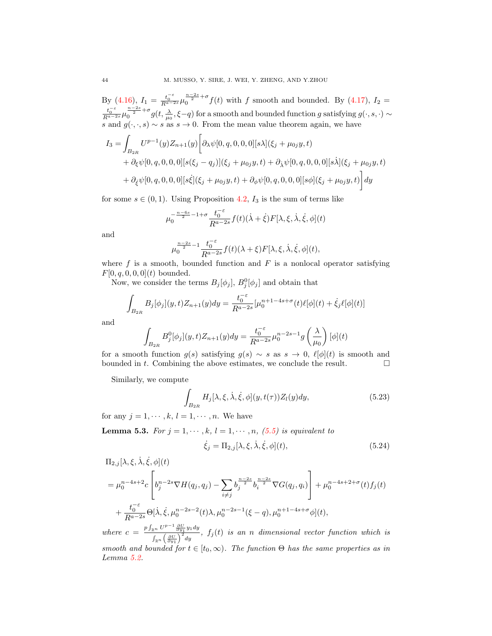By [\(4.16\)](#page-25-7),  $I_1 = \frac{t_0^{-\varepsilon}}{R^{\alpha-2s}} \mu_0^{\frac{n-2s}{2}+\sigma} f(t)$  with f smooth and bounded. By [\(4.17\)](#page-26-2),  $I_2 =$  $\frac{t_0^{-\epsilon}}{R^{\alpha-2s}}\mu_0^{\frac{n-2s}{2}+\sigma}g(t,\frac{\lambda}{\mu_0},\xi-q)$  for a smooth and bounded function g satisfying  $g(\cdot,s,\cdot)\sim$ s and  $g(\cdot,\cdot,s) \sim s$  as  $s \to 0$ . From the mean value theorem again, we have

$$
I_3 = \int_{B_{2R}} U^{p-1}(y) Z_{n+1}(y) \left[ \partial_{\lambda} \psi[0, q, 0, 0, 0] [s \lambda] (\xi_j + \mu_{0j} y, t) + \partial_{\xi} \psi[0, q, 0, 0, 0] [s(\xi_j - q_j)] (\xi_j + \mu_{0j} y, t) + \partial_{\lambda} \psi[0, q, 0, 0, 0] [s \lambda] (\xi_j + \mu_{0j} y, t) + \partial_{\xi} \psi[0, q, 0, 0, 0] [s \xi] (\xi_j + \mu_{0j} y, t) + \partial_{\phi} \psi[0, q, 0, 0, 0] [s \phi] (\xi_j + \mu_{0j} y, t) \right] dy
$$

for some  $s \in (0,1)$ . Using Proposition [4.2,](#page-31-7)  $I_3$  is the sum of terms like

$$
\mu_0^{-\frac{n-6s}{2}-1+\sigma} \frac{t_0^{-\varepsilon}}{R^{a-2s}} f(t)(\dot{\lambda}+\dot{\xi}) F[\lambda,\xi,\dot{\lambda},\dot{\xi},\phi](t)
$$

and

$$
\mu_0^{\frac{n-2s}{2}-1} \frac{t_0^{-\varepsilon}}{R^{a-2s}} f(t)(\lambda + \xi) F[\lambda, \xi, \dot{\lambda}, \dot{\xi}, \phi](t),
$$

where  $f$  is a smooth, bounded function and  $F$  is a nonlocal operator satisfying  $F[0, q, 0, 0, 0](t)$  bounded.

Now, we consider the terms  $B_j[\phi_j], B_j^0[\phi_j]$  and obtain that

$$
\int_{B_{2R}} B_j[\phi_j](y, t) Z_{n+1}(y) dy = \frac{t_0^{-\varepsilon}}{R^{a-2s}} [\mu_0^{n+1-4s+\sigma}(t) \ell[\phi](t) + \dot{\xi}_j \ell[\phi](t)]
$$

and

$$
\int_{B_{2R}} B_j^0[\phi_j](y, t) Z_{n+1}(y) dy = \frac{t_0^{-\varepsilon}}{R^{a-2s}} \mu_0^{n-2s-1} g\left(\frac{\lambda}{\mu_0}\right) [\phi](t)
$$

for a smooth function  $g(s)$  satisfying  $g(s) \sim s$  as  $s \to 0$ ,  $\ell[\phi](t)$  is smooth and bounded in t. Combining the above estimates, we conclude the result.  $\Box$ 

Similarly, we compute

$$
\int_{B_{2R}} H_j[\lambda, \xi, \dot{\lambda}, \dot{\xi}, \phi](y, t(\tau)) Z_l(y) dy,
$$
\n(5.23)

for any  $j = 1, \dots, k, l = 1, \dots, n$ . We have

<span id="page-43-0"></span>**Lemma 5.3.** For  $j = 1, \dots, k, l = 1, \dots, n, (5.5)$  $j = 1, \dots, k, l = 1, \dots, n, (5.5)$  is equivalent to

$$
\dot{\xi}_j = \Pi_{2,j}[\lambda, \xi, \dot{\lambda}, \dot{\xi}, \phi](t),\tag{5.24}
$$

$$
\Pi_{2,j}[\lambda, \xi, \dot{\lambda}, \dot{\xi}, \phi](t)
$$
\n
$$
= \mu_0^{n-4s+2} c \left[ b_j^{n-2s} \nabla H(q_j, q_j) - \sum_{i \neq j} b_j^{\frac{n-2s}{2}} b_i^{\frac{n-2s}{2}} \nabla G(q_j, q_i) \right] + \mu_0^{n-4s+2+\sigma}(t) f_j(t)
$$
\n
$$
+ \frac{t_0^{-\varepsilon}}{R^{n-2s}} \Theta[\dot{\lambda}, \dot{\xi}, \mu_0^{n-2s-2}(t) \lambda, \mu_0^{n-2s-1}(\xi - q), \mu_0^{n+1-4s+\sigma} \phi](t),
$$

where  $c = \frac{p \int_{\mathbb{R}^n} U^{p-1} \frac{\partial U}{\partial y_1} y_1 dy}{\int_{\mathbb{R}^n} (2U)^2}$  $\frac{dE_n}{dx} \frac{\partial u_1}{\partial y_1} \frac{\partial u_2}{\partial y}$ ,  $f_j(t)$  is an n dimensional vector function which is smooth and bounded for  $t \in [t_0, \infty)$ . The function  $\Theta$  has the same properties as in Lemma [5.2.](#page-40-0)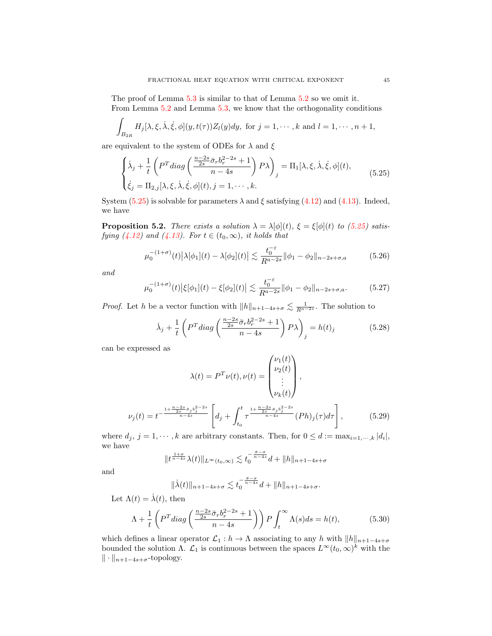The proof of Lemma [5.3](#page-43-0) is similar to that of Lemma [5.2](#page-40-0) so we omit it. From Lemma [5.2](#page-40-0) and Lemma [5.3,](#page-43-0) we know that the orthogonality conditions

$$
\int_{B_{2R}} H_j[\lambda, \xi, \dot{\lambda}, \dot{\xi}, \phi](y, t(\tau)) Z_l(y) dy, \text{ for } j = 1, \cdots, k \text{ and } l = 1, \cdots, n+1,
$$

are equivalent to the system of ODEs for  $\lambda$  and  $\xi$ 

<span id="page-44-0"></span>
$$
\begin{cases}\n\dot{\lambda}_j + \frac{1}{t} \left( P^T \operatorname{diag} \left( \frac{\frac{n-2s}{2s} \bar{\sigma}_r b_r^{2-2s} + 1}{n-4s} \right) P \lambda \right)_j = \Pi_1[\lambda, \xi, \dot{\lambda}, \dot{\xi}, \phi](t), \\
\dot{\xi}_j = \Pi_{2,j}[\lambda, \xi, \dot{\lambda}, \dot{\xi}, \phi](t), j = 1, \cdots, k.\n\end{cases} \tag{5.25}
$$

System [\(5.25\)](#page-44-0) is solvable for parameters  $\lambda$  and  $\xi$  satisfying [\(4.12\)](#page-25-1) and [\(4.13\)](#page-25-2). Indeed, we have

**Proposition 5.2.** There exists a solution  $\lambda = \lambda[\phi](t)$ ,  $\xi = \xi[\phi](t)$  to [\(5.25\)](#page-44-0) satis-fying [\(4.12\)](#page-25-1) and [\(4.13\)](#page-25-2). For  $t \in (t_0, \infty)$ , it holds that

<span id="page-44-1"></span>
$$
\mu_0^{-(1+\sigma)}(t) |\lambda[\phi_1](t) - \lambda[\phi_2](t)| \lesssim \frac{t_0^{-\varepsilon}}{R^{a-2s}} ||\phi_1 - \phi_2||_{n-2s+\sigma,a} \tag{5.26}
$$

and

<span id="page-44-2"></span>
$$
\mu_0^{-(1+\sigma)}(t) \left| \xi[\phi_1](t) - \xi[\phi_2](t) \right| \lesssim \frac{t_0^{-\varepsilon}}{R^{a-2s}} \|\phi_1 - \phi_2\|_{n-2s+\sigma,a}.
$$
 (5.27)

*Proof.* Let h be a vector function with  $||h||_{n+1-4s+\sigma} \lesssim \frac{1}{R^{a-2s}}$ . The solution to

$$
\dot{\lambda}_j + \frac{1}{t} \left( P^T diag\left( \frac{\frac{n-2s}{2s} \bar{\sigma}_r b_r^{2-2s} + 1}{n-4s} \right) P \lambda \right)_j = h(t)_j \tag{5.28}
$$

can be expressed as

$$
\lambda(t) = P^T \nu(t), \nu(t) = \begin{pmatrix} \nu_1(t) \\ \nu_2(t) \\ \vdots \\ \nu_k(t) \end{pmatrix},
$$

$$
= \frac{1 + \frac{n - 2s}{2s} \bar{\sigma}_j b_j^{2 - 2s}}{n - 4s} \left[ d_j + \int^t \frac{1 + \frac{n - 2s}{2s} \bar{\sigma}_j b_j^{2 - 2s}}{\bar{\sigma}_j - 4s} (Ph)_j(\tau) d\tau \right], \quad (5.29)
$$

$$
\nu_j(t) = t^{-\frac{2s - j_j}{n - 4s}} \left[ d_j + \int_{t_0} \tau^{\frac{2s - j_j}{n - 4s}} (Ph)_j(\tau) d\tau \right],\tag{5.29}
$$

where  $d_j$ ,  $j = 1, \dots, k$  are arbitrary constants. Then, for  $0 \leq d := \max_{i=1,\dots,k} |d_i|$ , we have

$$
||t^{\frac{1+\sigma}{n-4s}}\lambda(t)||_{L^{\infty}(t_0,\infty)} \lesssim t_0^{-\frac{\tilde{\sigma}-\sigma}{n-4s}}d+||h||_{n+1-4s+\sigma}
$$

and

$$
\|\dot{\lambda}(t)\|_{n+1-4s+\sigma} \lesssim t_0^{-\frac{\bar{\sigma}-\sigma}{n-4s}}d+\|h\|_{n+1-4s+\sigma}.
$$

Let  $\Lambda(t) = \dot{\lambda}(t)$ , then

$$
\Lambda + \frac{1}{t} \left( P^T \operatorname{diag}\left(\frac{\frac{n-2s}{2s}\bar{\sigma}_r b_r^{2-2s} + 1}{n-4s} \right) \right) P \int_t^\infty \Lambda(s) ds = h(t),\tag{5.30}
$$

which defines a linear operator  $\mathcal{L}_1 : h \to \Lambda$  associating to any h with  $||h||_{n+1-4s+\sigma}$ bounded the solution  $\Lambda$ .  $\mathcal{L}_1$  is continuous between the spaces  $L^{\infty}(t_0,\infty)^k$  with the  $\|\cdot\|_{n+1-4s+\sigma}$ -topology.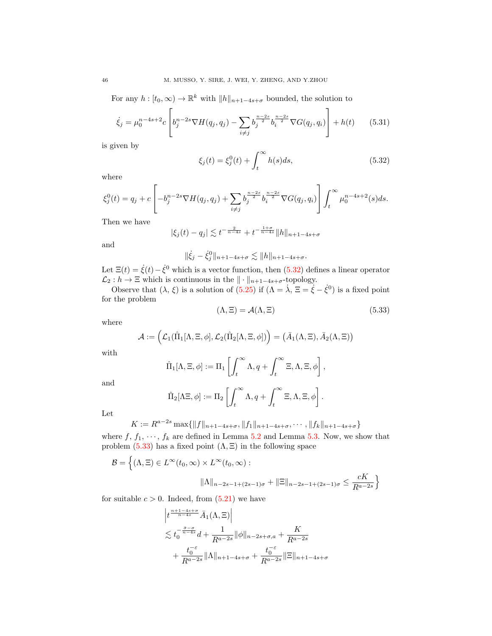For any  $h: [t_0, \infty) \to \mathbb{R}^k$  with  $||h||_{n+1-4s+\sigma}$  bounded, the solution to

$$
\dot{\xi}_j = \mu_0^{n-4s+2} c \left[ b_j^{n-2s} \nabla H(q_j, q_j) - \sum_{i \neq j} b_j^{\frac{n-2s}{2}} b_i^{\frac{n-2s}{2}} \nabla G(q_j, q_i) \right] + h(t) \tag{5.31}
$$

is given by

<span id="page-45-0"></span>
$$
\xi_j(t) = \xi_j^0(t) + \int_t^\infty h(s)ds,\tag{5.32}
$$

where

$$
\xi_j^0(t) = q_j + c \left[ -b_j^{n-2s} \nabla H(q_j, q_j) + \sum_{i \neq j} b_j^{\frac{n-2s}{2}} b_i^{\frac{n-2s}{2}} \nabla G(q_j, q_i) \right] \int_t^{\infty} \mu_0^{n-4s+2}(s) ds.
$$

Then we have

$$
|\xi_j(t) - q_j| \lesssim t^{-\frac{2}{n-4s}} + t^{-\frac{1+\sigma}{n-4s}} \|h\|_{n+1-4s+\sigma}
$$

and

 $\|\dot{\xi}_j - \dot{\xi}_j^0\|_{n+1-4s+\sigma} \lesssim \|h\|_{n+1-4s+\sigma}.$ 

Let  $\Xi(t) = \dot{\xi}(t) - \dot{\xi}^0$  which is a vector function, then [\(5.32\)](#page-45-0) defines a linear operator  $\mathcal{L}_2 : h \to \Xi$  which is continuous in the  $\|\cdot\|_{n+1-4s+\sigma}$ -topology.

Observe that  $(\lambda, \xi)$  is a solution of  $(5.25)$  if  $(\Lambda = \dot{\lambda}, \Xi = \dot{\xi} - \dot{\xi}^0)$  is a fixed point for the problem

<span id="page-45-1"></span>
$$
(\Lambda, \Xi) = \mathcal{A}(\Lambda, \Xi) \tag{5.33}
$$

where

$$
\mathcal{A}:=\Big(\mathcal{L}_1(\hat\Pi_1[\Lambda,\Xi,\phi],\mathcal{L}_2(\hat\Pi_2[\Lambda,\Xi,\phi])\Big)=\big(\bar A_1(\Lambda,\Xi),\bar A_2(\Lambda,\Xi)\big)
$$

with

$$
\hat{\Pi}_1[\Lambda,\Xi,\phi] := \Pi_1 \left[ \int_t^\infty \Lambda, q + \int_t^\infty \Xi, \Lambda, \Xi, \phi \right],
$$

and

$$
\hat{\Pi}_2[\Lambda \Xi, \phi] := \Pi_2 \left[ \int_t^\infty \Lambda, q + \int_t^\infty \Xi, \Lambda, \Xi, \phi \right].
$$

Let

$$
K := R^{a-2s} \max\{\|f\|_{n+1-4s+\sigma}, \|f_1\|_{n+1-4s+\sigma}, \cdots, \|f_k\|_{n+1-4s+\sigma}\}
$$

where  $f, f_1, \dots, f_k$  are defined in Lemma [5.2](#page-40-0) and Lemma [5.3.](#page-43-0) Now, we show that problem [\(5.33\)](#page-45-1) has a fixed point  $(\Lambda, \Xi)$  in the following space

$$
\mathcal{B} = \left\{ (\Lambda, \Xi) \in L^{\infty}(t_0, \infty) \times L^{\infty}(t_0, \infty) : \right\}
$$

$$
\|\Lambda\|_{n-2s-1+(2s-1)\sigma} + \|\Xi\|_{n-2s-1+(2s-1)\sigma} \le \frac{cK}{R^{a-2s}} \right\}
$$

for suitable  $c > 0$ . Indeed, from  $(5.21)$  we have

$$
\begin{aligned} & \left| t^{\frac{n+1-4s+\sigma}{n-4s}} \bar{A}_1(\Lambda, \Xi) \right| \\ &\lesssim t_0^{-\frac{\bar{\sigma}-\sigma}{n-4s}} d + \frac{1}{R^{a-2s}} \|\phi\|_{n-2s+\sigma,a} + \frac{K}{R^{a-2s}} \\ &+ \frac{t_0^{-\varepsilon}}{R^{a-2s}} \|\Lambda\|_{n+1-4s+\sigma} + \frac{t_0^{-\varepsilon}}{R^{a-2s}} \|\Xi\|_{n+1-4s+\sigma} \end{aligned}
$$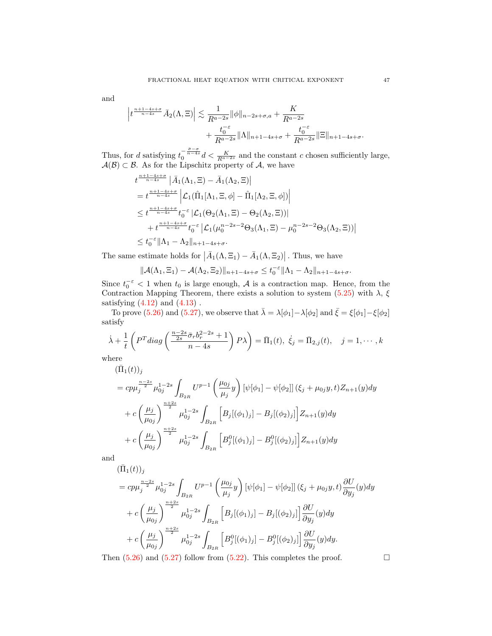and

$$
\left| t^{\frac{n+1-4s+\sigma}{n-4s}} \bar{A}_2(\Lambda, \Xi) \right| \lesssim \frac{1}{R^{a-2s}} \|\phi\|_{n-2s+\sigma,a} + \frac{K}{R^{a-2s}} \n+ \frac{t_0^{-\varepsilon}}{R^{a-2s}} \|\Lambda\|_{n+1-4s+\sigma} + \frac{t_0^{-\varepsilon}}{R^{a-2s}} \|\Xi\|_{n+1-4s+\sigma}.
$$

Thus, for d satisfying  $t_0^{-\frac{\bar{\sigma}-\sigma}{n-4s}}d < \frac{K}{R^{a-2s}}$  and the constant c chosen sufficiently large,  $\mathcal{A}(\mathcal{B}) \subset \mathcal{B}$ . As for the Lipschitz property of  $\mathcal{A}$ , we have

$$
t^{\frac{n+1-4s+\sigma}{n-4s}} | \bar{A}_1(\Lambda_1, \Xi) - \bar{A}_1(\Lambda_2, \Xi) |
$$
  
\n
$$
= t^{\frac{n+1-4s+\sigma}{n-4s}} | \mathcal{L}_1(\hat{\Pi}_1[\Lambda_1, \Xi, \phi] - \hat{\Pi}_1[\Lambda_2, \Xi, \phi]) |
$$
  
\n
$$
\leq t^{\frac{n+1-4s+\sigma}{n-4s}} t_0^{-\varepsilon} | \mathcal{L}_1(\Theta_2(\Lambda_1, \Xi) - \Theta_2(\Lambda_2, \Xi)) |
$$
  
\n
$$
+ t^{\frac{n+1-4s+\sigma}{n-4s}} t_0^{-\varepsilon} | \mathcal{L}_1(\mu_0^{n-2s-2} \Theta_3(\Lambda_1, \Xi) - \mu_0^{n-2s-2} \Theta_3(\Lambda_2, \Xi)) |
$$
  
\n
$$
\leq t_0^{-\varepsilon} || \Lambda_1 - \Lambda_2 ||_{n+1-4s+\sigma}.
$$

The same estimate holds for  $\left|\bar{A}_1(\Lambda, \Xi_1) - \bar{A}_1(\Lambda, \Xi_2)\right|$ . Thus, we have

$$
\|\mathcal{A}(\Lambda_1,\Xi_1)-\mathcal{A}(\Lambda_2,\Xi_2)\|_{n+1-4s+\sigma}\leq t_0^{-\varepsilon}\|\Lambda_1-\Lambda_2\|_{n+1-4s+\sigma}.
$$

Since  $t_0^{-\epsilon}$  < 1 when  $t_0$  is large enough, A is a contraction map. Hence, from the Contraction Mapping Theorem, there exists a solution to system [\(5.25\)](#page-44-0) with  $\lambda$ ,  $\xi$ satisfying  $(4.12)$  and  $(4.13)$ .

To prove [\(5.26\)](#page-44-1) and [\(5.27\)](#page-44-2), we observe that  $\bar{\lambda} = \lambda[\phi_1] - \lambda[\phi_2]$  and  $\bar{\xi} = \xi[\phi_1] - \xi[\phi_2]$ satisfy

$$
\dot{\lambda} + \frac{1}{t} \left( P^T diag\left( \frac{\frac{n-2s}{2s} \bar{\sigma}_r b_r^{2-2s} + 1}{n-4s} \right) P \lambda \right) = \bar{\Pi}_1(t), \ \dot{\xi}_j = \bar{\Pi}_{2,j}(t), \quad j = 1, \cdots, k
$$
\nwhere

where

$$
\begin{split}\n(\bar{\Pi}_{1}(t))_{j} \\
&= c p \mu_{j}^{\frac{n-2s}{2}} \mu_{0j}^{1-2s} \int_{B_{2R}} U^{p-1} \left(\frac{\mu_{0j}}{\mu_{j}} y\right) \left[\psi[\phi_{1}] - \psi[\phi_{2}]\right] (\xi_{j} + \mu_{0j} y, t) Z_{n+1}(y) dy \\
&+ c \left(\frac{\mu_{j}}{\mu_{0j}}\right)^{\frac{n+2s}{2}} \mu_{0j}^{1-2s} \int_{B_{2R}} \left[B_{j}[(\phi_{1})_{j}] - B_{j}[(\phi_{2})_{j}]\right] Z_{n+1}(y) dy \\
&+ c \left(\frac{\mu_{j}}{\mu_{0j}}\right)^{\frac{n+2s}{2}} \mu_{0j}^{1-2s} \int_{B_{2R}} \left[B_{j}^{0}[(\phi_{1})_{j}] - B_{j}^{0}[(\phi_{2})_{j}]\right] Z_{n+1}(y) dy\n\end{split}
$$

and

$$
\begin{split} &(\bar{\Pi}_{1}(t))_{j} \\ &= c p \mu_{j}^{\frac{n-2s}{2}} \mu_{0j}^{1-2s} \int_{B_{2R}} U^{p-1} \left( \frac{\mu_{0j}}{\mu_{j}} y \right) [\psi[\phi_{1}] - \psi[\phi_{2}]] \left( \xi_{j} + \mu_{0j} y, t \right) \frac{\partial U}{\partial y_{j}}(y) dy \\ &+ c \left( \frac{\mu_{j}}{\mu_{0j}} \right)^{\frac{n+2s}{2}} \mu_{0j}^{1-2s} \int_{B_{2R}} \left[ B_{j} [(\phi_{1})_{j}] - B_{j} [(\phi_{2})_{j}] \right] \frac{\partial U}{\partial y_{j}}(y) dy \\ &+ c \left( \frac{\mu_{j}}{\mu_{0j}} \right)^{\frac{n+2s}{2}} \mu_{0j}^{1-2s} \int_{B_{2R}} \left[ B_{j}^{0} [(\phi_{1})_{j}] - B_{j}^{0} [(\phi_{2})_{j}] \right] \frac{\partial U}{\partial y_{j}}(y) dy. \end{split}
$$

Then  $(5.26)$  and  $(5.27)$  follow from  $(5.22)$ . This completes the proof.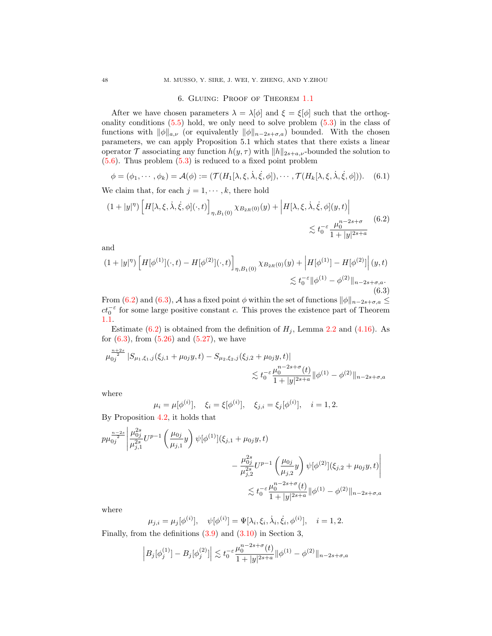# 6. Gluing: Proof of Theorem [1.1](#page-2-1)

After we have chosen parameters  $\lambda = \lambda[\phi]$  and  $\xi = \xi[\phi]$  such that the orthogonality conditions [\(5.5\)](#page-35-2) hold, we only need to solve problem [\(5.3\)](#page-35-4) in the class of functions with  $\|\phi\|_{a,\nu}$  (or equivalently  $\|\phi\|_{n-2s+\sigma,a}$ ) bounded. With the chosen parameters, we can apply Proposition 5.1 which states that there exists a linear operator  $\mathcal T$  associating any function  $h(y, \tau)$  with  $||h||_{2s+a,\nu}$ -bounded the solution to  $(5.6)$ . Thus problem  $(5.3)$  is reduced to a fixed point problem

$$
\phi = (\phi_1, \cdots, \phi_k) = \mathcal{A}(\phi) := (\mathcal{T}(H_1[\lambda, \xi, \dot{\lambda}, \dot{\xi}, \phi]), \cdots, \mathcal{T}(H_k[\lambda, \xi, \dot{\lambda}, \dot{\xi}, \phi])). \quad (6.1)
$$

We claim that, for each  $j = 1, \dots, k$ , there hold

<span id="page-47-0"></span>
$$
(1+|y|^\eta) \left[ H[\lambda,\xi,\dot{\lambda},\dot{\xi},\phi](\cdot,t) \right]_{\eta,B_1(0)} \chi_{B_{2R}(0)}(y) + \left| H[\lambda,\xi,\dot{\lambda},\dot{\xi},\phi](y,t) \right| \leq t_0^{-\varepsilon} \frac{\mu_0^{n-2s+\sigma}}{1+|y|^{2s+a}} \tag{6.2}
$$

and

<span id="page-47-1"></span>
$$
(1+|y|^\eta) \left[ H[\phi^{(1)}](\cdot,t) - H[\phi^{(2)}](\cdot,t) \right]_{\eta,B_1(0)} \chi_{B_{2R}(0)}(y) + \left| H[\phi^{(1)}] - H[\phi^{(2)}] \right|(y,t) \leq t_0^{-\varepsilon} \|\phi^{(1)} - \phi^{(2)}\|_{n-2s+\sigma,a}.
$$
\n(6.3)

From [\(6.2\)](#page-47-0) and [\(6.3\)](#page-47-1), A has a fixed point  $\phi$  within the set of functions  $\|\phi\|_{n-2s+\sigma,a} \leq$  $ct_0^{-\varepsilon}$  for some large positive constant c. This proves the existence part of Theorem [1.1.](#page-2-1)

Estimate [\(6.2\)](#page-47-0) is obtained from the definition of  $H_j$ , Lemma [2.2](#page-19-0) and [\(4.16\)](#page-25-7). As for  $(6.3)$ , from  $(5.26)$  and  $(5.27)$ , we have

$$
\mu_{0j}^{\frac{n+2s}{2}} |S_{\mu_1,\xi_1,j}(\xi_{j,1} + \mu_{0j}y, t) - S_{\mu_2,\xi_2,j}(\xi_{j,2} + \mu_{0j}y, t)|
$$
  

$$
\lesssim t_0^{-\varepsilon} \frac{\mu_0^{n-2s+\sigma}(t)}{1+|y|^{2s+a}} ||\phi^{(1)} - \phi^{(2)}||_{n-2s+\sigma,a}
$$

where

$$
\mu_i = \mu[\phi^{(i)}], \quad \xi_i = \xi[\phi^{(i)}], \quad \xi_{j,i} = \xi_j[\phi^{(i)}], \quad i = 1, 2.
$$

By Proposition [4.2,](#page-31-7) it holds that

$$
p\mu_{0j}^{\frac{n-2s}{2}} \left| \frac{\mu_{0j}^{2s}}{\mu_{j,1}^{2s}} U^{p-1} \left( \frac{\mu_{0j}}{\mu_{j,1}} y \right) \psi[\phi^{(1)}](\xi_{j,1} + \mu_{0j} y, t) - \frac{\mu_{0j}^{2s}}{\mu_{j,2}^{2s}} U^{p-1} \left( \frac{\mu_{0j}}{\mu_{j,2}} y \right) \psi[\phi^{(2)}](\xi_{j,2} + \mu_{0j} y, t) \right|
$$
  

$$
\lesssim t_0^{-\varepsilon} \frac{\mu_0^{n-2s+\sigma}(t)}{1+|y|^{2s+a}} ||\phi^{(1)} - \phi^{(2)}||_{n-2s+\sigma,a}
$$

where

$$
\mu_{j,i} = \mu_j[\phi^{(i)}], \quad \psi[\phi^{(i)}] = \Psi[\lambda_i, \xi_i, \dot{\lambda}_i, \dot{\xi}_i, \phi^{(i)}], \quad i = 1, 2.
$$

Finally, from the definitions [\(3.9\)](#page-22-3) and [\(3.10\)](#page-22-4) in Section 3,

$$
\left| B_j[\phi_j^{(1)}] - B_j[\phi_j^{(2)}] \right| \lesssim t_0^{-\varepsilon} \frac{\mu_0^{n-2s+\sigma}(t)}{1+|y|^{2s+a}} \|\phi^{(1)} - \phi^{(2)}\|_{n-2s+\sigma,a}
$$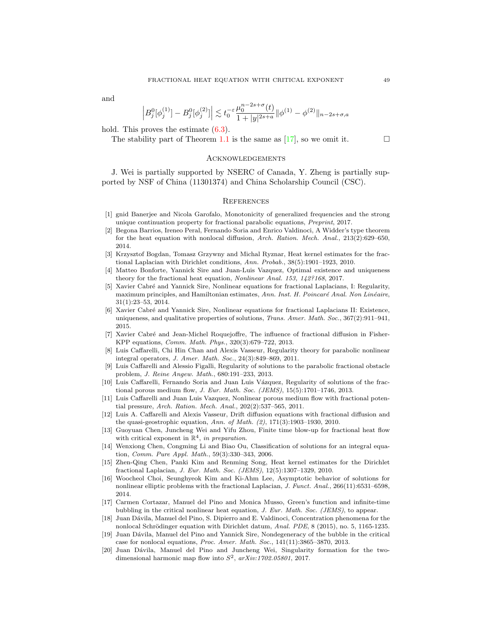and

$$
\left| B_j^0[\phi_j^{(1)}] - B_j^0[\phi_j^{(2)}] \right| \lesssim t_0^{-\varepsilon} \frac{\mu_0^{n-2s+\sigma}(t)}{1+|y|^{2s+a}} \|\phi^{(1)} - \phi^{(2)}\|_{n-2s+\sigma,a}
$$

hold. This proves the estimate  $(6.3)$ .

The stability part of Theorem [1.1](#page-2-1) is the same as [\[17\]](#page-48-10), so we omit it.  $\Box$ 

# Acknowledgements

J. Wei is partially supported by NSERC of Canada, Y. Zheng is partially supported by NSF of China (11301374) and China Scholarship Council (CSC).

# **REFERENCES**

- [1] gnid Banerjee and Nicola Garofalo, Monotonicity of generalized frequencies and the strong unique continuation property for fractional parabolic equations, Preprint, 2017.
- <span id="page-48-1"></span>[2] Begona Barrios, Ireneo Peral, Fernando Soria and Enrico Valdinoci, A Widder's type theorem for the heat equation with nonlocal diffusion, Arch. Ration. Mech. Anal., 213(2):629–650, 2014.
- <span id="page-48-2"></span>[3] Krzysztof Bogdan, Tomasz Grzywny and Michal Ryznar, Heat kernel estimates for the fractional Laplacian with Dirichlet conditions, Ann. Probab., 38(5):1901–1923, 2010.
- <span id="page-48-13"></span>[4] Matteo Bonforte, Yannick Sire and Juan-Luis Vazquez, Optimal existence and uniqueness theory for the fractional heat equation, Nonlinear Anal. 153, 142?168, 2017.
- <span id="page-48-16"></span>[5] Xavier Cabré and Yannick Sire, Nonlinear equations for fractional Laplacians, I: Regularity, maximum principles, and Hamiltonian estimates, Ann. Inst. H. Poincaré Anal. Non Linéaire, 31(1):23–53, 2014.
- <span id="page-48-17"></span>[6] Xavier Cabr´e and Yannick Sire, Nonlinear equations for fractional Laplacians II: Existence, uniqueness, and qualitative properties of solutions, *Trans. Amer. Math. Soc.*, 367(2):911-941, 2015.
- <span id="page-48-15"></span>[7] Xavier Cabr´e and Jean-Michel Roquejoffre, The influence of fractional diffusion in Fisher-KPP equations, Comm. Math. Phys., 320(3):679–722, 2013.
- <span id="page-48-3"></span>[8] Luis Caffarelli, Chi Hin Chan and Alexis Vasseur, Regularity theory for parabolic nonlinear integral operators, J. Amer. Math. Soc., 24(3):849–869, 2011.
- <span id="page-48-4"></span>[9] Luis Caffarelli and Alessio Figalli, Regularity of solutions to the parabolic fractional obstacle problem, J. Reine Angew. Math., 680:191–233, 2013.
- <span id="page-48-5"></span>[10] Luis Caffarelli, Fernando Soria and Juan Luis V´azquez, Regularity of solutions of the fractional porous medium flow, J. Eur. Math. Soc. (JEMS),  $15(5):1701-1746$ ,  $2013$ .
- <span id="page-48-6"></span>[11] Luis Caffarelli and Juan Luis Vazquez, Nonlinear porous medium flow with fractional potential pressure, Arch. Ration. Mech. Anal., 202(2):537–565, 2011.
- <span id="page-48-7"></span>[12] Luis A. Caffarelli and Alexis Vasseur, Drift diffusion equations with fractional diffusion and the quasi-geostrophic equation, Ann. of Math. (2), 171(3):1903–1930, 2010.
- <span id="page-48-18"></span>[13] Guoyuan Chen, Juncheng Wei and Yifu Zhou, Finite time blow-up for fractional heat flow with critical exponent in  $\mathbb{R}^4$ , in preparation.
- <span id="page-48-11"></span>[14] Wenxiong Chen, Congming Li and Biao Ou, Classification of solutions for an integral equation, Comm. Pure Appl. Math., 59(3):330–343, 2006.
- <span id="page-48-8"></span>[15] Zhen-Qing Chen, Panki Kim and Renming Song, Heat kernel estimates for the Dirichlet fractional Laplacian, J. Eur. Math. Soc. (JEMS), 12(5):1307–1329, 2010.
- <span id="page-48-9"></span>[16] Woocheol Choi, Seunghyeok Kim and Ki-Ahm Lee, Asymptotic behavior of solutions for nonlinear elliptic problems with the fractional Laplacian, J. Funct. Anal., 266(11):6531–6598, 2014.
- <span id="page-48-10"></span>[17] Carmen Cortazar, Manuel del Pino and Monica Musso, Green's function and infinite-time bubbling in the critical nonlinear heat equation, J. Eur. Math. Soc. (JEMS), to appear.
- <span id="page-48-0"></span>[18] Juan Dávila, Manuel del Pino, S. Dipierro and E. Valdinoci, Concentration phenomena for the nonlocal Schrödinger equation with Dirichlet datum, Anal. PDE, 8 (2015), no. 5, 1165-1235.
- <span id="page-48-14"></span>[19] Juan Dávila, Manuel del Pino and Yannick Sire, Nondegeneracy of the bubble in the critical case for nonlocal equations, Proc. Amer. Math. Soc., 141(11):3865–3870, 2013.
- <span id="page-48-12"></span>[20] Juan Dávila, Manuel del Pino and Juncheng Wei, Singularity formation for the twodimensional harmonic map flow into  $S^2$ ,  $arXiv:1702.05801$ , 2017.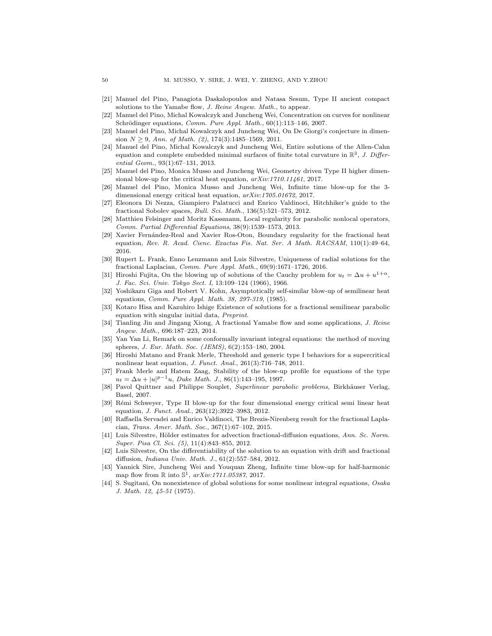- <span id="page-49-18"></span>[21] Manuel del Pino, Panagiota Daskalopoulos and Natasa Sesum, Type II ancient compact solutions to the Yamabe flow, J. Reine Angew. Math., to appear.
- <span id="page-49-14"></span>[22] Manuel del Pino, Michal Kowalczyk and Juncheng Wei, Concentration on curves for nonlinear Schrödinger equations, Comm. Pure Appl. Math.,  $60(1):113-146$ , 2007.
- <span id="page-49-15"></span>[23] Manuel del Pino, Michal Kowalczyk and Juncheng Wei, On De Giorgi's conjecture in dimension  $N \geq 9$ , Ann. of Math. (2), 174(3):1485–1569, 2011.
- <span id="page-49-16"></span>[24] Manuel del Pino, Michal Kowalczyk and Juncheng Wei, Entire solutions of the Allen-Cahn equation and complete embedded minimal surfaces of finite total curvature in  $\mathbb{R}^3$ , J. Differential Geom., 93(1):67–131, 2013.
- <span id="page-49-6"></span>[25] Manuel del Pino, Monica Musso and Juncheng Wei, Geometry driven Type II higher dimensional blow-up for the critical heat equation,  $arXiv:1710.11461$ , 2017.
- <span id="page-49-7"></span>[26] Manuel del Pino, Monica Musso and Juncheng Wei, Infinite time blow-up for the 3 dimensional energy critical heat equation, arXiv:1705.01672, 2017.
- <span id="page-49-0"></span>[27] Eleonora Di Nezza, Giampiero Palatucci and Enrico Valdinoci, Hitchhiker's guide to the fractional Sobolev spaces, Bull. Sci. Math., 136(5):521–573, 2012.
- <span id="page-49-1"></span>[28] Matthieu Felsinger and Moritz Kassmann, Local regularity for parabolic nonlocal operators, Comm. Partial Differential Equations, 38(9):1539–1573, 2013.
- <span id="page-49-2"></span>[29] Xavier Fernández-Real and Xavier Ros-Oton, Boundary regularity for the fractional heat equation, Rev. R. Acad. Cienc. Exactas Fis. Nat. Ser. A Math. RACSAM, 110(1):49–64, 2016.
- <span id="page-49-22"></span>[30] Rupert L. Frank, Enno Lenzmann and Luis Silvestre, Uniqueness of radial solutions for the fractional Laplacian, Comm. Pure Appl. Math., 69(9):1671–1726, 2016.
- <span id="page-49-8"></span>[31] Hiroshi Fujita, On the blowing up of solutions of the Cauchy problem for  $u_t = \Delta u + u^{1+\alpha}$ , J. Fac. Sci. Univ. Tokyo Sect. I, 13:109–124 (1966), 1966.
- <span id="page-49-21"></span>[32] Yoshikazu Giga and Robert V. Kohn, Asymptotically self-similar blow-up of semilinear heat equations, Comm. Pure Appl. Math. 38, 297-319, (1985).
- <span id="page-49-20"></span>[33] Kotaro Hisa and Kazuhiro Ishige Existence of solutions for a fractional semilinear parabolic equation with singular initial data, Preprint.
- <span id="page-49-23"></span>[34] Tianling Jin and Jingang Xiong, A fractional Yamabe flow and some applications, J. Reine Angew. Math., 696:187–223, 2014.
- <span id="page-49-13"></span>[35] Yan Yan Li, Remark on some conformally invariant integral equations: the method of moving spheres, J. Eur. Math. Soc. (JEMS), 6(2):153–180, 2004.
- <span id="page-49-9"></span>[36] Hiroshi Matano and Frank Merle, Threshold and generic type I behaviors for a supercritical nonlinear heat equation, J. Funct. Anal., 261(3):716–748, 2011.
- <span id="page-49-10"></span>[37] Frank Merle and Hatem Zaag, Stability of the blow-up profile for equations of the type  $u_t = \Delta u + |u|^{p-1}u$ , Duke Math. J., 86(1):143-195, 1997.
- <span id="page-49-11"></span>[38] Pavol Quittner and Philippe Souplet, Superlinear parabolic problems, Birkhäuser Verlag, Basel, 2007.
- <span id="page-49-12"></span>[39] Rémi Schweyer, Type II blow-up for the four dimensional energy critical semi linear heat equation, *J. Funct. Anal.*, 263(12):3922-3983, 2012.
- <span id="page-49-5"></span>[40] Raffaella Servadei and Enrico Valdinoci, The Brezis-Nirenberg result for the fractional Laplacian, Trans. Amer. Math. Soc., 367(1):67–102, 2015.
- <span id="page-49-3"></span>[41] Luis Silvestre, Hölder estimates for advection fractional-diffusion equations, Ann. Sc. Norm. Super. Pisa Cl. Sci. (5), 11(4):843–855, 2012.
- <span id="page-49-4"></span>[42] Luis Silvestre, On the differentiability of the solution to an equation with drift and fractional diffusion, Indiana Univ. Math. J., 61(2):557–584, 2012.
- <span id="page-49-17"></span>[43] Yannick Sire, Juncheng Wei and Youquan Zheng, Infinite time blow-up for half-harmonic map flow from  $\mathbb R$  into  $\mathbb S^1$ ,  $arXiv:1711.05387, 2017$ .
- <span id="page-49-19"></span>[44] S. Sugitani, On nonexistence of global solutions for some nonlinear integral equations, Osaka J. Math. 12, 45-51 (1975).